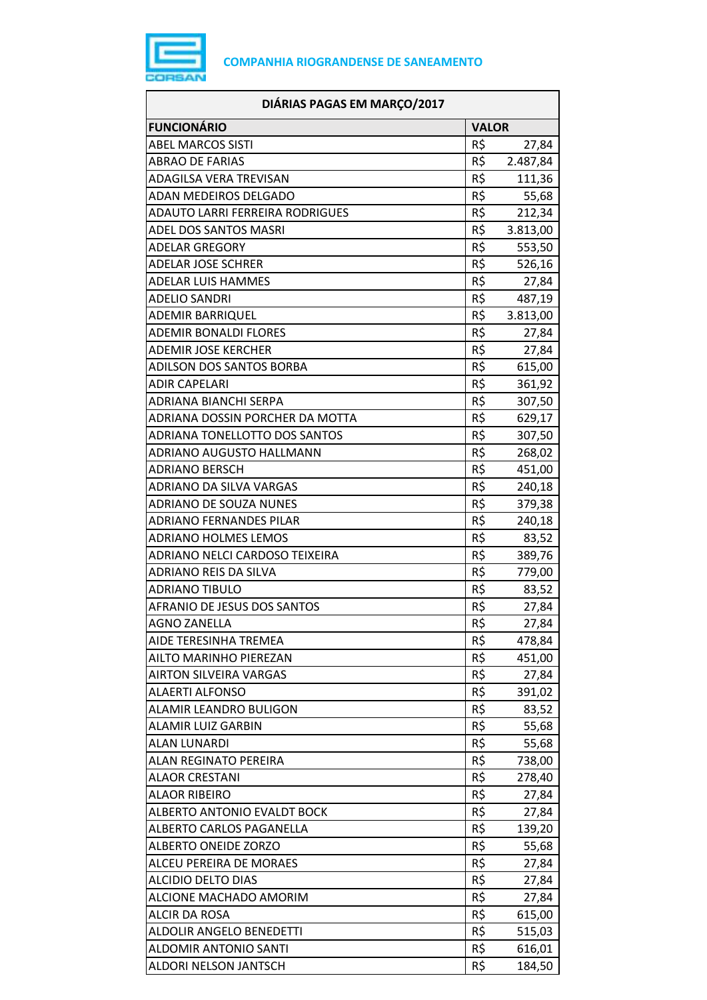

| DIÁRIAS PAGAS EM MARÇO/2017            |              |          |
|----------------------------------------|--------------|----------|
| <b>FUNCIONÁRIO</b>                     | <b>VALOR</b> |          |
| <b>ABEL MARCOS SISTI</b>               | R\$          | 27,84    |
| <b>ABRAO DE FARIAS</b>                 | R\$          | 2.487,84 |
| <b>ADAGILSA VERA TREVISAN</b>          | R\$          | 111,36   |
| ADAN MEDEIROS DELGADO                  | R\$          | 55,68    |
| <b>ADAUTO LARRI FERREIRA RODRIGUES</b> | R\$          | 212,34   |
| ADEL DOS SANTOS MASRI                  | R\$          | 3.813,00 |
| <b>ADELAR GREGORY</b>                  | R\$          | 553,50   |
| <b>ADELAR JOSE SCHRER</b>              | R\$          | 526,16   |
| <b>ADELAR LUIS HAMMES</b>              | R\$          | 27,84    |
| <b>ADELIO SANDRI</b>                   | R\$          | 487,19   |
| <b>ADEMIR BARRIQUEL</b>                | R\$          | 3.813,00 |
| <b>ADEMIR BONALDI FLORES</b>           | R\$          | 27,84    |
| <b>ADEMIR JOSE KERCHER</b>             | R\$          | 27,84    |
| ADILSON DOS SANTOS BORBA               | R\$          | 615,00   |
| <b>ADIR CAPELARI</b>                   | R\$          | 361,92   |
| ADRIANA BIANCHI SERPA                  | R\$          | 307,50   |
| ADRIANA DOSSIN PORCHER DA MOTTA        | R\$          | 629,17   |
| ADRIANA TONELLOTTO DOS SANTOS          | R\$          | 307,50   |
| ADRIANO AUGUSTO HALLMANN               | R\$          | 268,02   |
| ADRIANO BERSCH                         | R\$          | 451,00   |
| ADRIANO DA SILVA VARGAS                | R\$          | 240,18   |
| <b>ADRIANO DE SOUZA NUNES</b>          | R\$          | 379,38   |
| <b>ADRIANO FERNANDES PILAR</b>         | R\$          | 240,18   |
| <b>ADRIANO HOLMES LEMOS</b>            | R\$          | 83,52    |
| ADRIANO NELCI CARDOSO TEIXEIRA         | R\$          | 389,76   |
| ADRIANO REIS DA SILVA                  | R\$          | 779,00   |
| <b>ADRIANO TIBULO</b>                  | R\$          | 83,52    |
| <b>AFRANIO DE JESUS DOS SANTOS</b>     | R\$          | 27,84    |
| AGNO ZANELLA                           | R\$          | 27,84    |
| AIDE TERESINHA TREMEA                  | R\$          | 478,84   |
| AILTO MARINHO PIEREZAN                 | R\$          | 451,00   |
| <b>AIRTON SILVEIRA VARGAS</b>          | R\$          | 27,84    |
| <b>ALAERTI ALFONSO</b>                 | R\$          | 391,02   |
| ALAMIR LEANDRO BULIGON                 | R\$          | 83,52    |
| ALAMIR LUIZ GARBIN                     | R\$          | 55,68    |
| <b>ALAN LUNARDI</b>                    | R\$          | 55,68    |
| <b>ALAN REGINATO PEREIRA</b>           | R\$          | 738,00   |
| ALAOR CRESTANI                         | R\$          | 278,40   |
| <b>ALAOR RIBEIRO</b>                   | R\$          | 27,84    |
| <b>ALBERTO ANTONIO EVALDT BOCK</b>     | R\$          | 27,84    |
| ALBERTO CARLOS PAGANELLA               | R\$          | 139,20   |
| <b>ALBERTO ONEIDE ZORZO</b>            | R\$          | 55,68    |
| ALCEU PEREIRA DE MORAES                | R\$          | 27,84    |
| ALCIDIO DELTO DIAS                     | R\$          | 27,84    |
| ALCIONE MACHADO AMORIM                 | R\$          | 27,84    |
| <b>ALCIR DA ROSA</b>                   | R\$          | 615,00   |
| <b>ALDOLIR ANGELO BENEDETTI</b>        | R\$          | 515,03   |
| ALDOMIR ANTONIO SANTI                  | R\$          | 616,01   |
| ALDORI NELSON JANTSCH                  | R\$          | 184,50   |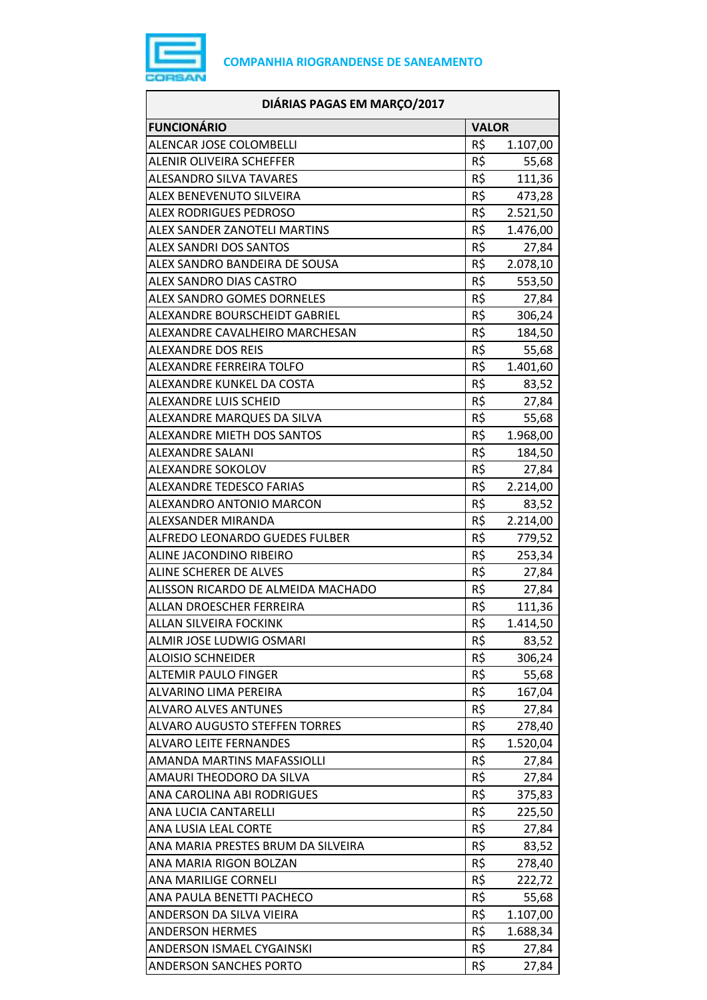

| DIÁRIAS PAGAS EM MARÇO/2017          |              |          |
|--------------------------------------|--------------|----------|
| <b>FUNCIONÁRIO</b>                   | <b>VALOR</b> |          |
| ALENCAR JOSE COLOMBELLI              | R\$          | 1.107,00 |
| <b>ALENIR OLIVEIRA SCHEFFER</b>      | R\$          | 55,68    |
| <b>ALESANDRO SILVA TAVARES</b>       | R\$          | 111,36   |
| ALEX BENEVENUTO SILVEIRA             | R\$          | 473,28   |
| <b>ALEX RODRIGUES PEDROSO</b>        | R\$          | 2.521,50 |
| ALEX SANDER ZANOTELI MARTINS         | R\$          | 1.476,00 |
| <b>ALEX SANDRI DOS SANTOS</b>        | R\$          | 27,84    |
| ALEX SANDRO BANDEIRA DE SOUSA        | R\$          | 2.078,10 |
| <b>ALEX SANDRO DIAS CASTRO</b>       | R\$          | 553,50   |
| ALEX SANDRO GOMES DORNELES           | R\$          | 27,84    |
| ALEXANDRE BOURSCHEIDT GABRIEL        | R\$          | 306,24   |
| ALEXANDRE CAVALHEIRO MARCHESAN       | R\$          | 184,50   |
| ALEXANDRE DOS REIS                   | R\$          | 55,68    |
| ALEXANDRE FERREIRA TOLFO             | R\$          | 1.401,60 |
| ALEXANDRE KUNKEL DA COSTA            | R\$          | 83,52    |
| ALEXANDRE LUIS SCHEID                | R\$          | 27,84    |
| ALEXANDRE MARQUES DA SILVA           | R\$          | 55,68    |
| <b>ALEXANDRE MIETH DOS SANTOS</b>    | R\$          | 1.968,00 |
| ALEXANDRE SALANI                     | R\$          | 184,50   |
| ALEXANDRE SOKOLOV                    | R\$          | 27,84    |
| <b>ALEXANDRE TEDESCO FARIAS</b>      | R\$          | 2.214,00 |
| ALEXANDRO ANTONIO MARCON             | R\$          | 83,52    |
| ALEXSANDER MIRANDA                   | R\$          | 2.214,00 |
| ALFREDO LEONARDO GUEDES FULBER       | R\$          | 779,52   |
| ALINE JACONDINO RIBEIRO              | R\$          | 253,34   |
| ALINE SCHERER DE ALVES               | R\$          | 27,84    |
| ALISSON RICARDO DE ALMEIDA MACHADO   | R\$          | 27,84    |
| ALLAN DROESCHER FERREIRA             | R\$          | 111,36   |
| ALLAN SILVEIRA FOCKINK               | R\$          | 1.414,50 |
| ALMIR JOSE LUDWIG OSMARI             | R\$          | 83,52    |
| <b>ALOISIO SCHNEIDER</b>             | R\$          | 306,24   |
| <b>ALTEMIR PAULO FINGER</b>          | R\$          | 55,68    |
| ALVARINO LIMA PEREIRA                | R\$          | 167,04   |
| <b>ALVARO ALVES ANTUNES</b>          | R\$          | 27,84    |
| <b>ALVARO AUGUSTO STEFFEN TORRES</b> | R\$          | 278,40   |
| <b>ALVARO LEITE FERNANDES</b>        | R\$          | 1.520,04 |
| AMANDA MARTINS MAFASSIOLLI           | R\$          | 27,84    |
| AMAURI THEODORO DA SILVA             | R\$          | 27,84    |
| ANA CAROLINA ABI RODRIGUES           | R\$          | 375,83   |
| ANA LUCIA CANTARELLI                 | R\$          | 225,50   |
| ANA LUSIA LEAL CORTE                 | R\$          | 27,84    |
| ANA MARIA PRESTES BRUM DA SILVEIRA   | R\$          | 83,52    |
| ANA MARIA RIGON BOLZAN               | R\$          | 278,40   |
| ANA MARILIGE CORNELI                 | R\$          | 222,72   |
| ANA PAULA BENETTI PACHECO            | R\$          | 55,68    |
| ANDERSON DA SILVA VIEIRA             | R\$          | 1.107,00 |
| <b>ANDERSON HERMES</b>               | R\$          | 1.688,34 |
| ANDERSON ISMAEL CYGAINSKI            | R\$          | 27,84    |
| <b>ANDERSON SANCHES PORTO</b>        | R\$          | 27,84    |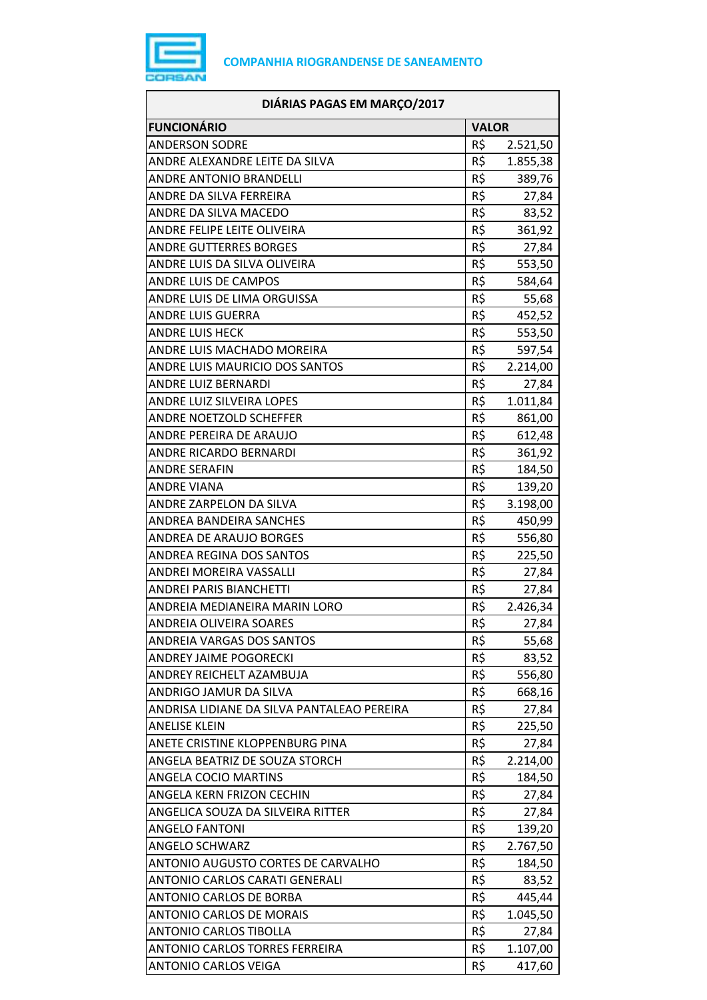

| DIÁRIAS PAGAS EM MARÇO/2017                |              |          |
|--------------------------------------------|--------------|----------|
| <b>FUNCIONÁRIO</b>                         | <b>VALOR</b> |          |
| <b>ANDERSON SODRE</b>                      | R\$          | 2.521,50 |
| ANDRE ALEXANDRE LEITE DA SILVA             | R\$          | 1.855,38 |
| <b>ANDRE ANTONIO BRANDELLI</b>             | R\$          | 389,76   |
| ANDRE DA SILVA FERREIRA                    | R\$          | 27,84    |
| ANDRE DA SILVA MACEDO                      | R\$          | 83,52    |
| ANDRE FELIPE LEITE OLIVEIRA                | R\$          | 361,92   |
| <b>ANDRE GUTTERRES BORGES</b>              | R\$          | 27,84    |
| ANDRE LUIS DA SILVA OLIVEIRA               | R\$          | 553,50   |
| ANDRE LUIS DE CAMPOS                       | R\$          | 584,64   |
| ANDRE LUIS DE LIMA ORGUISSA                | R\$          | 55,68    |
| <b>ANDRE LUIS GUERRA</b>                   | R\$          | 452,52   |
| <b>ANDRE LUIS HECK</b>                     | R\$          | 553,50   |
| ANDRE LUIS MACHADO MOREIRA                 | R\$          | 597,54   |
| ANDRE LUIS MAURICIO DOS SANTOS             | R\$          | 2.214,00 |
| <b>ANDRE LUIZ BERNARDI</b>                 | R\$          | 27,84    |
| ANDRE LUIZ SILVEIRA LOPES                  | R\$          | 1.011,84 |
| ANDRE NOETZOLD SCHEFFER                    | $R\zeta$     | 861,00   |
| ANDRE PEREIRA DE ARAUJO                    | R\$          | 612,48   |
| ANDRE RICARDO BERNARDI                     | R\$          | 361,92   |
| <b>ANDRE SERAFIN</b>                       | R\$          | 184,50   |
| <b>ANDRE VIANA</b>                         | R\$          | 139,20   |
| ANDRE ZARPELON DA SILVA                    | R\$          | 3.198,00 |
| ANDREA BANDEIRA SANCHES                    | R\$          | 450,99   |
| ANDREA DE ARAUJO BORGES                    | R\$          | 556,80   |
| ANDREA REGINA DOS SANTOS                   | R\$          | 225,50   |
| ANDREI MOREIRA VASSALLI                    | R\$          | 27,84    |
| <b>ANDREI PARIS BIANCHETTI</b>             | R\$          | 27,84    |
| ANDREIA MEDIANEIRA MARIN LORO              | R\$          | 2.426,34 |
| ANDREIA OLIVEIRA SOARES                    | R\$          | 27,84    |
| ANDREIA VARGAS DOS SANTOS                  | R\$          | 55,68    |
| <b>ANDREY JAIME POGORECKI</b>              | R\$          | 83,52    |
| ANDREY REICHELT AZAMBUJA                   | R\$          | 556,80   |
| ANDRIGO JAMUR DA SILVA                     | R\$          | 668,16   |
| ANDRISA LIDIANE DA SILVA PANTALEAO PEREIRA | R\$          | 27,84    |
| <b>ANELISE KLEIN</b>                       | R\$          | 225,50   |
| ANETE CRISTINE KLOPPENBURG PINA            | R\$          | 27,84    |
| ANGELA BEATRIZ DE SOUZA STORCH             | R\$          | 2.214,00 |
| <b>ANGELA COCIO MARTINS</b>                | R\$          | 184,50   |
| ANGELA KERN FRIZON CECHIN                  | R\$          | 27,84    |
| ANGELICA SOUZA DA SILVEIRA RITTER          | R\$          | 27,84    |
| <b>ANGELO FANTONI</b>                      | R\$          | 139,20   |
| <b>ANGELO SCHWARZ</b>                      | R\$          | 2.767,50 |
| ANTONIO AUGUSTO CORTES DE CARVALHO         | R\$          | 184,50   |
| ANTONIO CARLOS CARATI GENERALI             | R\$          | 83,52    |
| ANTONIO CARLOS DE BORBA                    | R\$          | 445,44   |
| <b>ANTONIO CARLOS DE MORAIS</b>            | R\$          | 1.045,50 |
| <b>ANTONIO CARLOS TIBOLLA</b>              | R\$          | 27,84    |
| <b>ANTONIO CARLOS TORRES FERREIRA</b>      | R\$          | 1.107,00 |
| <b>ANTONIO CARLOS VEIGA</b>                | R\$          | 417,60   |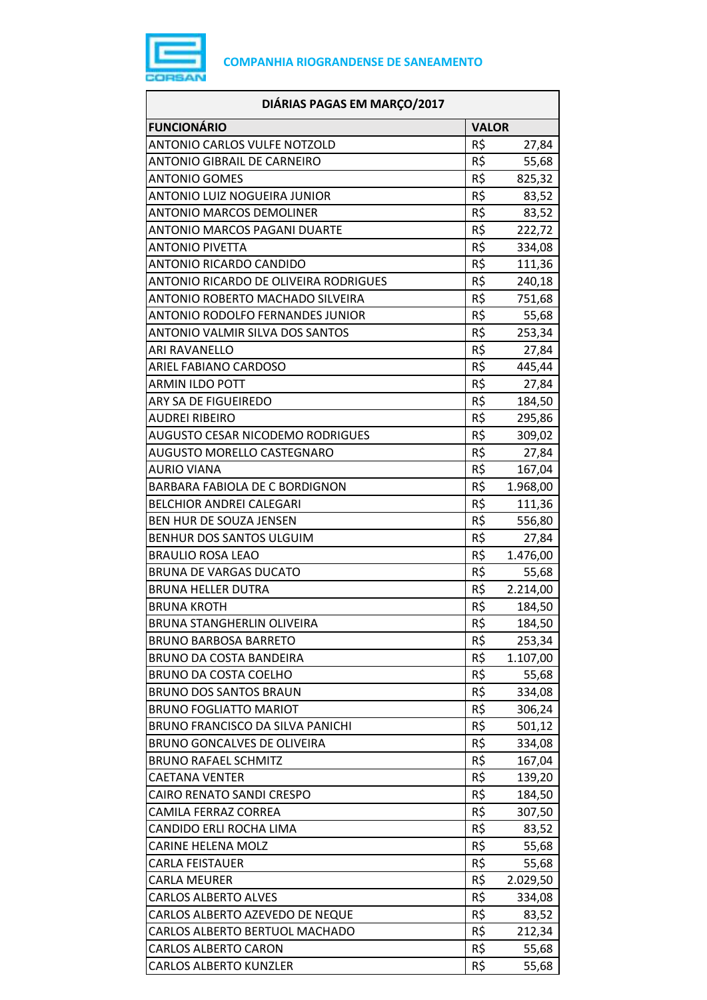

| DIÁRIAS PAGAS EM MARÇO/2017             |                 |          |
|-----------------------------------------|-----------------|----------|
| <b>FUNCIONÁRIO</b>                      | <b>VALOR</b>    |          |
| <b>ANTONIO CARLOS VULFE NOTZOLD</b>     | R\$             | 27,84    |
| ANTONIO GIBRAIL DE CARNEIRO             | R\$             | 55,68    |
| <b>ANTONIO GOMES</b>                    | R\$             | 825,32   |
| ANTONIO LUIZ NOGUEIRA JUNIOR            | R\$             | 83,52    |
| <b>ANTONIO MARCOS DEMOLINER</b>         | R\$             | 83,52    |
| ANTONIO MARCOS PAGANI DUARTE            | R\$             | 222,72   |
| <b>ANTONIO PIVETTA</b>                  | R\$             | 334,08   |
| <b>ANTONIO RICARDO CANDIDO</b>          | R\$             | 111,36   |
| ANTONIO RICARDO DE OLIVEIRA RODRIGUES   | R\$             | 240,18   |
| ANTONIO ROBERTO MACHADO SILVEIRA        | R\$             | 751,68   |
| <b>ANTONIO RODOLFO FERNANDES JUNIOR</b> | R\$             | 55,68    |
| ANTONIO VALMIR SILVA DOS SANTOS         | R\$             | 253,34   |
| <b>ARI RAVANELLO</b>                    | R\$             | 27,84    |
| ARIEL FABIANO CARDOSO                   | R\$             | 445,44   |
| <b>ARMIN ILDO POTT</b>                  | R\$             | 27,84    |
| ARY SA DE FIGUEIREDO                    | R\$             | 184,50   |
| <b>AUDREI RIBEIRO</b>                   | R\$             | 295,86   |
| AUGUSTO CESAR NICODEMO RODRIGUES        | R\$             | 309,02   |
| AUGUSTO MORELLO CASTEGNARO              | $R\overline{S}$ | 27,84    |
| AURIO VIANA                             | R\$             | 167,04   |
| BARBARA FABIOLA DE C BORDIGNON          | R\$             | 1.968,00 |
| <b>BELCHIOR ANDREI CALEGARI</b>         | R\$             | 111,36   |
| BEN HUR DE SOUZA JENSEN                 | R\$             | 556,80   |
| BENHUR DOS SANTOS ULGUIM                | R\$             | 27,84    |
| <b>BRAULIO ROSA LEAO</b>                | R\$             | 1.476,00 |
| <b>BRUNA DE VARGAS DUCATO</b>           | R\$             | 55,68    |
| <b>BRUNA HELLER DUTRA</b>               | R\$             | 2.214,00 |
| <b>BRUNA KROTH</b>                      | R\$             | 184,50   |
| BRUNA STANGHERLIN OLIVEIRA              | R\$             | 184,50   |
| <b>BRUNO BARBOSA BARRETO</b>            | R\$             | 253,34   |
| <b>BRUNO DA COSTA BANDEIRA</b>          | R\$             | 1.107,00 |
| <b>BRUNO DA COSTA COELHO</b>            | R\$             | 55,68    |
| <b>BRUNO DOS SANTOS BRAUN</b>           | R\$             | 334,08   |
| <b>BRUNO FOGLIATTO MARIOT</b>           | R\$             | 306,24   |
| BRUNO FRANCISCO DA SILVA PANICHI        | R\$             | 501,12   |
| BRUNO GONCALVES DE OLIVEIRA             | R\$             | 334,08   |
| <b>BRUNO RAFAEL SCHMITZ</b>             | R\$             | 167,04   |
| CAETANA VENTER                          | R\$             | 139,20   |
| CAIRO RENATO SANDI CRESPO               | R\$             | 184,50   |
| CAMILA FERRAZ CORREA                    | R\$             | 307,50   |
| CANDIDO ERLI ROCHA LIMA                 | R\$             | 83,52    |
| <b>CARINE HELENA MOLZ</b>               | R\$             | 55,68    |
| CARLA FEISTAUER                         | R\$             | 55,68    |
| <b>CARLA MEURER</b>                     | R\$             | 2.029,50 |
| <b>CARLOS ALBERTO ALVES</b>             | R\$             | 334,08   |
| CARLOS ALBERTO AZEVEDO DE NEQUE         | R\$             | 83,52    |
| CARLOS ALBERTO BERTUOL MACHADO          | R\$             | 212,34   |
| <b>CARLOS ALBERTO CARON</b>             | R\$             | 55,68    |
| <b>CARLOS ALBERTO KUNZLER</b>           | R\$             | 55,68    |
|                                         |                 |          |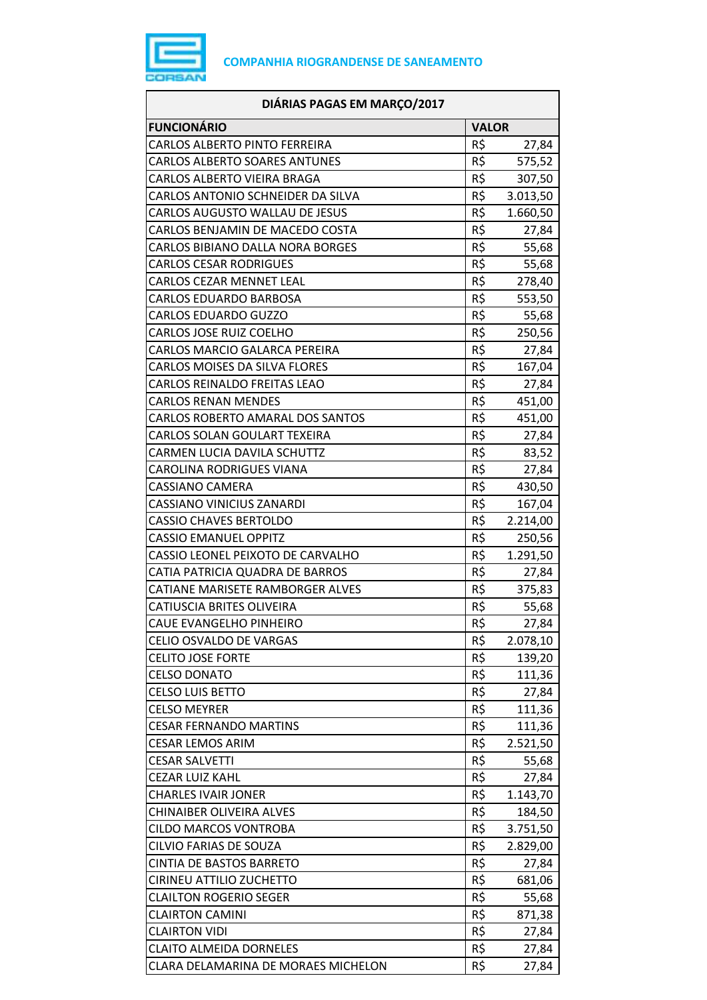

| DIÁRIAS PAGAS EM MARÇO/2017             |              |          |
|-----------------------------------------|--------------|----------|
| <b>FUNCIONÁRIO</b>                      | <b>VALOR</b> |          |
| CARLOS ALBERTO PINTO FERREIRA           | R\$          | 27,84    |
| <b>CARLOS ALBERTO SOARES ANTUNES</b>    | R\$          | 575,52   |
| CARLOS ALBERTO VIEIRA BRAGA             | R\$          | 307,50   |
| CARLOS ANTONIO SCHNEIDER DA SILVA       | R\$          | 3.013,50 |
| CARLOS AUGUSTO WALLAU DE JESUS          | R\$          | 1.660,50 |
| CARLOS BENJAMIN DE MACEDO COSTA         | R\$          | 27,84    |
| <b>CARLOS BIBIANO DALLA NORA BORGES</b> | R\$          | 55,68    |
| <b>CARLOS CESAR RODRIGUES</b>           | R\$          | 55,68    |
| CARLOS CEZAR MENNET LEAL                | R\$          | 278,40   |
| CARLOS EDUARDO BARBOSA                  | R\$          | 553,50   |
| <b>CARLOS EDUARDO GUZZO</b>             | R\$          | 55,68    |
| <b>CARLOS JOSE RUIZ COELHO</b>          | R\$          | 250,56   |
| CARLOS MARCIO GALARCA PEREIRA           | R\$          | 27,84    |
| <b>CARLOS MOISES DA SILVA FLORES</b>    | R\$          | 167,04   |
| CARLOS REINALDO FREITAS LEAO            | R\$          | 27,84    |
| <b>CARLOS RENAN MENDES</b>              | R\$          | 451,00   |
| <b>CARLOS ROBERTO AMARAL DOS SANTOS</b> | R\$          | 451,00   |
| CARLOS SOLAN GOULART TEXEIRA            | R\$          | 27,84    |
| CARMEN LUCIA DAVILA SCHUTTZ             | R\$          | 83,52    |
| CAROLINA RODRIGUES VIANA                | R\$          | 27,84    |
| <b>CASSIANO CAMERA</b>                  | R\$          | 430,50   |
| CASSIANO VINICIUS ZANARDI               | R\$          | 167,04   |
| <b>CASSIO CHAVES BERTOLDO</b>           | R\$          | 2.214,00 |
| <b>CASSIO EMANUEL OPPITZ</b>            | R\$          | 250,56   |
| CASSIO LEONEL PEIXOTO DE CARVALHO       | R\$          | 1.291,50 |
| CATIA PATRICIA QUADRA DE BARROS         | R\$          | 27,84    |
| CATIANE MARISETE RAMBORGER ALVES        | R\$          | 375,83   |
| CATIUSCIA BRITES OLIVEIRA               | R\$          | 55,68    |
| CAUE EVANGELHO PINHEIRO                 | R\$          | 27,84    |
| CELIO OSVALDO DE VARGAS                 | R\$          | 2.078,10 |
| <b>CELITO JOSE FORTE</b>                | R\$          | 139,20   |
| <b>CELSO DONATO</b>                     | R\$          | 111,36   |
| <b>CELSO LUIS BETTO</b>                 | R\$          | 27,84    |
| <b>CELSO MEYRER</b>                     | R\$          | 111,36   |
| <b>CESAR FERNANDO MARTINS</b>           | R\$          | 111,36   |
| <b>CESAR LEMOS ARIM</b>                 | R\$          | 2.521,50 |
| <b>CESAR SALVETTI</b>                   | R\$          | 55,68    |
| CEZAR LUIZ KAHL                         | R\$          | 27,84    |
| <b>CHARLES IVAIR JONER</b>              | R\$          | 1.143,70 |
| CHINAIBER OLIVEIRA ALVES                | R\$          | 184,50   |
| <b>CILDO MARCOS VONTROBA</b>            | R\$          | 3.751,50 |
| CILVIO FARIAS DE SOUZA                  | R\$          | 2.829,00 |
| CINTIA DE BASTOS BARRETO                | R\$          | 27,84    |
| CIRINEU ATTILIO ZUCHETTO                | R\$          | 681,06   |
| <b>CLAILTON ROGERIO SEGER</b>           | R\$          | 55,68    |
| <b>CLAIRTON CAMINI</b>                  | R\$          | 871,38   |
| <b>CLAIRTON VIDI</b>                    | R\$          | 27,84    |
| <b>CLAITO ALMEIDA DORNELES</b>          | R\$          | 27,84    |
| CLARA DELAMARINA DE MORAES MICHELON     | R\$          | 27,84    |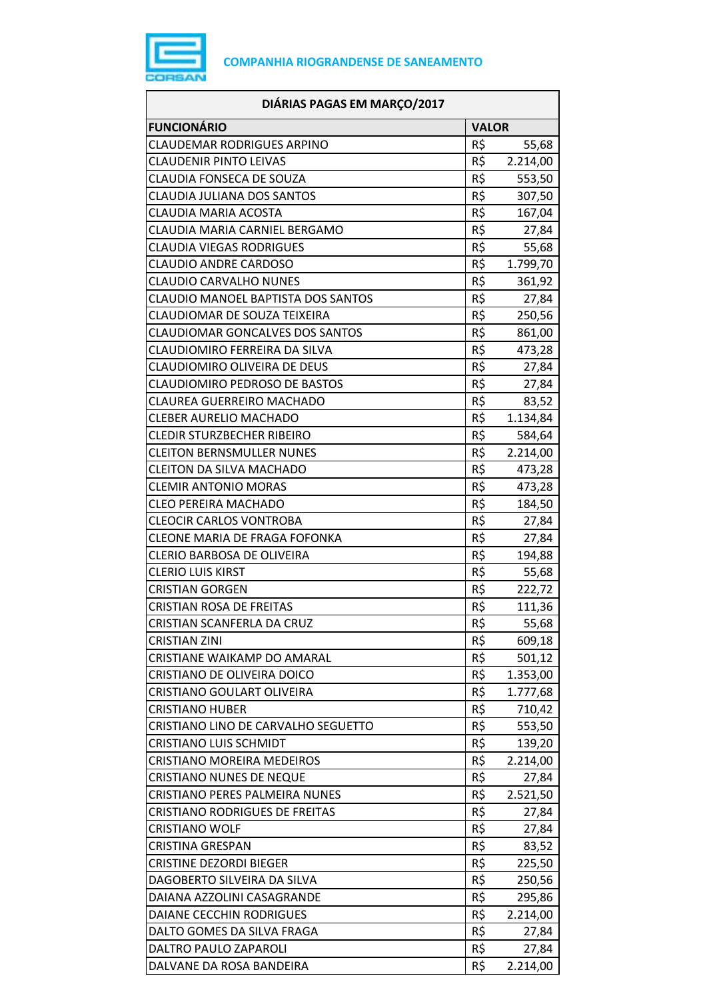

| DIÁRIAS PAGAS EM MARÇO/2017            |              |          |
|----------------------------------------|--------------|----------|
| <b>FUNCIONÁRIO</b>                     | <b>VALOR</b> |          |
| <b>CLAUDEMAR RODRIGUES ARPINO</b>      | R\$          | 55,68    |
| <b>CLAUDENIR PINTO LEIVAS</b>          | R\$          | 2.214,00 |
| <b>CLAUDIA FONSECA DE SOUZA</b>        | R\$          | 553,50   |
| CLAUDIA JULIANA DOS SANTOS             | R\$          | 307,50   |
| CLAUDIA MARIA ACOSTA                   | R\$          | 167,04   |
| CLAUDIA MARIA CARNIEL BERGAMO          | R\$          | 27,84    |
| CLAUDIA VIEGAS RODRIGUES               | R\$          | 55,68    |
| <b>CLAUDIO ANDRE CARDOSO</b>           | R\$          | 1.799,70 |
| <b>CLAUDIO CARVALHO NUNES</b>          | R\$          | 361,92   |
| CLAUDIO MANOEL BAPTISTA DOS SANTOS     | R\$          | 27,84    |
| CLAUDIOMAR DE SOUZA TEIXEIRA           | R\$          | 250,56   |
| <b>CLAUDIOMAR GONCALVES DOS SANTOS</b> | R\$          | 861,00   |
| CLAUDIOMIRO FERREIRA DA SILVA          | R\$          | 473,28   |
| CLAUDIOMIRO OLIVEIRA DE DEUS           | R\$          | 27,84    |
| <b>CLAUDIOMIRO PEDROSO DE BASTOS</b>   | R\$          | 27,84    |
| <b>CLAUREA GUERREIRO MACHADO</b>       | R\$          | 83,52    |
| <b>CLEBER AURELIO MACHADO</b>          | R\$          | 1.134,84 |
| <b>CLEDIR STURZBECHER RIBEIRO</b>      | R\$          | 584,64   |
| <b>CLEITON BERNSMULLER NUNES</b>       | R\$          | 2.214,00 |
| CLEITON DA SILVA MACHADO               | R\$          | 473,28   |
| <b>CLEMIR ANTONIO MORAS</b>            | R\$          | 473,28   |
| <b>CLEO PEREIRA MACHADO</b>            | R\$          | 184,50   |
| <b>CLEOCIR CARLOS VONTROBA</b>         | R\$          | 27,84    |
| CLEONE MARIA DE FRAGA FOFONKA          | R\$          | 27,84    |
| <b>CLERIO BARBOSA DE OLIVEIRA</b>      | R\$          | 194,88   |
| <b>CLERIO LUIS KIRST</b>               | R\$          | 55,68    |
| <b>CRISTIAN GORGEN</b>                 | R\$          | 222,72   |
| <b>CRISTIAN ROSA DE FREITAS</b>        | R\$          | 111,36   |
| CRISTIAN SCANFERLA DA CRUZ             | R\$          | 55,68    |
| <b>CRISTIAN ZINI</b>                   | R\$          | 609,18   |
| CRISTIANE WAIKAMP DO AMARAL            | R\$          | 501,12   |
| CRISTIANO DE OLIVEIRA DOICO            | R\$          | 1.353,00 |
| CRISTIANO GOULART OLIVEIRA             | R\$          | 1.777,68 |
| <b>CRISTIANO HUBER</b>                 | R\$          | 710,42   |
| CRISTIANO LINO DE CARVALHO SEGUETTO    | R\$          | 553,50   |
| <b>CRISTIANO LUIS SCHMIDT</b>          | R\$          | 139,20   |
| <b>CRISTIANO MOREIRA MEDEIROS</b>      | R\$          | 2.214,00 |
| <b>CRISTIANO NUNES DE NEQUE</b>        | R\$          | 27,84    |
| CRISTIANO PERES PALMEIRA NUNES         | R\$          | 2.521,50 |
| <b>CRISTIANO RODRIGUES DE FREITAS</b>  | R\$          | 27,84    |
| <b>CRISTIANO WOLF</b>                  | R\$          | 27,84    |
| <b>CRISTINA GRESPAN</b>                | R\$          | 83,52    |
| <b>CRISTINE DEZORDI BIEGER</b>         | R\$          | 225,50   |
| DAGOBERTO SILVEIRA DA SILVA            | R\$          | 250,56   |
| DAIANA AZZOLINI CASAGRANDE             | R\$          | 295,86   |
| DAIANE CECCHIN RODRIGUES               | R\$          | 2.214,00 |
| DALTO GOMES DA SILVA FRAGA             | R\$          | 27,84    |
| DALTRO PAULO ZAPAROLI                  | R\$          | 27,84    |
| DALVANE DA ROSA BANDEIRA               | R\$          | 2.214,00 |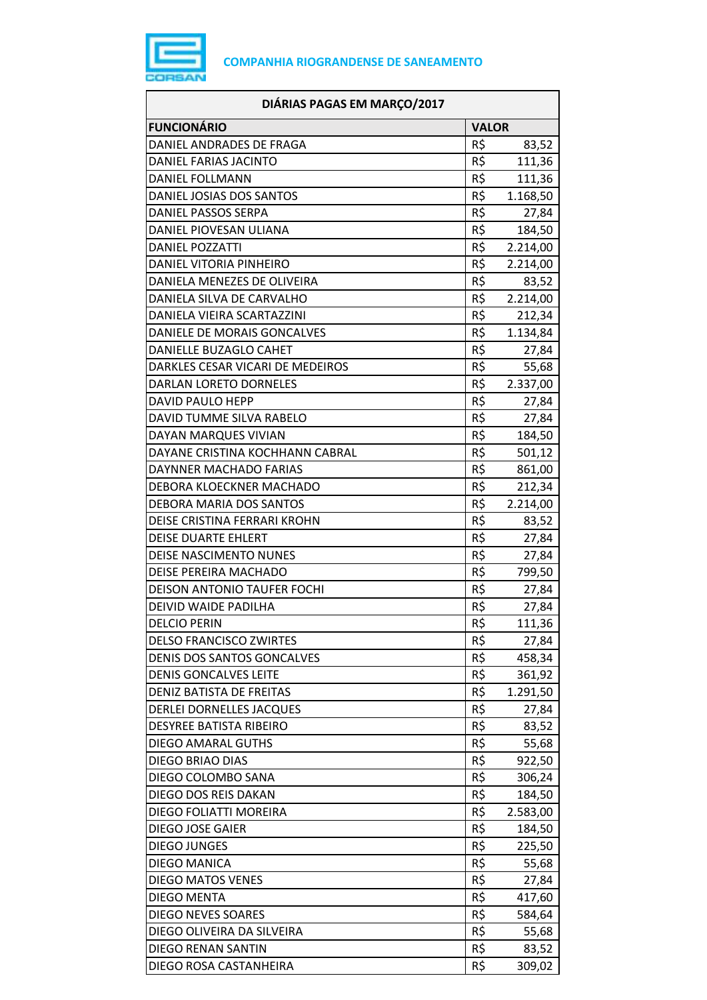

| DIÁRIAS PAGAS EM MARÇO/2017        |              |          |
|------------------------------------|--------------|----------|
| <b>FUNCIONÁRIO</b>                 | <b>VALOR</b> |          |
| DANIEL ANDRADES DE FRAGA           | R\$          | 83,52    |
| DANIEL FARIAS JACINTO              | R\$          | 111,36   |
| DANIEL FOLLMANN                    | R\$          | 111,36   |
| DANIEL JOSIAS DOS SANTOS           | R\$          | 1.168,50 |
| DANIEL PASSOS SERPA                | R\$          | 27,84    |
| DANIEL PIOVESAN ULIANA             | R\$          | 184,50   |
| <b>DANIEL POZZATTI</b>             | R\$          | 2.214,00 |
| DANIEL VITORIA PINHEIRO            | R\$          | 2.214,00 |
| DANIELA MENEZES DE OLIVEIRA        | R\$          | 83,52    |
| DANIELA SILVA DE CARVALHO          | R\$          | 2.214,00 |
| DANIELA VIEIRA SCARTAZZINI         | R\$          | 212,34   |
| DANIELE DE MORAIS GONCALVES        | R\$          | 1.134,84 |
| <b>DANIELLE BUZAGLO CAHET</b>      | R\$          | 27,84    |
| DARKLES CESAR VICARI DE MEDEIROS   | R\$          | 55,68    |
| <b>DARLAN LORETO DORNELES</b>      | R\$          | 2.337,00 |
| <b>DAVID PAULO HEPP</b>            | R\$          | 27,84    |
| DAVID TUMME SILVA RABELO           | R\$          | 27,84    |
| DAYAN MARQUES VIVIAN               | R\$          | 184,50   |
| DAYANE CRISTINA KOCHHANN CABRAL    | R\$          | 501,12   |
| DAYNNER MACHADO FARIAS             | R\$          | 861,00   |
| DEBORA KLOECKNER MACHADO           | R\$          | 212,34   |
| DEBORA MARIA DOS SANTOS            | R\$          | 2.214,00 |
| DEISE CRISTINA FERRARI KROHN       | R\$          | 83,52    |
| <b>DEISE DUARTE EHLERT</b>         | R\$          | 27,84    |
| DEISE NASCIMENTO NUNES             | R\$          | 27,84    |
| DEISE PEREIRA MACHADO              | R\$          | 799,50   |
| <b>DEISON ANTONIO TAUFER FOCHI</b> | R\$          | 27,84    |
| DEIVID WAIDE PADILHA               | R\$          | 27,84    |
| <b>DELCIO PERIN</b>                | R\$          | 111,36   |
| <b>DELSO FRANCISCO ZWIRTES</b>     | R\$          | 27,84    |
| DENIS DOS SANTOS GONCALVES         | R\$          | 458,34   |
| <b>DENIS GONCALVES LEITE</b>       | R\$          | 361,92   |
| DENIZ BATISTA DE FREITAS           | R\$          | 1.291,50 |
| <b>DERLEI DORNELLES JACQUES</b>    | R\$          | 27,84    |
| DESYREE BATISTA RIBEIRO            | R\$          | 83,52    |
| DIEGO AMARAL GUTHS                 | R\$          | 55,68    |
| DIEGO BRIAO DIAS                   | R\$          | 922,50   |
| DIEGO COLOMBO SANA                 | R\$          | 306,24   |
| DIEGO DOS REIS DAKAN               | R\$          | 184,50   |
| DIEGO FOLIATTI MOREIRA             | R\$          | 2.583,00 |
| DIEGO JOSE GAIER                   | R\$          | 184,50   |
| <b>DIEGO JUNGES</b>                | R\$          | 225,50   |
| DIEGO MANICA                       | R\$          | 55,68    |
| <b>DIEGO MATOS VENES</b>           | R\$          | 27,84    |
| DIEGO MENTA                        | R\$          | 417,60   |
| <b>DIEGO NEVES SOARES</b>          | R\$          | 584,64   |
| DIEGO OLIVEIRA DA SILVEIRA         | R\$          | 55,68    |
| <b>DIEGO RENAN SANTIN</b>          | R\$          | 83,52    |
| DIEGO ROSA CASTANHEIRA             | R\$          | 309,02   |
|                                    |              |          |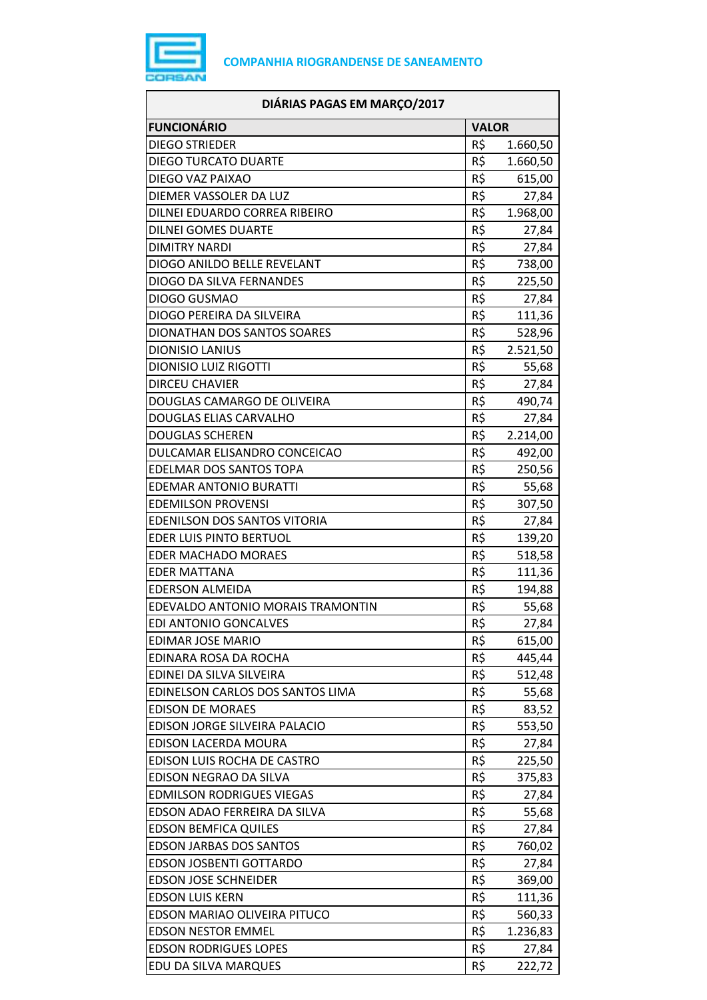

| DIÁRIAS PAGAS EM MARÇO/2017       |              |          |
|-----------------------------------|--------------|----------|
| <b>FUNCIONÁRIO</b>                | <b>VALOR</b> |          |
| <b>DIEGO STRIEDER</b>             | R\$          | 1.660,50 |
| <b>DIEGO TURCATO DUARTE</b>       | R\$          | 1.660,50 |
| DIEGO VAZ PAIXAO                  | R\$          | 615,00   |
| DIEMER VASSOLER DA LUZ            | R\$          | 27,84    |
| DILNEI EDUARDO CORREA RIBEIRO     | R\$          | 1.968,00 |
| <b>DILNEI GOMES DUARTE</b>        | R\$          | 27,84    |
| <b>DIMITRY NARDI</b>              | R\$          | 27,84    |
| DIOGO ANILDO BELLE REVELANT       | R\$          | 738,00   |
| DIOGO DA SILVA FERNANDES          | R\$          | 225,50   |
| DIOGO GUSMAO                      | R\$          | 27,84    |
| DIOGO PEREIRA DA SILVEIRA         | R\$          | 111,36   |
| DIONATHAN DOS SANTOS SOARES       | R\$          | 528,96   |
| <b>DIONISIO LANIUS</b>            | R\$          | 2.521,50 |
| <b>DIONISIO LUIZ RIGOTTI</b>      | R\$          | 55,68    |
| <b>DIRCEU CHAVIER</b>             | R\$          | 27,84    |
| DOUGLAS CAMARGO DE OLIVEIRA       | R\$          | 490,74   |
| <b>DOUGLAS ELIAS CARVALHO</b>     | R\$          | 27,84    |
| <b>DOUGLAS SCHEREN</b>            | R\$          | 2.214,00 |
| DULCAMAR ELISANDRO CONCEICAO      | R\$          | 492,00   |
| EDELMAR DOS SANTOS TOPA           | R\$          | 250,56   |
| <b>EDEMAR ANTONIO BURATTI</b>     | R\$          | 55,68    |
| <b>EDEMILSON PROVENSI</b>         | R\$          | 307,50   |
| EDENILSON DOS SANTOS VITORIA      | R\$          | 27,84    |
| EDER LUIS PINTO BERTUOL           | R\$          | 139,20   |
| <b>EDER MACHADO MORAES</b>        | R\$          | 518,58   |
| <b>EDER MATTANA</b>               | R\$          | 111,36   |
| <b>EDERSON ALMEIDA</b>            | R\$          | 194,88   |
| EDEVALDO ANTONIO MORAIS TRAMONTIN | R\$          | 55,68    |
| EDI ANTONIO GONCALVES             | R\$          | 27,84    |
| EDIMAR JOSE MARIO                 | R\$          | 615,00   |
| EDINARA ROSA DA ROCHA             | R\$          | 445,44   |
| EDINEI DA SILVA SILVEIRA          | R\$          | 512,48   |
| EDINELSON CARLOS DOS SANTOS LIMA  | R\$          | 55,68    |
| <b>EDISON DE MORAES</b>           | R\$          | 83,52    |
| EDISON JORGE SILVEIRA PALACIO     | R\$          | 553,50   |
| EDISON LACERDA MOURA              | R\$          | 27,84    |
| EDISON LUIS ROCHA DE CASTRO       | R\$          | 225,50   |
| EDISON NEGRAO DA SILVA            | R\$          | 375,83   |
| <b>EDMILSON RODRIGUES VIEGAS</b>  | R\$          | 27,84    |
| EDSON ADAO FERREIRA DA SILVA      | R\$          | 55,68    |
| <b>EDSON BEMFICA QUILES</b>       | R\$          | 27,84    |
| <b>EDSON JARBAS DOS SANTOS</b>    | R\$          | 760,02   |
| EDSON JOSBENTI GOTTARDO           | R\$          | 27,84    |
| <b>EDSON JOSE SCHNEIDER</b>       | R\$          | 369,00   |
| <b>EDSON LUIS KERN</b>            | R\$          | 111,36   |
| EDSON MARIAO OLIVEIRA PITUCO      | R\$          | 560,33   |
| <b>EDSON NESTOR EMMEL</b>         | R\$          | 1.236,83 |
| <b>EDSON RODRIGUES LOPES</b>      | R\$          | 27,84    |
| EDU DA SILVA MARQUES              | R\$          | 222,72   |
|                                   |              |          |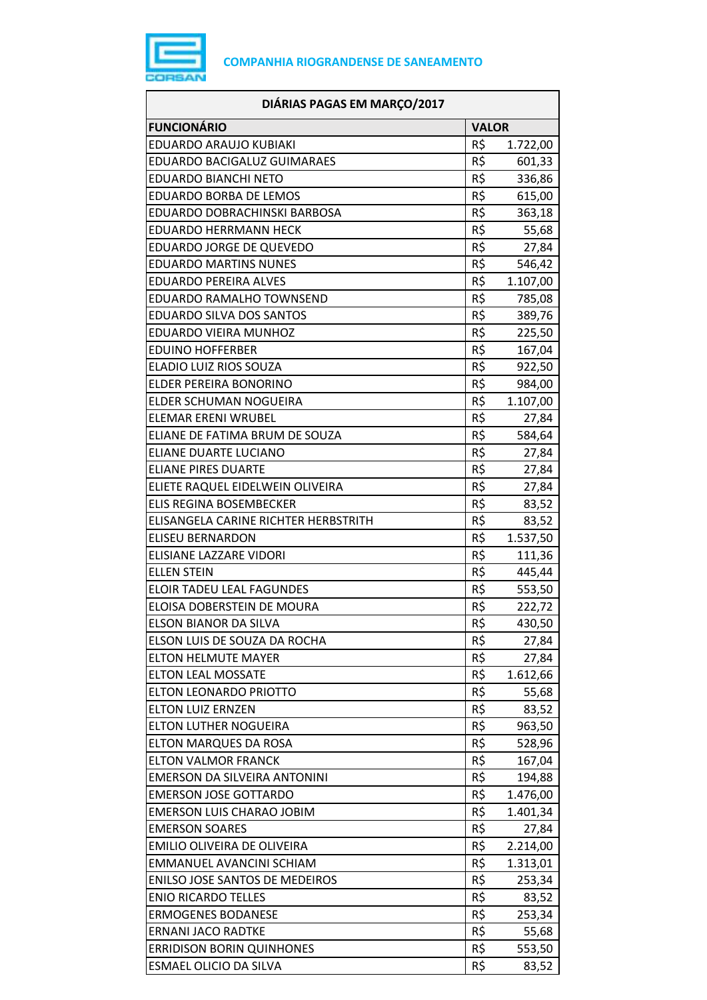

| DIÁRIAS PAGAS EM MARÇO/2017           |              |          |
|---------------------------------------|--------------|----------|
| <b>FUNCIONÁRIO</b>                    | <b>VALOR</b> |          |
| EDUARDO ARAUJO KUBIAKI                | R\$          | 1.722,00 |
| EDUARDO BACIGALUZ GUIMARAES           | R\$          | 601,33   |
| <b>EDUARDO BIANCHI NETO</b>           | R\$          | 336,86   |
| EDUARDO BORBA DE LEMOS                | R\$          | 615,00   |
| EDUARDO DOBRACHINSKI BARBOSA          | R\$          | 363,18   |
| <b>EDUARDO HERRMANN HECK</b>          | R\$          | 55,68    |
| EDUARDO JORGE DE QUEVEDO              | R\$          | 27,84    |
| <b>EDUARDO MARTINS NUNES</b>          | R\$          | 546,42   |
| <b>EDUARDO PEREIRA ALVES</b>          | R\$          | 1.107,00 |
| EDUARDO RAMALHO TOWNSEND              | R\$          | 785,08   |
| EDUARDO SILVA DOS SANTOS              | R\$          | 389,76   |
| EDUARDO VIEIRA MUNHOZ                 | R\$          | 225,50   |
| <b>EDUINO HOFFERBER</b>               | R\$          | 167,04   |
| ELADIO LUIZ RIOS SOUZA                | R\$          | 922,50   |
| ELDER PEREIRA BONORINO                | R\$          | 984,00   |
| ELDER SCHUMAN NOGUEIRA                | R\$          | 1.107,00 |
| <b>ELEMAR ERENI WRUBEL</b>            | R\$          | 27,84    |
| ELIANE DE FATIMA BRUM DE SOUZA        | R\$          | 584,64   |
| <b>ELIANE DUARTE LUCIANO</b>          | R\$          | 27,84    |
| <b>ELIANE PIRES DUARTE</b>            | R\$          | 27,84    |
| ELIETE RAQUEL EIDELWEIN OLIVEIRA      | R\$          | 27,84    |
| <b>ELIS REGINA BOSEMBECKER</b>        | R\$          | 83,52    |
| ELISANGELA CARINE RICHTER HERBSTRITH  | R\$          | 83,52    |
| <b>ELISEU BERNARDON</b>               | R\$          | 1.537,50 |
| <b>ELISIANE LAZZARE VIDORI</b>        | R\$          | 111,36   |
| <b>ELLEN STEIN</b>                    | R\$          | 445,44   |
| <b>ELOIR TADEU LEAL FAGUNDES</b>      | R\$          | 553,50   |
| ELOISA DOBERSTEIN DE MOURA            | R\$          | 222,72   |
| ELSON BIANOR DA SILVA                 | R\$          | 430,50   |
| ELSON LUIS DE SOUZA DA ROCHA          | R\$          | 27,84    |
| <b>ELTON HELMUTE MAYER</b>            | R\$          | 27,84    |
| <b>ELTON LEAL MOSSATE</b>             | R\$          | 1.612,66 |
| <b>ELTON LEONARDO PRIOTTO</b>         | R\$          | 55,68    |
| <b>ELTON LUIZ ERNZEN</b>              | R\$          | 83,52    |
| <b>ELTON LUTHER NOGUEIRA</b>          | R\$          | 963,50   |
| ELTON MARQUES DA ROSA                 | R\$          | 528,96   |
| <b>ELTON VALMOR FRANCK</b>            | R\$          | 167,04   |
| EMERSON DA SILVEIRA ANTONINI          | R\$          | 194,88   |
| <b>EMERSON JOSE GOTTARDO</b>          | R\$          | 1.476,00 |
| EMERSON LUIS CHARAO JOBIM             | R\$          | 1.401,34 |
| <b>EMERSON SOARES</b>                 | R\$          | 27,84    |
| EMILIO OLIVEIRA DE OLIVEIRA           | R\$          | 2.214,00 |
| EMMANUEL AVANCINI SCHIAM              | R\$          | 1.313,01 |
| <b>ENILSO JOSE SANTOS DE MEDEIROS</b> | R\$          | 253,34   |
| <b>ENIO RICARDO TELLES</b>            | R\$          | 83,52    |
| <b>ERMOGENES BODANESE</b>             | R\$          | 253,34   |
| <b>ERNANI JACO RADTKE</b>             | R\$          | 55,68    |
| <b>ERRIDISON BORIN QUINHONES</b>      | R\$          | 553,50   |
| ESMAEL OLICIO DA SILVA                | R\$          | 83,52    |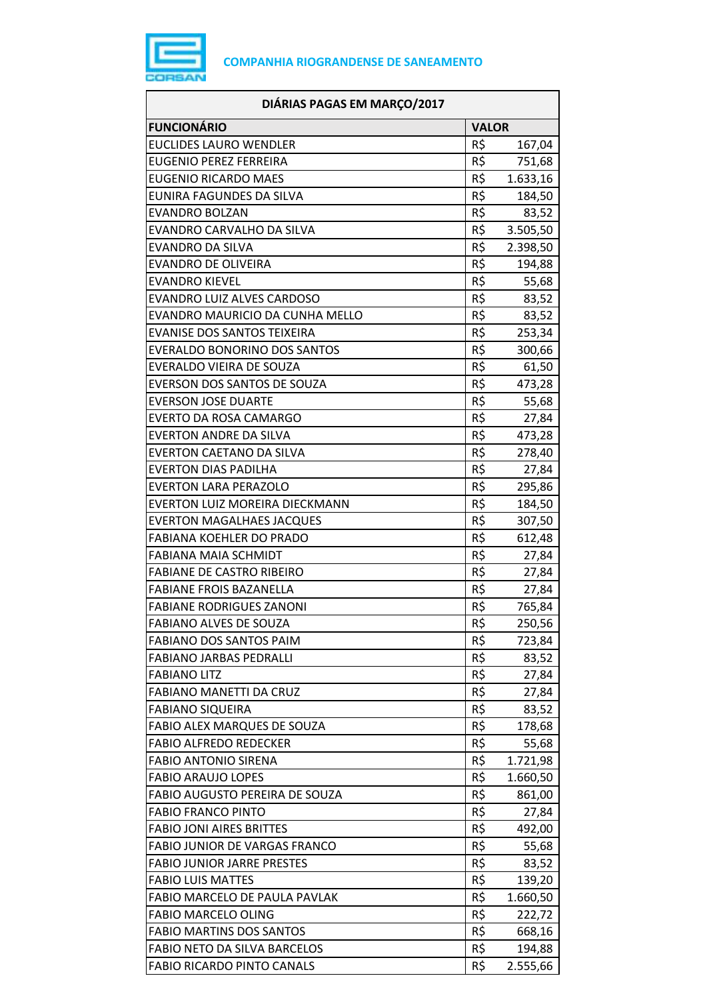

| <b>FUNCIONÁRIO</b><br><b>VALOR</b><br><b>EUCLIDES LAURO WENDLER</b><br>R\$<br>167,04<br>R\$<br><b>EUGENIO PEREZ FERREIRA</b><br>751,68<br>R\$<br><b>EUGENIO RICARDO MAES</b><br>1.633,16<br>R\$<br>EUNIRA FAGUNDES DA SILVA<br>184,50<br>R\$<br><b>EVANDRO BOLZAN</b><br>83,52<br>R\$<br>3.505,50<br>EVANDRO CARVALHO DA SILVA<br>R\$<br><b>EVANDRO DA SILVA</b><br>2.398,50<br>R\$<br><b>EVANDRO DE OLIVEIRA</b><br>194,88<br>R\$<br><b>EVANDRO KIEVEL</b><br>55,68<br>R\$<br>EVANDRO LUIZ ALVES CARDOSO<br>83,52<br>R\$<br>EVANDRO MAURICIO DA CUNHA MELLO<br>83,52<br>R\$<br><b>EVANISE DOS SANTOS TEIXEIRA</b><br>253,34<br>R\$<br><b>EVERALDO BONORINO DOS SANTOS</b><br>300,66<br>R\$<br>EVERALDO VIEIRA DE SOUZA<br>61,50<br>R\$<br>EVERSON DOS SANTOS DE SOUZA<br>473,28<br>R\$<br><b>EVERSON JOSE DUARTE</b><br>55,68<br>R\$<br>EVERTO DA ROSA CAMARGO<br>27,84<br>R\$<br><b>EVERTON ANDRE DA SILVA</b><br>473,28<br>R\$<br>EVERTON CAETANO DA SILVA<br>278,40<br>R\$<br><b>EVERTON DIAS PADILHA</b><br>27,84<br>R\$<br><b>EVERTON LARA PERAZOLO</b><br>295,86<br>R\$<br>EVERTON LUIZ MOREIRA DIECKMANN<br>184,50<br>R\$<br><b>EVERTON MAGALHAES JACQUES</b><br>307,50<br>R\$<br><b>FABIANA KOEHLER DO PRADO</b><br>612,48<br>R\$<br><b>FABIANA MAIA SCHMIDT</b><br>27,84<br>R\$<br><b>FABIANE DE CASTRO RIBEIRO</b><br>27,84<br>R\$<br><b>FABIANE FROIS BAZANELLA</b><br>27,84<br>R\$<br><b>FABIANE RODRIGUES ZANONI</b><br>765,84<br>R\$<br>250,56<br><b>FABIANO ALVES DE SOUZA</b><br>R\$<br>FABIANO DOS SANTOS PAIM<br>723,84<br><b>FABIANO JARBAS PEDRALLI</b><br>R\$<br>83,52<br>R\$<br><b>FABIANO LITZ</b><br>27,84<br>R\$<br><b>FABIANO MANETTI DA CRUZ</b><br>27,84<br>R\$<br><b>FABIANO SIQUEIRA</b><br>83,52<br>R\$<br>FABIO ALEX MARQUES DE SOUZA<br>178,68<br>R\$<br><b>FABIO ALFREDO REDECKER</b><br>55,68<br>R\$<br><b>FABIO ANTONIO SIRENA</b><br>1.721,98<br>R\$<br><b>FABIO ARAUJO LOPES</b><br>1.660,50<br>R\$<br>FABIO AUGUSTO PEREIRA DE SOUZA<br>861,00<br>R\$<br><b>FABIO FRANCO PINTO</b><br>27,84<br>R\$<br><b>FABIO JONI AIRES BRITTES</b><br>492,00<br>R\$<br><b>FABIO JUNIOR DE VARGAS FRANCO</b><br>55,68<br>R\$<br><b>FABIO JUNIOR JARRE PRESTES</b><br>83,52<br>R\$<br><b>FABIO LUIS MATTES</b><br>139,20<br>R\$<br>FABIO MARCELO DE PAULA PAVLAK<br>1.660,50<br>R\$<br><b>FABIO MARCELO OLING</b><br>222,72<br>R\$<br><b>FABIO MARTINS DOS SANTOS</b><br>668,16<br>R\$<br>FABIO NETO DA SILVA BARCELOS<br>194,88<br>R\$<br><b>FABIO RICARDO PINTO CANALS</b><br>2.555,66 | DIÁRIAS PAGAS EM MARÇO/2017 |  |  |
|-------------------------------------------------------------------------------------------------------------------------------------------------------------------------------------------------------------------------------------------------------------------------------------------------------------------------------------------------------------------------------------------------------------------------------------------------------------------------------------------------------------------------------------------------------------------------------------------------------------------------------------------------------------------------------------------------------------------------------------------------------------------------------------------------------------------------------------------------------------------------------------------------------------------------------------------------------------------------------------------------------------------------------------------------------------------------------------------------------------------------------------------------------------------------------------------------------------------------------------------------------------------------------------------------------------------------------------------------------------------------------------------------------------------------------------------------------------------------------------------------------------------------------------------------------------------------------------------------------------------------------------------------------------------------------------------------------------------------------------------------------------------------------------------------------------------------------------------------------------------------------------------------------------------------------------------------------------------------------------------------------------------------------------------------------------------------------------------------------------------------------------------------------------------------------------------------------------------------------------------------------------------------------------------------------------------------------------------------------------------------------------------------------------------------------------------------------------------------------------------------------------------|-----------------------------|--|--|
|                                                                                                                                                                                                                                                                                                                                                                                                                                                                                                                                                                                                                                                                                                                                                                                                                                                                                                                                                                                                                                                                                                                                                                                                                                                                                                                                                                                                                                                                                                                                                                                                                                                                                                                                                                                                                                                                                                                                                                                                                                                                                                                                                                                                                                                                                                                                                                                                                                                                                                                   |                             |  |  |
|                                                                                                                                                                                                                                                                                                                                                                                                                                                                                                                                                                                                                                                                                                                                                                                                                                                                                                                                                                                                                                                                                                                                                                                                                                                                                                                                                                                                                                                                                                                                                                                                                                                                                                                                                                                                                                                                                                                                                                                                                                                                                                                                                                                                                                                                                                                                                                                                                                                                                                                   |                             |  |  |
|                                                                                                                                                                                                                                                                                                                                                                                                                                                                                                                                                                                                                                                                                                                                                                                                                                                                                                                                                                                                                                                                                                                                                                                                                                                                                                                                                                                                                                                                                                                                                                                                                                                                                                                                                                                                                                                                                                                                                                                                                                                                                                                                                                                                                                                                                                                                                                                                                                                                                                                   |                             |  |  |
|                                                                                                                                                                                                                                                                                                                                                                                                                                                                                                                                                                                                                                                                                                                                                                                                                                                                                                                                                                                                                                                                                                                                                                                                                                                                                                                                                                                                                                                                                                                                                                                                                                                                                                                                                                                                                                                                                                                                                                                                                                                                                                                                                                                                                                                                                                                                                                                                                                                                                                                   |                             |  |  |
|                                                                                                                                                                                                                                                                                                                                                                                                                                                                                                                                                                                                                                                                                                                                                                                                                                                                                                                                                                                                                                                                                                                                                                                                                                                                                                                                                                                                                                                                                                                                                                                                                                                                                                                                                                                                                                                                                                                                                                                                                                                                                                                                                                                                                                                                                                                                                                                                                                                                                                                   |                             |  |  |
|                                                                                                                                                                                                                                                                                                                                                                                                                                                                                                                                                                                                                                                                                                                                                                                                                                                                                                                                                                                                                                                                                                                                                                                                                                                                                                                                                                                                                                                                                                                                                                                                                                                                                                                                                                                                                                                                                                                                                                                                                                                                                                                                                                                                                                                                                                                                                                                                                                                                                                                   |                             |  |  |
|                                                                                                                                                                                                                                                                                                                                                                                                                                                                                                                                                                                                                                                                                                                                                                                                                                                                                                                                                                                                                                                                                                                                                                                                                                                                                                                                                                                                                                                                                                                                                                                                                                                                                                                                                                                                                                                                                                                                                                                                                                                                                                                                                                                                                                                                                                                                                                                                                                                                                                                   |                             |  |  |
|                                                                                                                                                                                                                                                                                                                                                                                                                                                                                                                                                                                                                                                                                                                                                                                                                                                                                                                                                                                                                                                                                                                                                                                                                                                                                                                                                                                                                                                                                                                                                                                                                                                                                                                                                                                                                                                                                                                                                                                                                                                                                                                                                                                                                                                                                                                                                                                                                                                                                                                   |                             |  |  |
|                                                                                                                                                                                                                                                                                                                                                                                                                                                                                                                                                                                                                                                                                                                                                                                                                                                                                                                                                                                                                                                                                                                                                                                                                                                                                                                                                                                                                                                                                                                                                                                                                                                                                                                                                                                                                                                                                                                                                                                                                                                                                                                                                                                                                                                                                                                                                                                                                                                                                                                   |                             |  |  |
|                                                                                                                                                                                                                                                                                                                                                                                                                                                                                                                                                                                                                                                                                                                                                                                                                                                                                                                                                                                                                                                                                                                                                                                                                                                                                                                                                                                                                                                                                                                                                                                                                                                                                                                                                                                                                                                                                                                                                                                                                                                                                                                                                                                                                                                                                                                                                                                                                                                                                                                   |                             |  |  |
|                                                                                                                                                                                                                                                                                                                                                                                                                                                                                                                                                                                                                                                                                                                                                                                                                                                                                                                                                                                                                                                                                                                                                                                                                                                                                                                                                                                                                                                                                                                                                                                                                                                                                                                                                                                                                                                                                                                                                                                                                                                                                                                                                                                                                                                                                                                                                                                                                                                                                                                   |                             |  |  |
|                                                                                                                                                                                                                                                                                                                                                                                                                                                                                                                                                                                                                                                                                                                                                                                                                                                                                                                                                                                                                                                                                                                                                                                                                                                                                                                                                                                                                                                                                                                                                                                                                                                                                                                                                                                                                                                                                                                                                                                                                                                                                                                                                                                                                                                                                                                                                                                                                                                                                                                   |                             |  |  |
|                                                                                                                                                                                                                                                                                                                                                                                                                                                                                                                                                                                                                                                                                                                                                                                                                                                                                                                                                                                                                                                                                                                                                                                                                                                                                                                                                                                                                                                                                                                                                                                                                                                                                                                                                                                                                                                                                                                                                                                                                                                                                                                                                                                                                                                                                                                                                                                                                                                                                                                   |                             |  |  |
|                                                                                                                                                                                                                                                                                                                                                                                                                                                                                                                                                                                                                                                                                                                                                                                                                                                                                                                                                                                                                                                                                                                                                                                                                                                                                                                                                                                                                                                                                                                                                                                                                                                                                                                                                                                                                                                                                                                                                                                                                                                                                                                                                                                                                                                                                                                                                                                                                                                                                                                   |                             |  |  |
|                                                                                                                                                                                                                                                                                                                                                                                                                                                                                                                                                                                                                                                                                                                                                                                                                                                                                                                                                                                                                                                                                                                                                                                                                                                                                                                                                                                                                                                                                                                                                                                                                                                                                                                                                                                                                                                                                                                                                                                                                                                                                                                                                                                                                                                                                                                                                                                                                                                                                                                   |                             |  |  |
|                                                                                                                                                                                                                                                                                                                                                                                                                                                                                                                                                                                                                                                                                                                                                                                                                                                                                                                                                                                                                                                                                                                                                                                                                                                                                                                                                                                                                                                                                                                                                                                                                                                                                                                                                                                                                                                                                                                                                                                                                                                                                                                                                                                                                                                                                                                                                                                                                                                                                                                   |                             |  |  |
|                                                                                                                                                                                                                                                                                                                                                                                                                                                                                                                                                                                                                                                                                                                                                                                                                                                                                                                                                                                                                                                                                                                                                                                                                                                                                                                                                                                                                                                                                                                                                                                                                                                                                                                                                                                                                                                                                                                                                                                                                                                                                                                                                                                                                                                                                                                                                                                                                                                                                                                   |                             |  |  |
|                                                                                                                                                                                                                                                                                                                                                                                                                                                                                                                                                                                                                                                                                                                                                                                                                                                                                                                                                                                                                                                                                                                                                                                                                                                                                                                                                                                                                                                                                                                                                                                                                                                                                                                                                                                                                                                                                                                                                                                                                                                                                                                                                                                                                                                                                                                                                                                                                                                                                                                   |                             |  |  |
|                                                                                                                                                                                                                                                                                                                                                                                                                                                                                                                                                                                                                                                                                                                                                                                                                                                                                                                                                                                                                                                                                                                                                                                                                                                                                                                                                                                                                                                                                                                                                                                                                                                                                                                                                                                                                                                                                                                                                                                                                                                                                                                                                                                                                                                                                                                                                                                                                                                                                                                   |                             |  |  |
|                                                                                                                                                                                                                                                                                                                                                                                                                                                                                                                                                                                                                                                                                                                                                                                                                                                                                                                                                                                                                                                                                                                                                                                                                                                                                                                                                                                                                                                                                                                                                                                                                                                                                                                                                                                                                                                                                                                                                                                                                                                                                                                                                                                                                                                                                                                                                                                                                                                                                                                   |                             |  |  |
|                                                                                                                                                                                                                                                                                                                                                                                                                                                                                                                                                                                                                                                                                                                                                                                                                                                                                                                                                                                                                                                                                                                                                                                                                                                                                                                                                                                                                                                                                                                                                                                                                                                                                                                                                                                                                                                                                                                                                                                                                                                                                                                                                                                                                                                                                                                                                                                                                                                                                                                   |                             |  |  |
|                                                                                                                                                                                                                                                                                                                                                                                                                                                                                                                                                                                                                                                                                                                                                                                                                                                                                                                                                                                                                                                                                                                                                                                                                                                                                                                                                                                                                                                                                                                                                                                                                                                                                                                                                                                                                                                                                                                                                                                                                                                                                                                                                                                                                                                                                                                                                                                                                                                                                                                   |                             |  |  |
|                                                                                                                                                                                                                                                                                                                                                                                                                                                                                                                                                                                                                                                                                                                                                                                                                                                                                                                                                                                                                                                                                                                                                                                                                                                                                                                                                                                                                                                                                                                                                                                                                                                                                                                                                                                                                                                                                                                                                                                                                                                                                                                                                                                                                                                                                                                                                                                                                                                                                                                   |                             |  |  |
|                                                                                                                                                                                                                                                                                                                                                                                                                                                                                                                                                                                                                                                                                                                                                                                                                                                                                                                                                                                                                                                                                                                                                                                                                                                                                                                                                                                                                                                                                                                                                                                                                                                                                                                                                                                                                                                                                                                                                                                                                                                                                                                                                                                                                                                                                                                                                                                                                                                                                                                   |                             |  |  |
|                                                                                                                                                                                                                                                                                                                                                                                                                                                                                                                                                                                                                                                                                                                                                                                                                                                                                                                                                                                                                                                                                                                                                                                                                                                                                                                                                                                                                                                                                                                                                                                                                                                                                                                                                                                                                                                                                                                                                                                                                                                                                                                                                                                                                                                                                                                                                                                                                                                                                                                   |                             |  |  |
|                                                                                                                                                                                                                                                                                                                                                                                                                                                                                                                                                                                                                                                                                                                                                                                                                                                                                                                                                                                                                                                                                                                                                                                                                                                                                                                                                                                                                                                                                                                                                                                                                                                                                                                                                                                                                                                                                                                                                                                                                                                                                                                                                                                                                                                                                                                                                                                                                                                                                                                   |                             |  |  |
|                                                                                                                                                                                                                                                                                                                                                                                                                                                                                                                                                                                                                                                                                                                                                                                                                                                                                                                                                                                                                                                                                                                                                                                                                                                                                                                                                                                                                                                                                                                                                                                                                                                                                                                                                                                                                                                                                                                                                                                                                                                                                                                                                                                                                                                                                                                                                                                                                                                                                                                   |                             |  |  |
|                                                                                                                                                                                                                                                                                                                                                                                                                                                                                                                                                                                                                                                                                                                                                                                                                                                                                                                                                                                                                                                                                                                                                                                                                                                                                                                                                                                                                                                                                                                                                                                                                                                                                                                                                                                                                                                                                                                                                                                                                                                                                                                                                                                                                                                                                                                                                                                                                                                                                                                   |                             |  |  |
|                                                                                                                                                                                                                                                                                                                                                                                                                                                                                                                                                                                                                                                                                                                                                                                                                                                                                                                                                                                                                                                                                                                                                                                                                                                                                                                                                                                                                                                                                                                                                                                                                                                                                                                                                                                                                                                                                                                                                                                                                                                                                                                                                                                                                                                                                                                                                                                                                                                                                                                   |                             |  |  |
|                                                                                                                                                                                                                                                                                                                                                                                                                                                                                                                                                                                                                                                                                                                                                                                                                                                                                                                                                                                                                                                                                                                                                                                                                                                                                                                                                                                                                                                                                                                                                                                                                                                                                                                                                                                                                                                                                                                                                                                                                                                                                                                                                                                                                                                                                                                                                                                                                                                                                                                   |                             |  |  |
|                                                                                                                                                                                                                                                                                                                                                                                                                                                                                                                                                                                                                                                                                                                                                                                                                                                                                                                                                                                                                                                                                                                                                                                                                                                                                                                                                                                                                                                                                                                                                                                                                                                                                                                                                                                                                                                                                                                                                                                                                                                                                                                                                                                                                                                                                                                                                                                                                                                                                                                   |                             |  |  |
|                                                                                                                                                                                                                                                                                                                                                                                                                                                                                                                                                                                                                                                                                                                                                                                                                                                                                                                                                                                                                                                                                                                                                                                                                                                                                                                                                                                                                                                                                                                                                                                                                                                                                                                                                                                                                                                                                                                                                                                                                                                                                                                                                                                                                                                                                                                                                                                                                                                                                                                   |                             |  |  |
|                                                                                                                                                                                                                                                                                                                                                                                                                                                                                                                                                                                                                                                                                                                                                                                                                                                                                                                                                                                                                                                                                                                                                                                                                                                                                                                                                                                                                                                                                                                                                                                                                                                                                                                                                                                                                                                                                                                                                                                                                                                                                                                                                                                                                                                                                                                                                                                                                                                                                                                   |                             |  |  |
|                                                                                                                                                                                                                                                                                                                                                                                                                                                                                                                                                                                                                                                                                                                                                                                                                                                                                                                                                                                                                                                                                                                                                                                                                                                                                                                                                                                                                                                                                                                                                                                                                                                                                                                                                                                                                                                                                                                                                                                                                                                                                                                                                                                                                                                                                                                                                                                                                                                                                                                   |                             |  |  |
|                                                                                                                                                                                                                                                                                                                                                                                                                                                                                                                                                                                                                                                                                                                                                                                                                                                                                                                                                                                                                                                                                                                                                                                                                                                                                                                                                                                                                                                                                                                                                                                                                                                                                                                                                                                                                                                                                                                                                                                                                                                                                                                                                                                                                                                                                                                                                                                                                                                                                                                   |                             |  |  |
|                                                                                                                                                                                                                                                                                                                                                                                                                                                                                                                                                                                                                                                                                                                                                                                                                                                                                                                                                                                                                                                                                                                                                                                                                                                                                                                                                                                                                                                                                                                                                                                                                                                                                                                                                                                                                                                                                                                                                                                                                                                                                                                                                                                                                                                                                                                                                                                                                                                                                                                   |                             |  |  |
|                                                                                                                                                                                                                                                                                                                                                                                                                                                                                                                                                                                                                                                                                                                                                                                                                                                                                                                                                                                                                                                                                                                                                                                                                                                                                                                                                                                                                                                                                                                                                                                                                                                                                                                                                                                                                                                                                                                                                                                                                                                                                                                                                                                                                                                                                                                                                                                                                                                                                                                   |                             |  |  |
|                                                                                                                                                                                                                                                                                                                                                                                                                                                                                                                                                                                                                                                                                                                                                                                                                                                                                                                                                                                                                                                                                                                                                                                                                                                                                                                                                                                                                                                                                                                                                                                                                                                                                                                                                                                                                                                                                                                                                                                                                                                                                                                                                                                                                                                                                                                                                                                                                                                                                                                   |                             |  |  |
|                                                                                                                                                                                                                                                                                                                                                                                                                                                                                                                                                                                                                                                                                                                                                                                                                                                                                                                                                                                                                                                                                                                                                                                                                                                                                                                                                                                                                                                                                                                                                                                                                                                                                                                                                                                                                                                                                                                                                                                                                                                                                                                                                                                                                                                                                                                                                                                                                                                                                                                   |                             |  |  |
|                                                                                                                                                                                                                                                                                                                                                                                                                                                                                                                                                                                                                                                                                                                                                                                                                                                                                                                                                                                                                                                                                                                                                                                                                                                                                                                                                                                                                                                                                                                                                                                                                                                                                                                                                                                                                                                                                                                                                                                                                                                                                                                                                                                                                                                                                                                                                                                                                                                                                                                   |                             |  |  |
|                                                                                                                                                                                                                                                                                                                                                                                                                                                                                                                                                                                                                                                                                                                                                                                                                                                                                                                                                                                                                                                                                                                                                                                                                                                                                                                                                                                                                                                                                                                                                                                                                                                                                                                                                                                                                                                                                                                                                                                                                                                                                                                                                                                                                                                                                                                                                                                                                                                                                                                   |                             |  |  |
|                                                                                                                                                                                                                                                                                                                                                                                                                                                                                                                                                                                                                                                                                                                                                                                                                                                                                                                                                                                                                                                                                                                                                                                                                                                                                                                                                                                                                                                                                                                                                                                                                                                                                                                                                                                                                                                                                                                                                                                                                                                                                                                                                                                                                                                                                                                                                                                                                                                                                                                   |                             |  |  |
|                                                                                                                                                                                                                                                                                                                                                                                                                                                                                                                                                                                                                                                                                                                                                                                                                                                                                                                                                                                                                                                                                                                                                                                                                                                                                                                                                                                                                                                                                                                                                                                                                                                                                                                                                                                                                                                                                                                                                                                                                                                                                                                                                                                                                                                                                                                                                                                                                                                                                                                   |                             |  |  |
|                                                                                                                                                                                                                                                                                                                                                                                                                                                                                                                                                                                                                                                                                                                                                                                                                                                                                                                                                                                                                                                                                                                                                                                                                                                                                                                                                                                                                                                                                                                                                                                                                                                                                                                                                                                                                                                                                                                                                                                                                                                                                                                                                                                                                                                                                                                                                                                                                                                                                                                   |                             |  |  |
|                                                                                                                                                                                                                                                                                                                                                                                                                                                                                                                                                                                                                                                                                                                                                                                                                                                                                                                                                                                                                                                                                                                                                                                                                                                                                                                                                                                                                                                                                                                                                                                                                                                                                                                                                                                                                                                                                                                                                                                                                                                                                                                                                                                                                                                                                                                                                                                                                                                                                                                   |                             |  |  |
|                                                                                                                                                                                                                                                                                                                                                                                                                                                                                                                                                                                                                                                                                                                                                                                                                                                                                                                                                                                                                                                                                                                                                                                                                                                                                                                                                                                                                                                                                                                                                                                                                                                                                                                                                                                                                                                                                                                                                                                                                                                                                                                                                                                                                                                                                                                                                                                                                                                                                                                   |                             |  |  |
|                                                                                                                                                                                                                                                                                                                                                                                                                                                                                                                                                                                                                                                                                                                                                                                                                                                                                                                                                                                                                                                                                                                                                                                                                                                                                                                                                                                                                                                                                                                                                                                                                                                                                                                                                                                                                                                                                                                                                                                                                                                                                                                                                                                                                                                                                                                                                                                                                                                                                                                   |                             |  |  |
|                                                                                                                                                                                                                                                                                                                                                                                                                                                                                                                                                                                                                                                                                                                                                                                                                                                                                                                                                                                                                                                                                                                                                                                                                                                                                                                                                                                                                                                                                                                                                                                                                                                                                                                                                                                                                                                                                                                                                                                                                                                                                                                                                                                                                                                                                                                                                                                                                                                                                                                   |                             |  |  |
|                                                                                                                                                                                                                                                                                                                                                                                                                                                                                                                                                                                                                                                                                                                                                                                                                                                                                                                                                                                                                                                                                                                                                                                                                                                                                                                                                                                                                                                                                                                                                                                                                                                                                                                                                                                                                                                                                                                                                                                                                                                                                                                                                                                                                                                                                                                                                                                                                                                                                                                   |                             |  |  |
|                                                                                                                                                                                                                                                                                                                                                                                                                                                                                                                                                                                                                                                                                                                                                                                                                                                                                                                                                                                                                                                                                                                                                                                                                                                                                                                                                                                                                                                                                                                                                                                                                                                                                                                                                                                                                                                                                                                                                                                                                                                                                                                                                                                                                                                                                                                                                                                                                                                                                                                   |                             |  |  |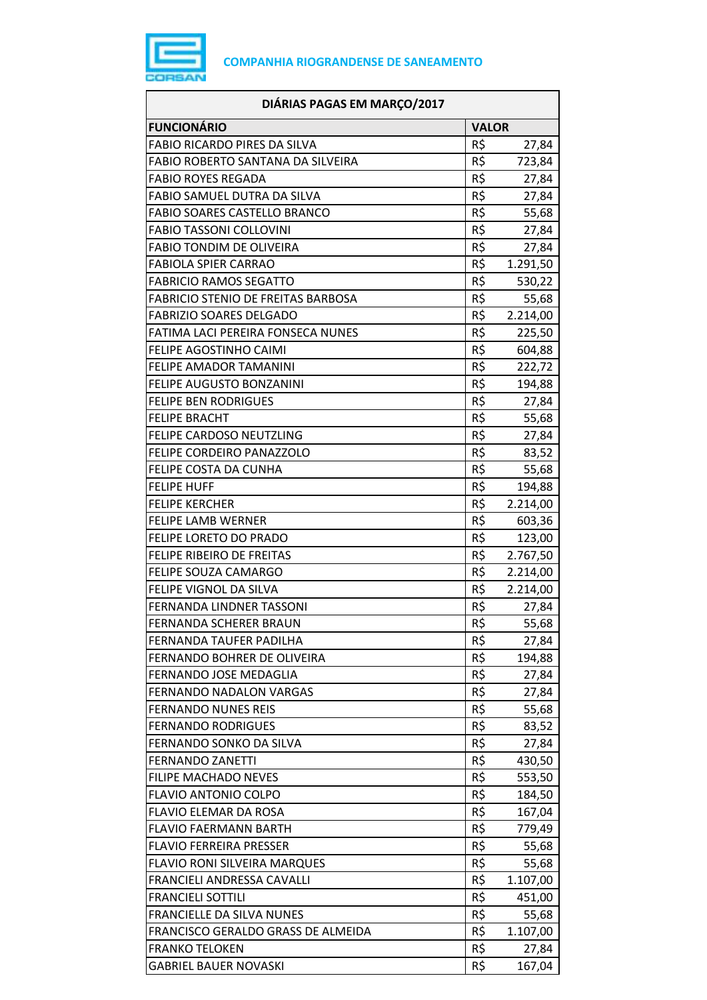

| DIÁRIAS PAGAS EM MARÇO/2017               |              |          |
|-------------------------------------------|--------------|----------|
| <b>FUNCIONÁRIO</b>                        | <b>VALOR</b> |          |
| <b>FABIO RICARDO PIRES DA SILVA</b>       | R\$          | 27,84    |
| FABIO ROBERTO SANTANA DA SILVEIRA         | R\$          | 723,84   |
| <b>FABIO ROYES REGADA</b>                 | R\$          | 27,84    |
| FABIO SAMUEL DUTRA DA SILVA               | R\$          | 27,84    |
| <b>FABIO SOARES CASTELLO BRANCO</b>       | R\$          | 55,68    |
| <b>FABIO TASSONI COLLOVINI</b>            | R\$          | 27,84    |
| <b>FABIO TONDIM DE OLIVEIRA</b>           | R\$          | 27,84    |
| <b>FABIOLA SPIER CARRAO</b>               | R\$          | 1.291,50 |
| <b>FABRICIO RAMOS SEGATTO</b>             | R\$          | 530,22   |
| <b>FABRICIO STENIO DE FREITAS BARBOSA</b> | R\$          | 55,68    |
| <b>FABRIZIO SOARES DELGADO</b>            | R\$          | 2.214,00 |
| FATIMA LACI PEREIRA FONSECA NUNES         | R\$          | 225,50   |
| <b>FELIPE AGOSTINHO CAIMI</b>             | R\$          | 604,88   |
| FELIPE AMADOR TAMANINI                    | R\$          | 222,72   |
| FELIPE AUGUSTO BONZANINI                  | R\$          | 194,88   |
| <b>FELIPE BEN RODRIGUES</b>               | R\$          | 27,84    |
| <b>FELIPE BRACHT</b>                      | R\$          | 55,68    |
| FELIPE CARDOSO NEUTZLING                  | R\$          | 27,84    |
| FELIPE CORDEIRO PANAZZOLO                 | R\$          | 83,52    |
| FELIPE COSTA DA CUNHA                     | R\$          | 55,68    |
| <b>FELIPE HUFF</b>                        | R\$          | 194,88   |
| <b>FELIPE KERCHER</b>                     | R\$          | 2.214,00 |
| <b>FELIPE LAMB WERNER</b>                 | R\$          | 603,36   |
| FELIPE LORETO DO PRADO                    | R\$          | 123,00   |
| FELIPE RIBEIRO DE FREITAS                 | R\$          | 2.767,50 |
| FELIPE SOUZA CAMARGO                      | R\$          | 2.214,00 |
| FELIPE VIGNOL DA SILVA                    | R\$          | 2.214,00 |
| FERNANDA LINDNER TASSONI                  | R\$          | 27,84    |
| FERNANDA SCHERER BRAUN                    | R\$          | 55,68    |
| FERNANDA TAUFER PADILHA                   | R\$          | 27,84    |
| FERNANDO BOHRER DE OLIVEIRA               | R\$          | 194,88   |
| FERNANDO JOSE MEDAGLIA                    | R\$          | 27,84    |
| <b>FERNANDO NADALON VARGAS</b>            | R\$          | 27,84    |
| <b>FERNANDO NUNES REIS</b>                | R\$          | 55,68    |
| <b>FERNANDO RODRIGUES</b>                 | R\$          | 83,52    |
| FERNANDO SONKO DA SILVA                   | R\$          | 27,84    |
| <b>FERNANDO ZANETTI</b>                   | R\$          | 430,50   |
| <b>FILIPE MACHADO NEVES</b>               | R\$          | 553,50   |
| <b>FLAVIO ANTONIO COLPO</b>               | R\$          | 184,50   |
| FLAVIO ELEMAR DA ROSA                     | R\$          | 167,04   |
| <b>FLAVIO FAERMANN BARTH</b>              | R\$          | 779,49   |
| <b>FLAVIO FERREIRA PRESSER</b>            | R\$          | 55,68    |
| <b>FLAVIO RONI SILVEIRA MARQUES</b>       | R\$          | 55,68    |
| FRANCIELI ANDRESSA CAVALLI                | R\$          | 1.107,00 |
| <b>FRANCIELI SOTTILI</b>                  | R\$          | 451,00   |
| <b>FRANCIELLE DA SILVA NUNES</b>          | R\$          | 55,68    |
| FRANCISCO GERALDO GRASS DE ALMEIDA        | R\$          | 1.107,00 |
| <b>FRANKO TELOKEN</b>                     | R\$          | 27,84    |
| <b>GABRIEL BAUER NOVASKI</b>              | R\$          | 167,04   |
|                                           |              |          |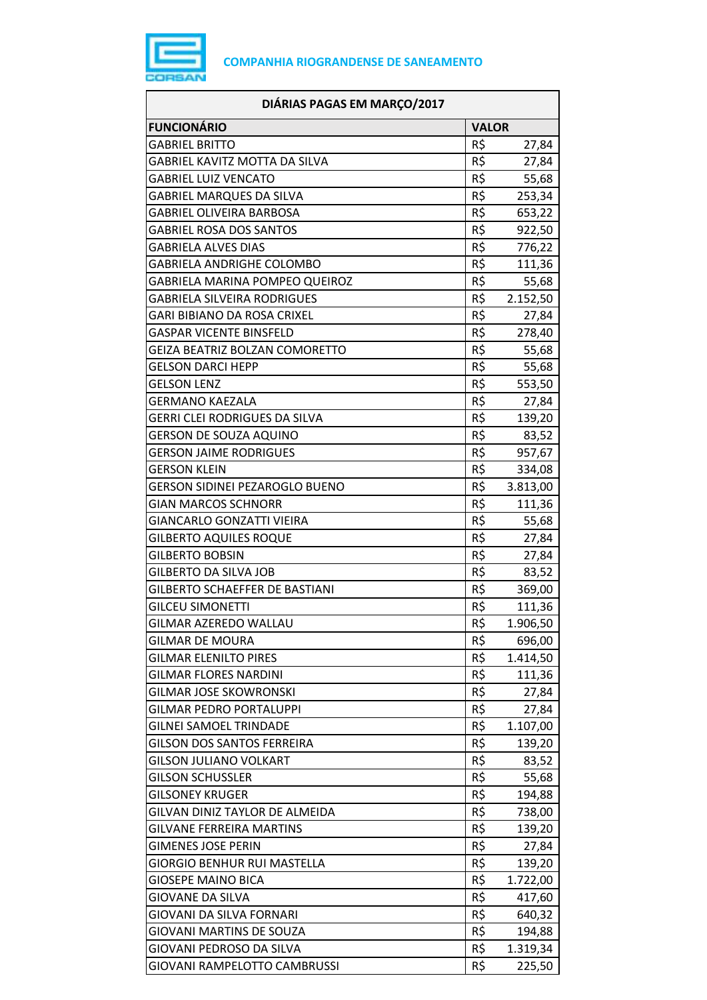

| DIÁRIAS PAGAS EM MARÇO/2017           |              |          |
|---------------------------------------|--------------|----------|
| <b>FUNCIONÁRIO</b>                    | <b>VALOR</b> |          |
| <b>GABRIEL BRITTO</b>                 | R\$          | 27,84    |
| GABRIEL KAVITZ MOTTA DA SILVA         | R\$          | 27,84    |
| <b>GABRIEL LUIZ VENCATO</b>           | R\$          | 55,68    |
| <b>GABRIEL MARQUES DA SILVA</b>       | R\$          | 253,34   |
| <b>GABRIEL OLIVEIRA BARBOSA</b>       | R\$          | 653,22   |
| <b>GABRIEL ROSA DOS SANTOS</b>        | R\$          | 922,50   |
| <b>GABRIELA ALVES DIAS</b>            | R\$          | 776,22   |
| <b>GABRIELA ANDRIGHE COLOMBO</b>      | R\$          | 111,36   |
| GABRIELA MARINA POMPEO QUEIROZ        | R\$          | 55,68    |
| <b>GABRIELA SILVEIRA RODRIGUES</b>    | R\$          | 2.152,50 |
| GARI BIBIANO DA ROSA CRIXEL           | R\$          | 27,84    |
| GASPAR VICENTE BINSFELD               | R\$          | 278,40   |
| GEIZA BEATRIZ BOLZAN COMORETTO        | R\$          | 55,68    |
| <b>GELSON DARCI HEPP</b>              | R\$          | 55,68    |
| <b>GELSON LENZ</b>                    | R\$          | 553,50   |
| <b>GERMANO KAEZALA</b>                | R\$          | 27,84    |
| GERRI CLEI RODRIGUES DA SILVA         | R\$          | 139,20   |
| <b>GERSON DE SOUZA AQUINO</b>         | R\$          | 83,52    |
| <b>GERSON JAIME RODRIGUES</b>         | R\$          | 957,67   |
| GERSON KLEIN                          | R\$          | 334,08   |
| <b>GERSON SIDINEI PEZAROGLO BUENO</b> | R\$          | 3.813,00 |
| <b>GIAN MARCOS SCHNORR</b>            | R\$          | 111,36   |
| GIANCARLO GONZATTI VIEIRA             | R\$          | 55,68    |
| <b>GILBERTO AQUILES ROQUE</b>         | R\$          | 27,84    |
| <b>GILBERTO BOBSIN</b>                | R\$          | 27,84    |
| <b>GILBERTO DA SILVA JOB</b>          | R\$          | 83,52    |
| <b>GILBERTO SCHAEFFER DE BASTIANI</b> | R\$          | 369,00   |
| <b>GILCEU SIMONETTI</b>               | R\$          | 111,36   |
| GILMAR AZEREDO WALLAU                 | R\$          | 1.906,50 |
| GILMAR DE MOURA                       | R\$          | 696,00   |
| <b>GILMAR ELENILTO PIRES</b>          | R\$          | 1.414,50 |
| <b>GILMAR FLORES NARDINI</b>          | R\$          | 111,36   |
| <b>GILMAR JOSE SKOWRONSKI</b>         | R\$          | 27,84    |
| <b>GILMAR PEDRO PORTALUPPI</b>        | R\$          | 27,84    |
| <b>GILNEI SAMOEL TRINDADE</b>         | R\$          | 1.107,00 |
| <b>GILSON DOS SANTOS FERREIRA</b>     | R\$          | 139,20   |
| <b>GILSON JULIANO VOLKART</b>         | R\$          | 83,52    |
| <b>GILSON SCHUSSLER</b>               | R\$          | 55,68    |
| <b>GILSONEY KRUGER</b>                | R\$          | 194,88   |
| GILVAN DINIZ TAYLOR DE ALMEIDA        | R\$          | 738,00   |
| <b>GILVANE FERREIRA MARTINS</b>       | R\$          | 139,20   |
| <b>GIMENES JOSE PERIN</b>             | R\$          | 27,84    |
| <b>GIORGIO BENHUR RUI MASTELLA</b>    | R\$          | 139,20   |
| <b>GIOSEPE MAINO BICA</b>             | R\$          | 1.722,00 |
| <b>GIOVANE DA SILVA</b>               | R\$          | 417,60   |
| GIOVANI DA SILVA FORNARI              | R\$          | 640,32   |
| <b>GIOVANI MARTINS DE SOUZA</b>       | R\$          | 194,88   |
| GIOVANI PEDROSO DA SILVA              | R\$          | 1.319,34 |
| GIOVANI RAMPELOTTO CAMBRUSSI          | R\$          | 225,50   |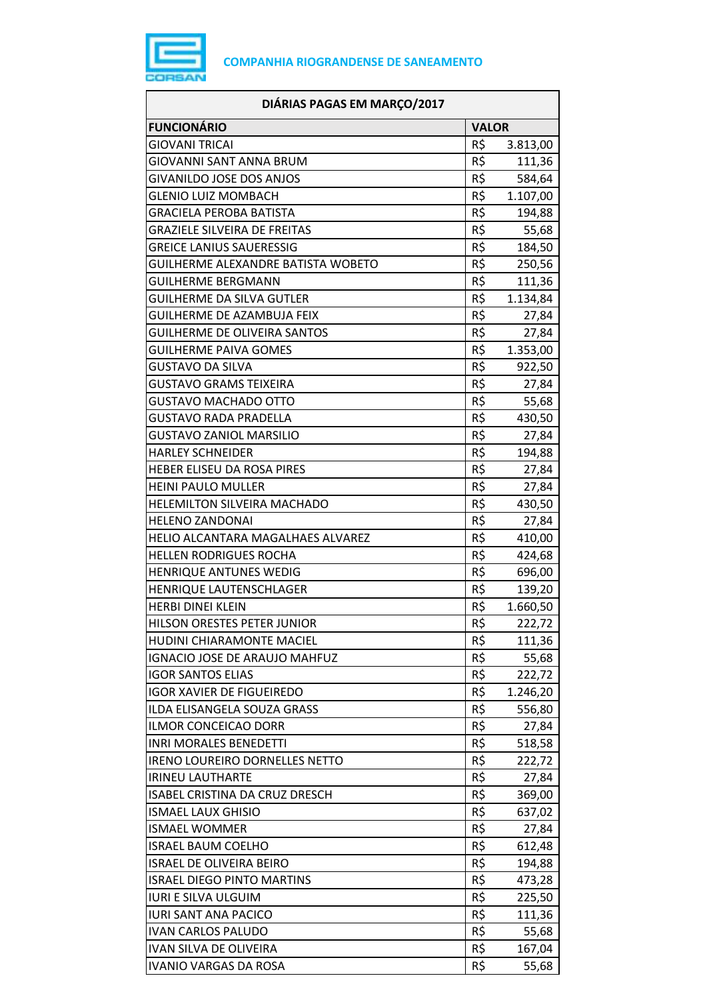

| DIÁRIAS PAGAS EM MARÇO/2017           |                 |          |
|---------------------------------------|-----------------|----------|
| <b>FUNCIONÁRIO</b>                    | <b>VALOR</b>    |          |
| <b>GIOVANI TRICAI</b>                 | R\$             | 3.813,00 |
| GIOVANNI SANT ANNA BRUM               | R\$             | 111,36   |
| <b>GIVANILDO JOSE DOS ANJOS</b>       | R\$             | 584,64   |
| <b>GLENIO LUIZ MOMBACH</b>            | R\$             | 1.107,00 |
| <b>GRACIELA PEROBA BATISTA</b>        | R\$             | 194,88   |
| <b>GRAZIELE SILVEIRA DE FREITAS</b>   | R\$             | 55,68    |
| <b>GREICE LANIUS SAUERESSIG</b>       | R\$             | 184,50   |
| GUILHERME ALEXANDRE BATISTA WOBETO    | R\$             | 250,56   |
| <b>GUILHERME BERGMANN</b>             | R\$             | 111,36   |
| GUILHERME DA SILVA GUTLER             | R\$             | 1.134,84 |
| GUILHERME DE AZAMBUJA FEIX            | R\$             | 27,84    |
| <b>GUILHERME DE OLIVEIRA SANTOS</b>   | R\$             | 27,84    |
| <b>GUILHERME PAIVA GOMES</b>          | R\$             | 1.353,00 |
| <b>GUSTAVO DA SILVA</b>               | R\$             | 922,50   |
| <b>GUSTAVO GRAMS TEIXEIRA</b>         | R\$             | 27,84    |
| <b>GUSTAVO MACHADO OTTO</b>           | R\$             | 55,68    |
| <b>GUSTAVO RADA PRADELLA</b>          | R\$             | 430,50   |
| <b>GUSTAVO ZANIOL MARSILIO</b>        | R\$             | 27,84    |
| <b>HARLEY SCHNEIDER</b>               | $R\overline{S}$ | 194,88   |
| HEBER ELISEU DA ROSA PIRES            | R\$             | 27,84    |
| <b>HEINI PAULO MULLER</b>             | R\$             | 27,84    |
| HELEMILTON SILVEIRA MACHADO           | R\$             | 430,50   |
| <b>HELENO ZANDONAI</b>                | R\$             | 27,84    |
| HELIO ALCANTARA MAGALHAES ALVAREZ     | R\$             | 410,00   |
| <b>HELLEN RODRIGUES ROCHA</b>         | R\$             | 424,68   |
| <b>HENRIQUE ANTUNES WEDIG</b>         | R\$             | 696,00   |
| HENRIQUE LAUTENSCHLAGER               | R\$             | 139,20   |
| <b>HERBI DINEI KLEIN</b>              | R\$             | 1.660,50 |
| HILSON ORESTES PETER JUNIOR           | R\$             | 222,72   |
| <b>HUDINI CHIARAMONTE MACIEL</b>      | R\$             | 111,36   |
| <b>IGNACIO JOSE DE ARAUJO MAHFUZ</b>  | R\$             | 55,68    |
| <b>IGOR SANTOS ELIAS</b>              | R\$             | 222,72   |
| <b>IGOR XAVIER DE FIGUEIREDO</b>      | R\$             | 1.246,20 |
| ILDA ELISANGELA SOUZA GRASS           | R\$             | 556,80   |
| <b>ILMOR CONCEICAO DORR</b>           | R\$             | 27,84    |
| <b>INRI MORALES BENEDETTI</b>         | R\$             | 518,58   |
| <b>IRENO LOUREIRO DORNELLES NETTO</b> | R\$             | 222,72   |
| <b>IRINEU LAUTHARTE</b>               | R\$             | 27,84    |
| ISABEL CRISTINA DA CRUZ DRESCH        | R\$             | 369,00   |
| <b>ISMAEL LAUX GHISIO</b>             | R\$             | 637,02   |
| <b>ISMAEL WOMMER</b>                  | R\$             | 27,84    |
| <b>ISRAEL BAUM COELHO</b>             | R\$             | 612,48   |
| <b>ISRAEL DE OLIVEIRA BEIRO</b>       | R\$             | 194,88   |
| <b>ISRAEL DIEGO PINTO MARTINS</b>     | R\$             |          |
| <b>IURI E SILVA ULGUIM</b>            | R\$             | 473,28   |
| <b>IURI SANT ANA PACICO</b>           | R\$             | 225,50   |
|                                       | R\$             | 111,36   |
| <b>IVAN CARLOS PALUDO</b>             |                 | 55,68    |
| <b>IVAN SILVA DE OLIVEIRA</b>         | R\$             | 167,04   |
| <b>IVANIO VARGAS DA ROSA</b>          | R\$             | 55,68    |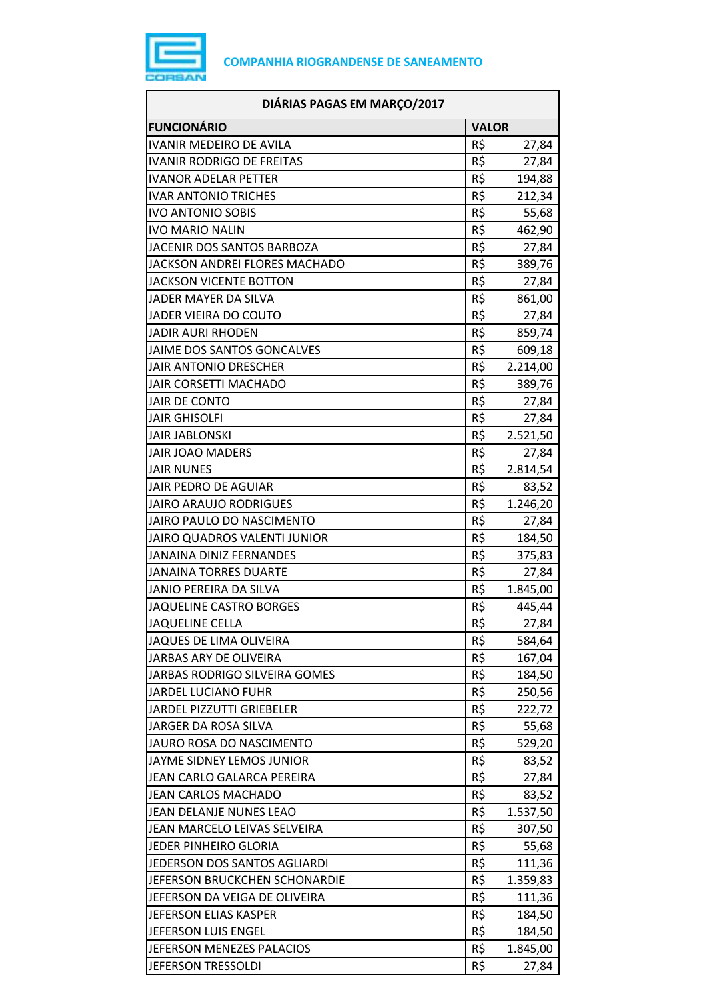

| <b>FUNCIONÁRIO</b><br><b>VALOR</b><br><b>IVANIR MEDEIRO DE AVILA</b><br>R\$<br>27,84<br>R\$<br><b>IVANIR RODRIGO DE FREITAS</b><br>27,84<br>R\$<br><b>IVANOR ADELAR PETTER</b><br>194,88<br>R\$<br><b>IVAR ANTONIO TRICHES</b><br>212,34<br>R\$<br><b>IVO ANTONIO SOBIS</b><br>55,68<br>R\$<br><b>IVO MARIO NALIN</b><br>462,90<br>R\$<br>JACENIR DOS SANTOS BARBOZA<br>27,84<br>R\$<br>JACKSON ANDREI FLORES MACHADO<br>389,76<br>R\$<br><b>JACKSON VICENTE BOTTON</b><br>27,84<br>R\$<br>861,00<br>JADER MAYER DA SILVA<br>R\$<br>JADER VIEIRA DO COUTO<br>27,84<br>R\$<br><b>JADIR AURI RHODEN</b><br>859,74<br>R\$<br><b>JAIME DOS SANTOS GONCALVES</b><br>609,18<br>R\$<br><b>JAIR ANTONIO DRESCHER</b><br>2.214,00<br>R\$<br><b>JAIR CORSETTI MACHADO</b><br>389,76<br>R\$<br>JAIR DE CONTO<br>27,84<br>R\$<br><b>JAIR GHISOLFI</b><br>27,84<br>R\$<br><b>JAIR JABLONSKI</b><br>2.521,50<br>R\$<br><b>JAIR JOAO MADERS</b><br>27,84<br>R\$<br><b>JAIR NUNES</b><br>2.814,54<br>R\$<br>JAIR PEDRO DE AGUIAR<br>83,52<br>R\$<br>1.246,20<br><b>JAIRO ARAUJO RODRIGUES</b><br>R\$<br>JAIRO PAULO DO NASCIMENTO<br>27,84<br>R\$<br>JAIRO QUADROS VALENTI JUNIOR<br>184,50<br>R\$<br><b>JANAINA DINIZ FERNANDES</b><br>375,83<br>R\$<br><b>JANAINA TORRES DUARTE</b><br>27,84<br>R\$<br>1.845,00<br><b>JANIO PEREIRA DA SILVA</b><br>R\$<br><b>JAQUELINE CASTRO BORGES</b><br>445,44<br>R\$<br>27,84<br><b>JAQUELINE CELLA</b><br>R\$<br>JAQUES DE LIMA OLIVEIRA<br>584,64<br>R\$<br>JARBAS ARY DE OLIVEIRA<br>167,04<br>R\$<br>JARBAS RODRIGO SILVEIRA GOMES<br>184,50<br>R\$<br><b>JARDEL LUCIANO FUHR</b><br>250,56<br>R\$<br>JARDEL PIZZUTTI GRIEBELER<br>222,72<br>R\$<br>JARGER DA ROSA SILVA<br>55,68<br>R\$<br>JAURO ROSA DO NASCIMENTO<br>529,20<br>R\$<br>JAYME SIDNEY LEMOS JUNIOR<br>83,52<br>R\$<br>JEAN CARLO GALARCA PEREIRA<br>27,84<br>R\$<br><b>JEAN CARLOS MACHADO</b><br>83,52<br>R\$<br>JEAN DELANJE NUNES LEAO<br>1.537,50<br>R\$<br>JEAN MARCELO LEIVAS SELVEIRA<br>307,50<br>R\$<br>JEDER PINHEIRO GLORIA<br>55,68<br>R\$<br>JEDERSON DOS SANTOS AGLIARDI<br>111,36<br>R\$<br>JEFERSON BRUCKCHEN SCHONARDIE<br>1.359,83<br>R\$<br>JEFERSON DA VEIGA DE OLIVEIRA<br>111,36<br>R\$<br>JEFERSON ELIAS KASPER<br>184,50<br>R\$<br>JEFERSON LUIS ENGEL<br>184,50<br>R\$<br>JEFERSON MENEZES PALACIOS<br>1.845,00<br>R\$<br>JEFERSON TRESSOLDI | DIÁRIAS PAGAS EM MARÇO/2017 |       |
|-------------------------------------------------------------------------------------------------------------------------------------------------------------------------------------------------------------------------------------------------------------------------------------------------------------------------------------------------------------------------------------------------------------------------------------------------------------------------------------------------------------------------------------------------------------------------------------------------------------------------------------------------------------------------------------------------------------------------------------------------------------------------------------------------------------------------------------------------------------------------------------------------------------------------------------------------------------------------------------------------------------------------------------------------------------------------------------------------------------------------------------------------------------------------------------------------------------------------------------------------------------------------------------------------------------------------------------------------------------------------------------------------------------------------------------------------------------------------------------------------------------------------------------------------------------------------------------------------------------------------------------------------------------------------------------------------------------------------------------------------------------------------------------------------------------------------------------------------------------------------------------------------------------------------------------------------------------------------------------------------------------------------------------------------------------------------------------------------------------------------------------------------------------------------------------------------------------------------------------------------------------------------------------------------------------------------------------------------------------------|-----------------------------|-------|
|                                                                                                                                                                                                                                                                                                                                                                                                                                                                                                                                                                                                                                                                                                                                                                                                                                                                                                                                                                                                                                                                                                                                                                                                                                                                                                                                                                                                                                                                                                                                                                                                                                                                                                                                                                                                                                                                                                                                                                                                                                                                                                                                                                                                                                                                                                                                                                   |                             |       |
|                                                                                                                                                                                                                                                                                                                                                                                                                                                                                                                                                                                                                                                                                                                                                                                                                                                                                                                                                                                                                                                                                                                                                                                                                                                                                                                                                                                                                                                                                                                                                                                                                                                                                                                                                                                                                                                                                                                                                                                                                                                                                                                                                                                                                                                                                                                                                                   |                             |       |
|                                                                                                                                                                                                                                                                                                                                                                                                                                                                                                                                                                                                                                                                                                                                                                                                                                                                                                                                                                                                                                                                                                                                                                                                                                                                                                                                                                                                                                                                                                                                                                                                                                                                                                                                                                                                                                                                                                                                                                                                                                                                                                                                                                                                                                                                                                                                                                   |                             |       |
|                                                                                                                                                                                                                                                                                                                                                                                                                                                                                                                                                                                                                                                                                                                                                                                                                                                                                                                                                                                                                                                                                                                                                                                                                                                                                                                                                                                                                                                                                                                                                                                                                                                                                                                                                                                                                                                                                                                                                                                                                                                                                                                                                                                                                                                                                                                                                                   |                             |       |
|                                                                                                                                                                                                                                                                                                                                                                                                                                                                                                                                                                                                                                                                                                                                                                                                                                                                                                                                                                                                                                                                                                                                                                                                                                                                                                                                                                                                                                                                                                                                                                                                                                                                                                                                                                                                                                                                                                                                                                                                                                                                                                                                                                                                                                                                                                                                                                   |                             |       |
|                                                                                                                                                                                                                                                                                                                                                                                                                                                                                                                                                                                                                                                                                                                                                                                                                                                                                                                                                                                                                                                                                                                                                                                                                                                                                                                                                                                                                                                                                                                                                                                                                                                                                                                                                                                                                                                                                                                                                                                                                                                                                                                                                                                                                                                                                                                                                                   |                             |       |
|                                                                                                                                                                                                                                                                                                                                                                                                                                                                                                                                                                                                                                                                                                                                                                                                                                                                                                                                                                                                                                                                                                                                                                                                                                                                                                                                                                                                                                                                                                                                                                                                                                                                                                                                                                                                                                                                                                                                                                                                                                                                                                                                                                                                                                                                                                                                                                   |                             |       |
|                                                                                                                                                                                                                                                                                                                                                                                                                                                                                                                                                                                                                                                                                                                                                                                                                                                                                                                                                                                                                                                                                                                                                                                                                                                                                                                                                                                                                                                                                                                                                                                                                                                                                                                                                                                                                                                                                                                                                                                                                                                                                                                                                                                                                                                                                                                                                                   |                             |       |
|                                                                                                                                                                                                                                                                                                                                                                                                                                                                                                                                                                                                                                                                                                                                                                                                                                                                                                                                                                                                                                                                                                                                                                                                                                                                                                                                                                                                                                                                                                                                                                                                                                                                                                                                                                                                                                                                                                                                                                                                                                                                                                                                                                                                                                                                                                                                                                   |                             |       |
|                                                                                                                                                                                                                                                                                                                                                                                                                                                                                                                                                                                                                                                                                                                                                                                                                                                                                                                                                                                                                                                                                                                                                                                                                                                                                                                                                                                                                                                                                                                                                                                                                                                                                                                                                                                                                                                                                                                                                                                                                                                                                                                                                                                                                                                                                                                                                                   |                             |       |
|                                                                                                                                                                                                                                                                                                                                                                                                                                                                                                                                                                                                                                                                                                                                                                                                                                                                                                                                                                                                                                                                                                                                                                                                                                                                                                                                                                                                                                                                                                                                                                                                                                                                                                                                                                                                                                                                                                                                                                                                                                                                                                                                                                                                                                                                                                                                                                   |                             |       |
|                                                                                                                                                                                                                                                                                                                                                                                                                                                                                                                                                                                                                                                                                                                                                                                                                                                                                                                                                                                                                                                                                                                                                                                                                                                                                                                                                                                                                                                                                                                                                                                                                                                                                                                                                                                                                                                                                                                                                                                                                                                                                                                                                                                                                                                                                                                                                                   |                             |       |
|                                                                                                                                                                                                                                                                                                                                                                                                                                                                                                                                                                                                                                                                                                                                                                                                                                                                                                                                                                                                                                                                                                                                                                                                                                                                                                                                                                                                                                                                                                                                                                                                                                                                                                                                                                                                                                                                                                                                                                                                                                                                                                                                                                                                                                                                                                                                                                   |                             |       |
|                                                                                                                                                                                                                                                                                                                                                                                                                                                                                                                                                                                                                                                                                                                                                                                                                                                                                                                                                                                                                                                                                                                                                                                                                                                                                                                                                                                                                                                                                                                                                                                                                                                                                                                                                                                                                                                                                                                                                                                                                                                                                                                                                                                                                                                                                                                                                                   |                             |       |
|                                                                                                                                                                                                                                                                                                                                                                                                                                                                                                                                                                                                                                                                                                                                                                                                                                                                                                                                                                                                                                                                                                                                                                                                                                                                                                                                                                                                                                                                                                                                                                                                                                                                                                                                                                                                                                                                                                                                                                                                                                                                                                                                                                                                                                                                                                                                                                   |                             |       |
|                                                                                                                                                                                                                                                                                                                                                                                                                                                                                                                                                                                                                                                                                                                                                                                                                                                                                                                                                                                                                                                                                                                                                                                                                                                                                                                                                                                                                                                                                                                                                                                                                                                                                                                                                                                                                                                                                                                                                                                                                                                                                                                                                                                                                                                                                                                                                                   |                             |       |
|                                                                                                                                                                                                                                                                                                                                                                                                                                                                                                                                                                                                                                                                                                                                                                                                                                                                                                                                                                                                                                                                                                                                                                                                                                                                                                                                                                                                                                                                                                                                                                                                                                                                                                                                                                                                                                                                                                                                                                                                                                                                                                                                                                                                                                                                                                                                                                   |                             |       |
|                                                                                                                                                                                                                                                                                                                                                                                                                                                                                                                                                                                                                                                                                                                                                                                                                                                                                                                                                                                                                                                                                                                                                                                                                                                                                                                                                                                                                                                                                                                                                                                                                                                                                                                                                                                                                                                                                                                                                                                                                                                                                                                                                                                                                                                                                                                                                                   |                             |       |
|                                                                                                                                                                                                                                                                                                                                                                                                                                                                                                                                                                                                                                                                                                                                                                                                                                                                                                                                                                                                                                                                                                                                                                                                                                                                                                                                                                                                                                                                                                                                                                                                                                                                                                                                                                                                                                                                                                                                                                                                                                                                                                                                                                                                                                                                                                                                                                   |                             |       |
|                                                                                                                                                                                                                                                                                                                                                                                                                                                                                                                                                                                                                                                                                                                                                                                                                                                                                                                                                                                                                                                                                                                                                                                                                                                                                                                                                                                                                                                                                                                                                                                                                                                                                                                                                                                                                                                                                                                                                                                                                                                                                                                                                                                                                                                                                                                                                                   |                             |       |
|                                                                                                                                                                                                                                                                                                                                                                                                                                                                                                                                                                                                                                                                                                                                                                                                                                                                                                                                                                                                                                                                                                                                                                                                                                                                                                                                                                                                                                                                                                                                                                                                                                                                                                                                                                                                                                                                                                                                                                                                                                                                                                                                                                                                                                                                                                                                                                   |                             |       |
|                                                                                                                                                                                                                                                                                                                                                                                                                                                                                                                                                                                                                                                                                                                                                                                                                                                                                                                                                                                                                                                                                                                                                                                                                                                                                                                                                                                                                                                                                                                                                                                                                                                                                                                                                                                                                                                                                                                                                                                                                                                                                                                                                                                                                                                                                                                                                                   |                             |       |
|                                                                                                                                                                                                                                                                                                                                                                                                                                                                                                                                                                                                                                                                                                                                                                                                                                                                                                                                                                                                                                                                                                                                                                                                                                                                                                                                                                                                                                                                                                                                                                                                                                                                                                                                                                                                                                                                                                                                                                                                                                                                                                                                                                                                                                                                                                                                                                   |                             |       |
|                                                                                                                                                                                                                                                                                                                                                                                                                                                                                                                                                                                                                                                                                                                                                                                                                                                                                                                                                                                                                                                                                                                                                                                                                                                                                                                                                                                                                                                                                                                                                                                                                                                                                                                                                                                                                                                                                                                                                                                                                                                                                                                                                                                                                                                                                                                                                                   |                             |       |
|                                                                                                                                                                                                                                                                                                                                                                                                                                                                                                                                                                                                                                                                                                                                                                                                                                                                                                                                                                                                                                                                                                                                                                                                                                                                                                                                                                                                                                                                                                                                                                                                                                                                                                                                                                                                                                                                                                                                                                                                                                                                                                                                                                                                                                                                                                                                                                   |                             |       |
|                                                                                                                                                                                                                                                                                                                                                                                                                                                                                                                                                                                                                                                                                                                                                                                                                                                                                                                                                                                                                                                                                                                                                                                                                                                                                                                                                                                                                                                                                                                                                                                                                                                                                                                                                                                                                                                                                                                                                                                                                                                                                                                                                                                                                                                                                                                                                                   |                             |       |
|                                                                                                                                                                                                                                                                                                                                                                                                                                                                                                                                                                                                                                                                                                                                                                                                                                                                                                                                                                                                                                                                                                                                                                                                                                                                                                                                                                                                                                                                                                                                                                                                                                                                                                                                                                                                                                                                                                                                                                                                                                                                                                                                                                                                                                                                                                                                                                   |                             |       |
|                                                                                                                                                                                                                                                                                                                                                                                                                                                                                                                                                                                                                                                                                                                                                                                                                                                                                                                                                                                                                                                                                                                                                                                                                                                                                                                                                                                                                                                                                                                                                                                                                                                                                                                                                                                                                                                                                                                                                                                                                                                                                                                                                                                                                                                                                                                                                                   |                             |       |
|                                                                                                                                                                                                                                                                                                                                                                                                                                                                                                                                                                                                                                                                                                                                                                                                                                                                                                                                                                                                                                                                                                                                                                                                                                                                                                                                                                                                                                                                                                                                                                                                                                                                                                                                                                                                                                                                                                                                                                                                                                                                                                                                                                                                                                                                                                                                                                   |                             |       |
|                                                                                                                                                                                                                                                                                                                                                                                                                                                                                                                                                                                                                                                                                                                                                                                                                                                                                                                                                                                                                                                                                                                                                                                                                                                                                                                                                                                                                                                                                                                                                                                                                                                                                                                                                                                                                                                                                                                                                                                                                                                                                                                                                                                                                                                                                                                                                                   |                             |       |
|                                                                                                                                                                                                                                                                                                                                                                                                                                                                                                                                                                                                                                                                                                                                                                                                                                                                                                                                                                                                                                                                                                                                                                                                                                                                                                                                                                                                                                                                                                                                                                                                                                                                                                                                                                                                                                                                                                                                                                                                                                                                                                                                                                                                                                                                                                                                                                   |                             |       |
|                                                                                                                                                                                                                                                                                                                                                                                                                                                                                                                                                                                                                                                                                                                                                                                                                                                                                                                                                                                                                                                                                                                                                                                                                                                                                                                                                                                                                                                                                                                                                                                                                                                                                                                                                                                                                                                                                                                                                                                                                                                                                                                                                                                                                                                                                                                                                                   |                             |       |
|                                                                                                                                                                                                                                                                                                                                                                                                                                                                                                                                                                                                                                                                                                                                                                                                                                                                                                                                                                                                                                                                                                                                                                                                                                                                                                                                                                                                                                                                                                                                                                                                                                                                                                                                                                                                                                                                                                                                                                                                                                                                                                                                                                                                                                                                                                                                                                   |                             |       |
|                                                                                                                                                                                                                                                                                                                                                                                                                                                                                                                                                                                                                                                                                                                                                                                                                                                                                                                                                                                                                                                                                                                                                                                                                                                                                                                                                                                                                                                                                                                                                                                                                                                                                                                                                                                                                                                                                                                                                                                                                                                                                                                                                                                                                                                                                                                                                                   |                             |       |
|                                                                                                                                                                                                                                                                                                                                                                                                                                                                                                                                                                                                                                                                                                                                                                                                                                                                                                                                                                                                                                                                                                                                                                                                                                                                                                                                                                                                                                                                                                                                                                                                                                                                                                                                                                                                                                                                                                                                                                                                                                                                                                                                                                                                                                                                                                                                                                   |                             |       |
|                                                                                                                                                                                                                                                                                                                                                                                                                                                                                                                                                                                                                                                                                                                                                                                                                                                                                                                                                                                                                                                                                                                                                                                                                                                                                                                                                                                                                                                                                                                                                                                                                                                                                                                                                                                                                                                                                                                                                                                                                                                                                                                                                                                                                                                                                                                                                                   |                             |       |
|                                                                                                                                                                                                                                                                                                                                                                                                                                                                                                                                                                                                                                                                                                                                                                                                                                                                                                                                                                                                                                                                                                                                                                                                                                                                                                                                                                                                                                                                                                                                                                                                                                                                                                                                                                                                                                                                                                                                                                                                                                                                                                                                                                                                                                                                                                                                                                   |                             |       |
|                                                                                                                                                                                                                                                                                                                                                                                                                                                                                                                                                                                                                                                                                                                                                                                                                                                                                                                                                                                                                                                                                                                                                                                                                                                                                                                                                                                                                                                                                                                                                                                                                                                                                                                                                                                                                                                                                                                                                                                                                                                                                                                                                                                                                                                                                                                                                                   |                             |       |
|                                                                                                                                                                                                                                                                                                                                                                                                                                                                                                                                                                                                                                                                                                                                                                                                                                                                                                                                                                                                                                                                                                                                                                                                                                                                                                                                                                                                                                                                                                                                                                                                                                                                                                                                                                                                                                                                                                                                                                                                                                                                                                                                                                                                                                                                                                                                                                   |                             |       |
|                                                                                                                                                                                                                                                                                                                                                                                                                                                                                                                                                                                                                                                                                                                                                                                                                                                                                                                                                                                                                                                                                                                                                                                                                                                                                                                                                                                                                                                                                                                                                                                                                                                                                                                                                                                                                                                                                                                                                                                                                                                                                                                                                                                                                                                                                                                                                                   |                             |       |
|                                                                                                                                                                                                                                                                                                                                                                                                                                                                                                                                                                                                                                                                                                                                                                                                                                                                                                                                                                                                                                                                                                                                                                                                                                                                                                                                                                                                                                                                                                                                                                                                                                                                                                                                                                                                                                                                                                                                                                                                                                                                                                                                                                                                                                                                                                                                                                   |                             |       |
|                                                                                                                                                                                                                                                                                                                                                                                                                                                                                                                                                                                                                                                                                                                                                                                                                                                                                                                                                                                                                                                                                                                                                                                                                                                                                                                                                                                                                                                                                                                                                                                                                                                                                                                                                                                                                                                                                                                                                                                                                                                                                                                                                                                                                                                                                                                                                                   |                             |       |
|                                                                                                                                                                                                                                                                                                                                                                                                                                                                                                                                                                                                                                                                                                                                                                                                                                                                                                                                                                                                                                                                                                                                                                                                                                                                                                                                                                                                                                                                                                                                                                                                                                                                                                                                                                                                                                                                                                                                                                                                                                                                                                                                                                                                                                                                                                                                                                   |                             |       |
|                                                                                                                                                                                                                                                                                                                                                                                                                                                                                                                                                                                                                                                                                                                                                                                                                                                                                                                                                                                                                                                                                                                                                                                                                                                                                                                                                                                                                                                                                                                                                                                                                                                                                                                                                                                                                                                                                                                                                                                                                                                                                                                                                                                                                                                                                                                                                                   |                             |       |
|                                                                                                                                                                                                                                                                                                                                                                                                                                                                                                                                                                                                                                                                                                                                                                                                                                                                                                                                                                                                                                                                                                                                                                                                                                                                                                                                                                                                                                                                                                                                                                                                                                                                                                                                                                                                                                                                                                                                                                                                                                                                                                                                                                                                                                                                                                                                                                   |                             |       |
|                                                                                                                                                                                                                                                                                                                                                                                                                                                                                                                                                                                                                                                                                                                                                                                                                                                                                                                                                                                                                                                                                                                                                                                                                                                                                                                                                                                                                                                                                                                                                                                                                                                                                                                                                                                                                                                                                                                                                                                                                                                                                                                                                                                                                                                                                                                                                                   |                             |       |
|                                                                                                                                                                                                                                                                                                                                                                                                                                                                                                                                                                                                                                                                                                                                                                                                                                                                                                                                                                                                                                                                                                                                                                                                                                                                                                                                                                                                                                                                                                                                                                                                                                                                                                                                                                                                                                                                                                                                                                                                                                                                                                                                                                                                                                                                                                                                                                   |                             |       |
|                                                                                                                                                                                                                                                                                                                                                                                                                                                                                                                                                                                                                                                                                                                                                                                                                                                                                                                                                                                                                                                                                                                                                                                                                                                                                                                                                                                                                                                                                                                                                                                                                                                                                                                                                                                                                                                                                                                                                                                                                                                                                                                                                                                                                                                                                                                                                                   |                             |       |
|                                                                                                                                                                                                                                                                                                                                                                                                                                                                                                                                                                                                                                                                                                                                                                                                                                                                                                                                                                                                                                                                                                                                                                                                                                                                                                                                                                                                                                                                                                                                                                                                                                                                                                                                                                                                                                                                                                                                                                                                                                                                                                                                                                                                                                                                                                                                                                   |                             |       |
|                                                                                                                                                                                                                                                                                                                                                                                                                                                                                                                                                                                                                                                                                                                                                                                                                                                                                                                                                                                                                                                                                                                                                                                                                                                                                                                                                                                                                                                                                                                                                                                                                                                                                                                                                                                                                                                                                                                                                                                                                                                                                                                                                                                                                                                                                                                                                                   |                             | 27,84 |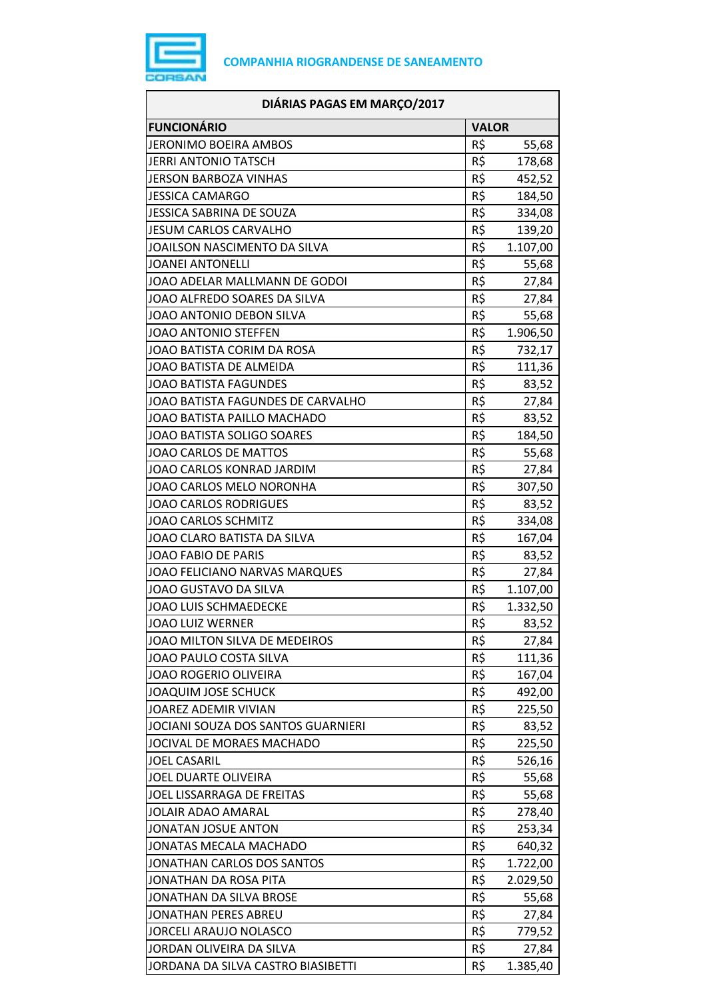

|                                    | DIÁRIAS PAGAS EM MARÇO/2017 |          |  |
|------------------------------------|-----------------------------|----------|--|
| <b>FUNCIONÁRIO</b>                 | <b>VALOR</b>                |          |  |
| <b>JERONIMO BOEIRA AMBOS</b>       | R\$                         | 55,68    |  |
| <b>JERRI ANTONIO TATSCH</b>        | R\$                         | 178,68   |  |
| <b>JERSON BARBOZA VINHAS</b>       | R\$                         | 452,52   |  |
| <b>JESSICA CAMARGO</b>             | R\$                         | 184,50   |  |
| <b>JESSICA SABRINA DE SOUZA</b>    | R\$                         | 334,08   |  |
| JESUM CARLOS CARVALHO              | R\$                         | 139,20   |  |
| JOAILSON NASCIMENTO DA SILVA       | R\$                         | 1.107,00 |  |
| <b>JOANEI ANTONELLI</b>            | R\$                         | 55,68    |  |
| JOAO ADELAR MALLMANN DE GODOI      | R\$                         | 27,84    |  |
| JOAO ALFREDO SOARES DA SILVA       | R\$                         | 27,84    |  |
| <b>JOAO ANTONIO DEBON SILVA</b>    | R\$                         | 55,68    |  |
| <b>JOAO ANTONIO STEFFEN</b>        | R\$                         | 1.906,50 |  |
| JOAO BATISTA CORIM DA ROSA         | R\$                         | 732,17   |  |
| JOAO BATISTA DE ALMEIDA            | R\$                         | 111,36   |  |
| <b>JOAO BATISTA FAGUNDES</b>       | R\$                         | 83,52    |  |
| JOAO BATISTA FAGUNDES DE CARVALHO  | R\$                         | 27,84    |  |
| JOAO BATISTA PAILLO MACHADO        | R\$                         | 83,52    |  |
| <b>JOAO BATISTA SOLIGO SOARES</b>  | R\$                         | 184,50   |  |
| JOAO CARLOS DE MATTOS              | R\$                         | 55,68    |  |
| JOAO CARLOS KONRAD JARDIM          | R\$                         | 27,84    |  |
| JOAO CARLOS MELO NORONHA           | R\$                         | 307,50   |  |
| <b>JOAO CARLOS RODRIGUES</b>       | R\$                         | 83,52    |  |
| <b>JOAO CARLOS SCHMITZ</b>         | R\$                         | 334,08   |  |
| JOAO CLARO BATISTA DA SILVA        | R\$                         | 167,04   |  |
| <b>JOAO FABIO DE PARIS</b>         | R\$                         | 83,52    |  |
| JOAO FELICIANO NARVAS MARQUES      | R\$                         | 27,84    |  |
| JOAO GUSTAVO DA SILVA              | R\$                         | 1.107,00 |  |
| <b>JOAO LUIS SCHMAEDECKE</b>       | R\$                         | 1.332,50 |  |
| JOAO LUIZ WERNER                   | R\$                         | 83,52    |  |
| JOAO MILTON SILVA DE MEDEIROS      | R\$                         | 27,84    |  |
| JOAO PAULO COSTA SILVA             | R\$                         | 111,36   |  |
| <b>JOAO ROGERIO OLIVEIRA</b>       | R\$                         | 167,04   |  |
| <b>JOAQUIM JOSE SCHUCK</b>         | R\$                         | 492,00   |  |
| <b>JOAREZ ADEMIR VIVIAN</b>        | R\$                         | 225,50   |  |
| JOCIANI SOUZA DOS SANTOS GUARNIERI | R\$                         | 83,52    |  |
| JOCIVAL DE MORAES MACHADO          | R\$                         | 225,50   |  |
| <b>JOEL CASARIL</b>                | R\$                         | 526,16   |  |
| JOEL DUARTE OLIVEIRA               | R\$                         | 55,68    |  |
| JOEL LISSARRAGA DE FREITAS         | R\$                         | 55,68    |  |
| <b>JOLAIR ADAO AMARAL</b>          | R\$                         | 278,40   |  |
| <b>JONATAN JOSUE ANTON</b>         | R\$                         | 253,34   |  |
| JONATAS MECALA MACHADO             | R\$                         | 640,32   |  |
| JONATHAN CARLOS DOS SANTOS         | R\$                         | 1.722,00 |  |
| JONATHAN DA ROSA PITA              | R\$                         | 2.029,50 |  |
| JONATHAN DA SILVA BROSE            | R\$                         | 55,68    |  |
| <b>JONATHAN PERES ABREU</b>        | R\$                         | 27,84    |  |
| <b>JORCELI ARAUJO NOLASCO</b>      | R\$                         | 779,52   |  |
| JORDAN OLIVEIRA DA SILVA           | R\$                         | 27,84    |  |
| JORDANA DA SILVA CASTRO BIASIBETTI | R\$                         | 1.385,40 |  |
|                                    |                             |          |  |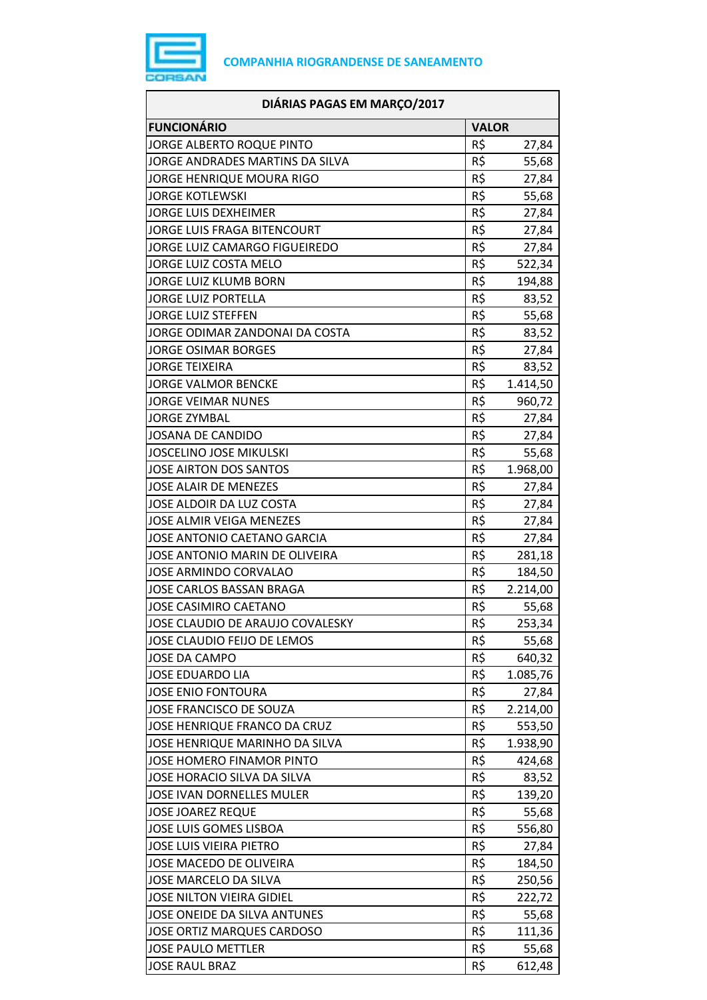

| DIÁRIAS PAGAS EM MARÇO/2017         |              |          |
|-------------------------------------|--------------|----------|
| <b>FUNCIONÁRIO</b>                  | <b>VALOR</b> |          |
| JORGE ALBERTO ROQUE PINTO           | R\$          | 27,84    |
| JORGE ANDRADES MARTINS DA SILVA     | R\$          | 55,68    |
| JORGE HENRIQUE MOURA RIGO           | R\$          | 27,84    |
| <b>JORGE KOTLEWSKI</b>              | R\$          | 55,68    |
| <b>JORGE LUIS DEXHEIMER</b>         | R\$          | 27,84    |
| JORGE LUIS FRAGA BITENCOURT         | R\$          | 27,84    |
| JORGE LUIZ CAMARGO FIGUEIREDO       | R\$          | 27,84    |
| JORGE LUIZ COSTA MELO               | R\$          | 522,34   |
| JORGE LUIZ KLUMB BORN               | R\$          | 194,88   |
| <b>JORGE LUIZ PORTELLA</b>          | R\$          | 83,52    |
| <b>JORGE LUIZ STEFFEN</b>           | R\$          | 55,68    |
| JORGE ODIMAR ZANDONAI DA COSTA      | R\$          | 83,52    |
| <b>JORGE OSIMAR BORGES</b>          | R\$          | 27,84    |
| <b>JORGE TEIXEIRA</b>               | R\$          | 83,52    |
| <b>JORGE VALMOR BENCKE</b>          | R\$          | 1.414,50 |
| <b>JORGE VEIMAR NUNES</b>           | R\$          | 960,72   |
| <b>JORGE ZYMBAL</b>                 | R\$          | 27,84    |
| <b>JOSANA DE CANDIDO</b>            | R\$          | 27,84    |
| <b>JOSCELINO JOSE MIKULSKI</b>      | R\$          | 55,68    |
| JOSE AIRTON DOS SANTOS              | R\$          | 1.968,00 |
| <b>JOSE ALAIR DE MENEZES</b>        | R\$          | 27,84    |
| JOSE ALDOIR DA LUZ COSTA            | R\$          | 27,84    |
| <b>JOSE ALMIR VEIGA MENEZES</b>     | R\$          | 27,84    |
| JOSE ANTONIO CAETANO GARCIA         | R\$          | 27,84    |
| JOSE ANTONIO MARIN DE OLIVEIRA      | R\$          | 281,18   |
| JOSE ARMINDO CORVALAO               | R\$          | 184,50   |
| <b>JOSE CARLOS BASSAN BRAGA</b>     | R\$          | 2.214,00 |
| JOSE CASIMIRO CAETANO               | R\$          | 55,68    |
| JOSE CLAUDIO DE ARAUJO COVALESKY    | R\$          | 253,34   |
| JOSE CLAUDIO FEIJO DE LEMOS         | R\$          | 55,68    |
| JOSE DA CAMPO                       | R\$          | 640,32   |
| <b>JOSE EDUARDO LIA</b>             | R\$          | 1.085,76 |
| <b>JOSE ENIO FONTOURA</b>           | R\$          | 27,84    |
| JOSE FRANCISCO DE SOUZA             | R\$          | 2.214,00 |
| <b>JOSE HENRIQUE FRANCO DA CRUZ</b> | R\$          | 553,50   |
| JOSE HENRIQUE MARINHO DA SILVA      | R\$          | 1.938,90 |
| JOSE HOMERO FINAMOR PINTO           | R\$          | 424,68   |
| JOSE HORACIO SILVA DA SILVA         | R\$          | 83,52    |
| JOSE IVAN DORNELLES MULER           | R\$          | 139,20   |
| <b>JOSE JOAREZ REQUE</b>            | R\$          | 55,68    |
| JOSE LUIS GOMES LISBOA              | R\$          | 556,80   |
| <b>JOSE LUIS VIEIRA PIETRO</b>      | R\$          | 27,84    |
| JOSE MACEDO DE OLIVEIRA             | R\$          | 184,50   |
| JOSE MARCELO DA SILVA               | R\$          | 250,56   |
| <b>JOSE NILTON VIEIRA GIDIEL</b>    | R\$          | 222,72   |
| JOSE ONEIDE DA SILVA ANTUNES        | R\$          | 55,68    |
| JOSE ORTIZ MARQUES CARDOSO          | R\$          | 111,36   |
| <b>JOSE PAULO METTLER</b>           | R\$          | 55,68    |
| <b>JOSE RAUL BRAZ</b>               | R\$          | 612,48   |
|                                     |              |          |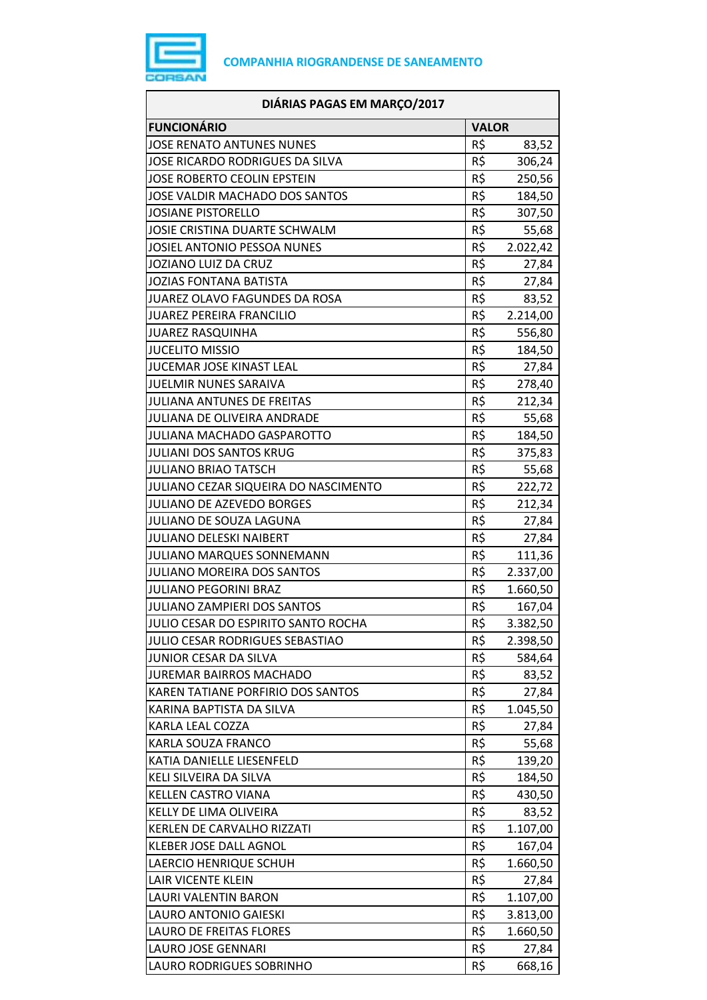

| DIÁRIAS PAGAS EM MARÇO/2017            |              |          |
|----------------------------------------|--------------|----------|
| <b>FUNCIONÁRIO</b>                     | <b>VALOR</b> |          |
| <b>JOSE RENATO ANTUNES NUNES</b>       | R\$          | 83,52    |
| JOSE RICARDO RODRIGUES DA SILVA        | R\$          | 306,24   |
| JOSE ROBERTO CEOLIN EPSTEIN            | R\$          | 250,56   |
| JOSE VALDIR MACHADO DOS SANTOS         | R\$          | 184,50   |
| <b>JOSIANE PISTORELLO</b>              | R\$          | 307,50   |
| JOSIE CRISTINA DUARTE SCHWALM          | R\$          | 55,68    |
| JOSIEL ANTONIO PESSOA NUNES            | R\$          | 2.022,42 |
| JOZIANO LUIZ DA CRUZ                   | R\$          | 27,84    |
| <b>JOZIAS FONTANA BATISTA</b>          | R\$          | 27,84    |
| JUAREZ OLAVO FAGUNDES DA ROSA          | R\$          | 83,52    |
| <b>JUAREZ PEREIRA FRANCILIO</b>        | R\$          | 2.214,00 |
| <b>JUAREZ RASQUINHA</b>                | R\$          | 556,80   |
| <b>JUCELITO MISSIO</b>                 | R\$          | 184,50   |
| JUCEMAR JOSE KINAST LEAL               | R\$          | 27,84    |
| <b>JUELMIR NUNES SARAIVA</b>           | R\$          | 278,40   |
| <b>JULIANA ANTUNES DE FREITAS</b>      | R\$          | 212,34   |
| JULIANA DE OLIVEIRA ANDRADE            | R\$          | 55,68    |
| <b>JULIANA MACHADO GASPAROTTO</b>      | R\$          | 184,50   |
| <b>JULIANI DOS SANTOS KRUG</b>         | R\$          | 375,83   |
| <b>JULIANO BRIAO TATSCH</b>            | R\$          | 55,68    |
| JULIANO CEZAR SIQUEIRA DO NASCIMENTO   | R\$          | 222,72   |
| JULIANO DE AZEVEDO BORGES              | R\$          | 212,34   |
| JULIANO DE SOUZA LAGUNA                | R\$          | 27,84    |
| <b>JULIANO DELESKI NAIBERT</b>         | R\$          | 27,84    |
| JULIANO MARQUES SONNEMANN              | R\$          | 111,36   |
| JULIANO MOREIRA DOS SANTOS             | R\$          | 2.337,00 |
| <b>JULIANO PEGORINI BRAZ</b>           | R\$          | 1.660,50 |
| <b>JULIANO ZAMPIERI DOS SANTOS</b>     | R\$          | 167,04   |
| JULIO CESAR DO ESPIRITO SANTO ROCHA    | R\$          | 3.382,50 |
| <b>JULIO CESAR RODRIGUES SEBASTIAO</b> | R\$          | 2.398,50 |
| JUNIOR CESAR DA SILVA                  | R\$          | 584,64   |
| <b>JUREMAR BAIRROS MACHADO</b>         | R\$          | 83,52    |
| KAREN TATIANE PORFIRIO DOS SANTOS      | R\$          | 27,84    |
| KARINA BAPTISTA DA SILVA               | R\$          | 1.045,50 |
| KARLA LEAL COZZA                       | R\$          | 27,84    |
| KARLA SOUZA FRANCO                     | R\$          | 55,68    |
| KATIA DANIELLE LIESENFELD              | R\$          | 139,20   |
| KELI SILVEIRA DA SILVA                 | R\$          | 184,50   |
| KELLEN CASTRO VIANA                    | R\$          | 430,50   |
| KELLY DE LIMA OLIVEIRA                 | R\$          | 83,52    |
| KERLEN DE CARVALHO RIZZATI             | R\$          | 1.107,00 |
| <b>KLEBER JOSE DALL AGNOL</b>          | R\$          | 167,04   |
| LAERCIO HENRIQUE SCHUH                 | R\$          | 1.660,50 |
| LAIR VICENTE KLEIN                     | R\$          | 27,84    |
| LAURI VALENTIN BARON                   | R\$          | 1.107,00 |
| LAURO ANTONIO GAIESKI                  | R\$          | 3.813,00 |
| <b>LAURO DE FREITAS FLORES</b>         | R\$          | 1.660,50 |
| LAURO JOSE GENNARI                     | R\$          | 27,84    |
| LAURO RODRIGUES SOBRINHO               | R\$          | 668,16   |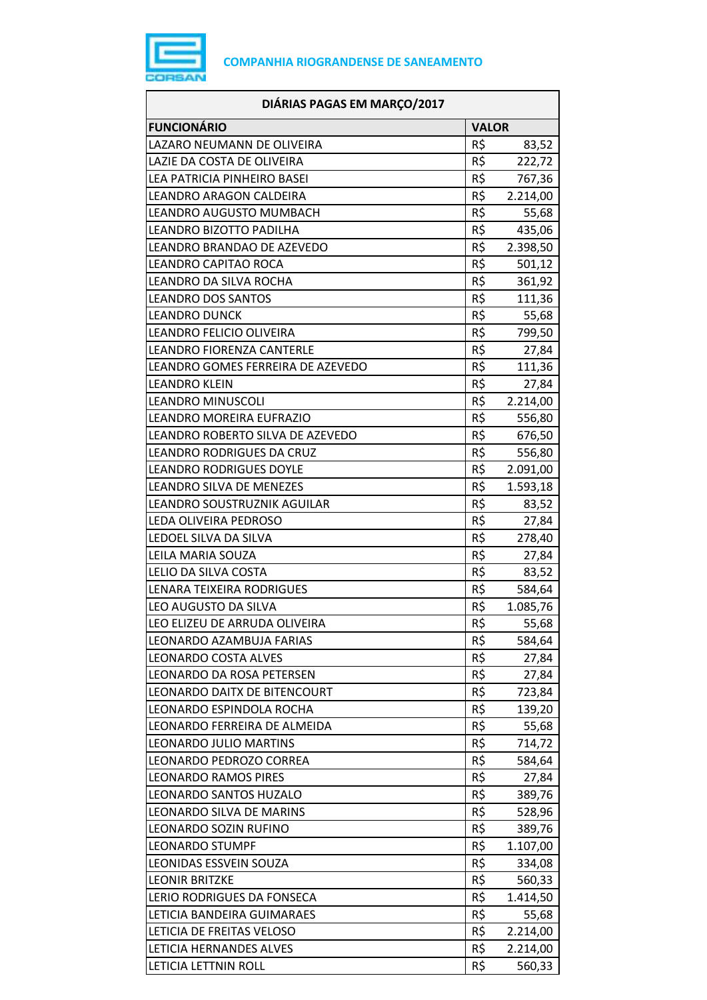

| DIÁRIAS PAGAS EM MARÇO/2017       |              |          |
|-----------------------------------|--------------|----------|
| <b>FUNCIONÁRIO</b>                | <b>VALOR</b> |          |
| LAZARO NEUMANN DE OLIVEIRA        | R\$          | 83,52    |
| LAZIE DA COSTA DE OLIVEIRA        | R\$          | 222,72   |
| LEA PATRICIA PINHEIRO BASEI       | R\$          | 767,36   |
| LEANDRO ARAGON CALDEIRA           | R\$          | 2.214,00 |
| LEANDRO AUGUSTO MUMBACH           | R\$          | 55,68    |
| LEANDRO BIZOTTO PADILHA           | R\$          | 435,06   |
| LEANDRO BRANDAO DE AZEVEDO        | $R\zeta$     | 2.398,50 |
| LEANDRO CAPITAO ROCA              | R\$          | 501,12   |
| LEANDRO DA SILVA ROCHA            | R\$          | 361,92   |
| <b>LEANDRO DOS SANTOS</b>         | R\$          | 111,36   |
| <b>LEANDRO DUNCK</b>              | R\$          | 55,68    |
| LEANDRO FELICIO OLIVEIRA          | $R\zeta$     | 799,50   |
| <b>LEANDRO FIORENZA CANTERLE</b>  | R\$          | 27,84    |
| LEANDRO GOMES FERREIRA DE AZEVEDO | R\$          | 111,36   |
| <b>LEANDRO KLEIN</b>              | R\$          | 27,84    |
| <b>LEANDRO MINUSCOLI</b>          | R\$          | 2.214,00 |
| LEANDRO MOREIRA EUFRAZIO          | $R\zeta$     | 556,80   |
| LEANDRO ROBERTO SILVA DE AZEVEDO  | R\$          | 676,50   |
| LEANDRO RODRIGUES DA CRUZ         | R\$          | 556,80   |
| <b>LEANDRO RODRIGUES DOYLE</b>    | R\$          | 2.091,00 |
| LEANDRO SILVA DE MENEZES          | R\$          | 1.593,18 |
| LEANDRO SOUSTRUZNIK AGUILAR       | R\$          | 83,52    |
| LEDA OLIVEIRA PEDROSO             | R\$          | 27,84    |
| LEDOEL SILVA DA SILVA             | R\$          | 278,40   |
| LEILA MARIA SOUZA                 | R\$          | 27,84    |
| LELIO DA SILVA COSTA              | R\$          | 83,52    |
| LENARA TEIXEIRA RODRIGUES         | R\$          | 584,64   |
| LEO AUGUSTO DA SILVA              | R\$          | 1.085,76 |
| LEO ELIZEU DE ARRUDA OLIVEIRA     | R\$          | 55,68    |
| LEONARDO AZAMBUJA FARIAS          | R\$          | 584,64   |
| LEONARDO COSTA ALVES              | R\$          | 27,84    |
| <b>LEONARDO DA ROSA PETERSEN</b>  | R\$          | 27,84    |
| LEONARDO DAITX DE BITENCOURT      | R\$          | 723,84   |
| LEONARDO ESPINDOLA ROCHA          | R\$          | 139,20   |
| LEONARDO FERREIRA DE ALMEIDA      | R\$          | 55,68    |
| <b>LEONARDO JULIO MARTINS</b>     | R\$          | 714,72   |
| LEONARDO PEDROZO CORREA           | R\$          | 584,64   |
| <b>LEONARDO RAMOS PIRES</b>       | R\$          | 27,84    |
| LEONARDO SANTOS HUZALO            | R\$          | 389,76   |
| LEONARDO SILVA DE MARINS          | R\$          | 528,96   |
| LEONARDO SOZIN RUFINO             | R\$          | 389,76   |
| <b>LEONARDO STUMPF</b>            | R\$          | 1.107,00 |
| LEONIDAS ESSVEIN SOUZA            | R\$          | 334,08   |
| <b>LEONIR BRITZKE</b>             | R\$          | 560,33   |
| LERIO RODRIGUES DA FONSECA        | R\$          | 1.414,50 |
| LETICIA BANDEIRA GUIMARAES        | R\$          | 55,68    |
| LETICIA DE FREITAS VELOSO         | R\$          | 2.214,00 |
| LETICIA HERNANDES ALVES           | R\$          | 2.214,00 |
| LETICIA LETTNIN ROLL              | R\$          | 560,33   |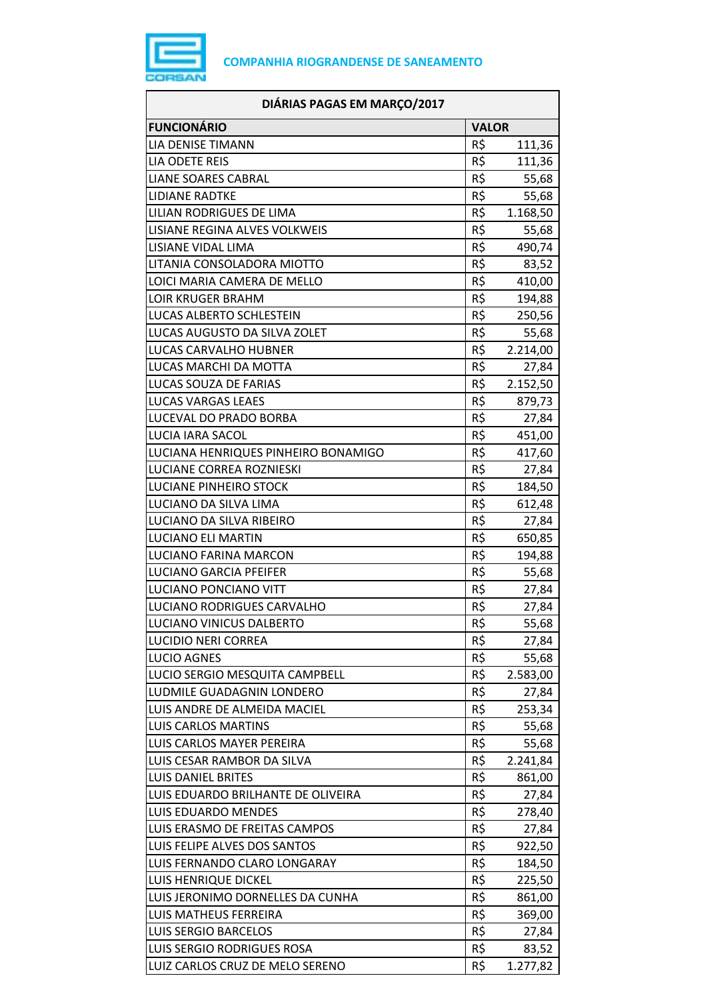

| DIÁRIAS PAGAS EM MARÇO/2017                              |              |          |
|----------------------------------------------------------|--------------|----------|
| <b>FUNCIONÁRIO</b>                                       | <b>VALOR</b> |          |
| LIA DENISE TIMANN                                        | R\$          | 111,36   |
| <b>LIA ODETE REIS</b>                                    | R\$          | 111,36   |
| <b>LIANE SOARES CABRAL</b>                               | R\$          | 55,68    |
| <b>LIDIANE RADTKE</b>                                    | R\$          | 55,68    |
| LILIAN RODRIGUES DE LIMA                                 | R\$          | 1.168,50 |
| LISIANE REGINA ALVES VOLKWEIS                            | R\$          | 55,68    |
| LISIANE VIDAL LIMA                                       | R\$          | 490,74   |
| LITANIA CONSOLADORA MIOTTO                               | R\$          | 83,52    |
| LOICI MARIA CAMERA DE MELLO                              | R\$          | 410,00   |
| <b>LOIR KRUGER BRAHM</b>                                 | R\$          | 194,88   |
| LUCAS ALBERTO SCHLESTEIN                                 | R\$          | 250,56   |
| LUCAS AUGUSTO DA SILVA ZOLET                             | R\$          | 55,68    |
| LUCAS CARVALHO HUBNER                                    | R\$          | 2.214,00 |
| LUCAS MARCHI DA MOTTA                                    | R\$          | 27,84    |
| LUCAS SOUZA DE FARIAS                                    | R\$          | 2.152,50 |
| <b>LUCAS VARGAS LEAES</b>                                | R\$          | 879,73   |
| LUCEVAL DO PRADO BORBA                                   | R\$          | 27,84    |
| <b>LUCIA IARA SACOL</b>                                  | R\$          | 451,00   |
| LUCIANA HENRIQUES PINHEIRO BONAMIGO                      | R\$          | 417,60   |
| LUCIANE CORREA ROZNIESKI                                 | R\$          | 27,84    |
| LUCIANE PINHEIRO STOCK                                   | R\$          | 184,50   |
| LUCIANO DA SILVA LIMA                                    | R\$          | 612,48   |
| LUCIANO DA SILVA RIBEIRO                                 | R\$          | 27,84    |
| <b>LUCIANO ELI MARTIN</b>                                | R\$          | 650,85   |
| LUCIANO FARINA MARCON                                    | R\$          | 194,88   |
| <b>LUCIANO GARCIA PFEIFER</b>                            | R\$          | 55,68    |
| LUCIANO PONCIANO VITT                                    | R\$          | 27,84    |
| LUCIANO RODRIGUES CARVALHO                               | R\$          | 27,84    |
| LUCIANO VINICUS DALBERTO                                 | R\$          | 55,68    |
| <b>LUCIDIO NERI CORREA</b>                               | R\$          | 27,84    |
| <b>LUCIO AGNES</b>                                       | R\$          | 55,68    |
| LUCIO SERGIO MESQUITA CAMPBELL                           | R\$          | 2.583,00 |
| LUDMILE GUADAGNIN LONDERO                                | R\$          | 27,84    |
| LUIS ANDRE DE ALMEIDA MACIEL                             | R\$          | 253,34   |
| <b>LUIS CARLOS MARTINS</b>                               | R\$          | 55,68    |
| LUIS CARLOS MAYER PEREIRA                                | R\$          | 55,68    |
| LUIS CESAR RAMBOR DA SILVA                               | R\$          | 2.241,84 |
| <b>LUIS DANIEL BRITES</b>                                | R\$          | 861,00   |
| LUIS EDUARDO BRILHANTE DE OLIVEIRA                       | R\$          | 27,84    |
| LUIS EDUARDO MENDES                                      | R\$          | 278,40   |
| LUIS ERASMO DE FREITAS CAMPOS                            | R\$          | 27,84    |
| LUIS FELIPE ALVES DOS SANTOS                             | R\$          | 922,50   |
| LUIS FERNANDO CLARO LONGARAY                             | R\$          | 184,50   |
|                                                          | R\$          |          |
| LUIS HENRIQUE DICKEL<br>LUIS JERONIMO DORNELLES DA CUNHA | R\$          | 225,50   |
| LUIS MATHEUS FERREIRA                                    | R\$          | 861,00   |
| <b>LUIS SERGIO BARCELOS</b>                              | R\$          | 369,00   |
| LUIS SERGIO RODRIGUES ROSA                               | R\$          | 27,84    |
|                                                          | R\$          | 83,52    |
| LUIZ CARLOS CRUZ DE MELO SERENO                          |              | 1.277,82 |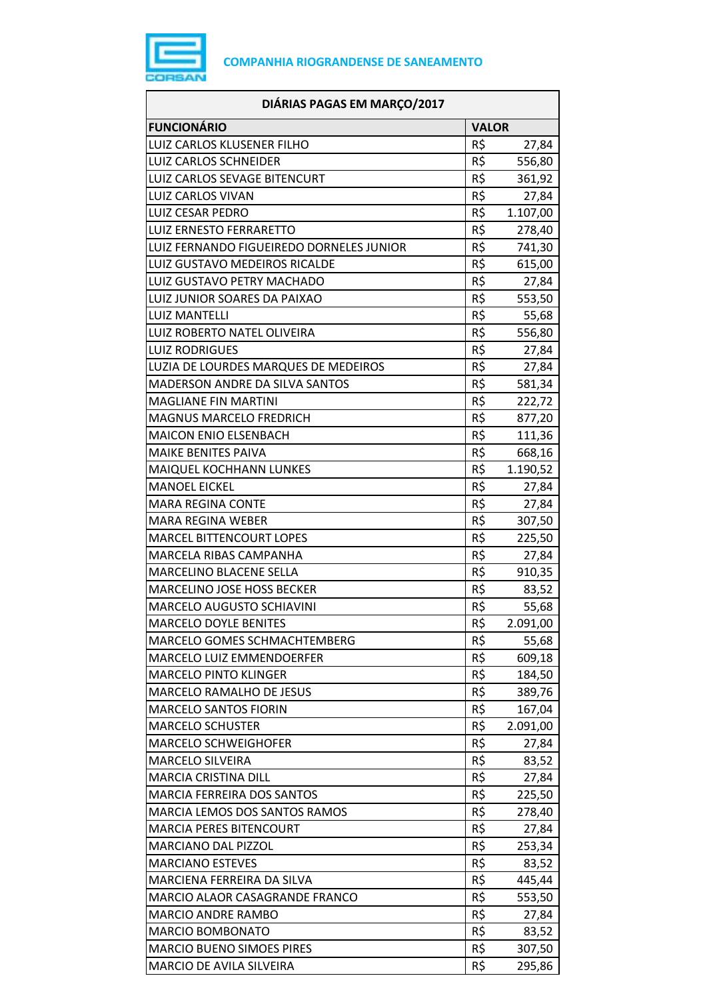

| DIÁRIAS PAGAS EM MARÇO/2017              |              |          |
|------------------------------------------|--------------|----------|
| <b>FUNCIONÁRIO</b>                       | <b>VALOR</b> |          |
| LUIZ CARLOS KLUSENER FILHO               | R\$          | 27,84    |
| <b>LUIZ CARLOS SCHNEIDER</b>             | R\$          | 556,80   |
| LUIZ CARLOS SEVAGE BITENCURT             | R\$          | 361,92   |
| <b>LUIZ CARLOS VIVAN</b>                 | R\$          | 27,84    |
| <b>LUIZ CESAR PEDRO</b>                  | R\$          | 1.107,00 |
| <b>LUIZ ERNESTO FERRARETTO</b>           | R\$          | 278,40   |
| LUIZ FERNANDO FIGUEIREDO DORNELES JUNIOR | R\$          | 741,30   |
| LUIZ GUSTAVO MEDEIROS RICALDE            | R\$          | 615,00   |
| LUIZ GUSTAVO PETRY MACHADO               | R\$          | 27,84    |
| LUIZ JUNIOR SOARES DA PAIXAO             | R\$          | 553,50   |
| <b>LUIZ MANTELLI</b>                     | R\$          | 55,68    |
| LUIZ ROBERTO NATEL OLIVEIRA              | R\$          | 556,80   |
| <b>LUIZ RODRIGUES</b>                    | R\$          | 27,84    |
| LUZIA DE LOURDES MARQUES DE MEDEIROS     | R\$          | 27,84    |
| <b>MADERSON ANDRE DA SILVA SANTOS</b>    | R\$          | 581,34   |
| <b>MAGLIANE FIN MARTINI</b>              | R\$          | 222,72   |
| <b>MAGNUS MARCELO FREDRICH</b>           | R\$          | 877,20   |
| <b>MAICON ENIO ELSENBACH</b>             | R\$          | 111,36   |
| MAIKE BENITES PAIVA                      | R\$          | 668,16   |
| <b>MAIQUEL KOCHHANN LUNKES</b>           | R\$          | 1.190,52 |
| <b>MANOEL EICKEL</b>                     | R\$          | 27,84    |
| <b>MARA REGINA CONTE</b>                 | R\$          | 27,84    |
| <b>MARA REGINA WEBER</b>                 | R\$          | 307,50   |
| <b>MARCEL BITTENCOURT LOPES</b>          | R\$          | 225,50   |
| MARCELA RIBAS CAMPANHA                   | R\$          | 27,84    |
| MARCELINO BLACENE SELLA                  | R\$          | 910,35   |
| MARCELINO JOSE HOSS BECKER               | R\$          | 83,52    |
| <b>MARCELO AUGUSTO SCHIAVINI</b>         | R\$          | 55,68    |
| <b>MARCELO DOYLE BENITES</b>             | R\$          | 2.091,00 |
| MARCELO GOMES SCHMACHTEMBERG             | R\$          | 55,68    |
| MARCELO LUIZ EMMENDOERFER                | R\$          | 609,18   |
| <b>MARCELO PINTO KLINGER</b>             | R\$          | 184,50   |
| MARCELO RAMALHO DE JESUS                 | R\$          | 389,76   |
| <b>MARCELO SANTOS FIORIN</b>             | R\$          | 167,04   |
| <b>MARCELO SCHUSTER</b>                  | R\$          | 2.091,00 |
| <b>MARCELO SCHWEIGHOFER</b>              | R\$          | 27,84    |
| <b>MARCELO SILVEIRA</b>                  | R\$          | 83,52    |
| <b>MARCIA CRISTINA DILL</b>              | R\$          | 27,84    |
| MARCIA FERREIRA DOS SANTOS               | R\$          | 225,50   |
| MARCIA LEMOS DOS SANTOS RAMOS            | R\$          | 278,40   |
| <b>MARCIA PERES BITENCOURT</b>           | R\$          | 27,84    |
| <b>MARCIANO DAL PIZZOL</b>               | R\$          | 253,34   |
| <b>MARCIANO ESTEVES</b>                  | R\$          | 83,52    |
| MARCIENA FERREIRA DA SILVA               | R\$          | 445,44   |
| MARCIO ALAOR CASAGRANDE FRANCO           | R\$          | 553,50   |
| <b>MARCIO ANDRE RAMBO</b>                | R\$          | 27,84    |
| <b>MARCIO BOMBONATO</b>                  | R\$          | 83,52    |
| <b>MARCIO BUENO SIMOES PIRES</b>         | R\$          | 307,50   |
| MARCIO DE AVILA SILVEIRA                 | R\$          | 295,86   |
|                                          |              |          |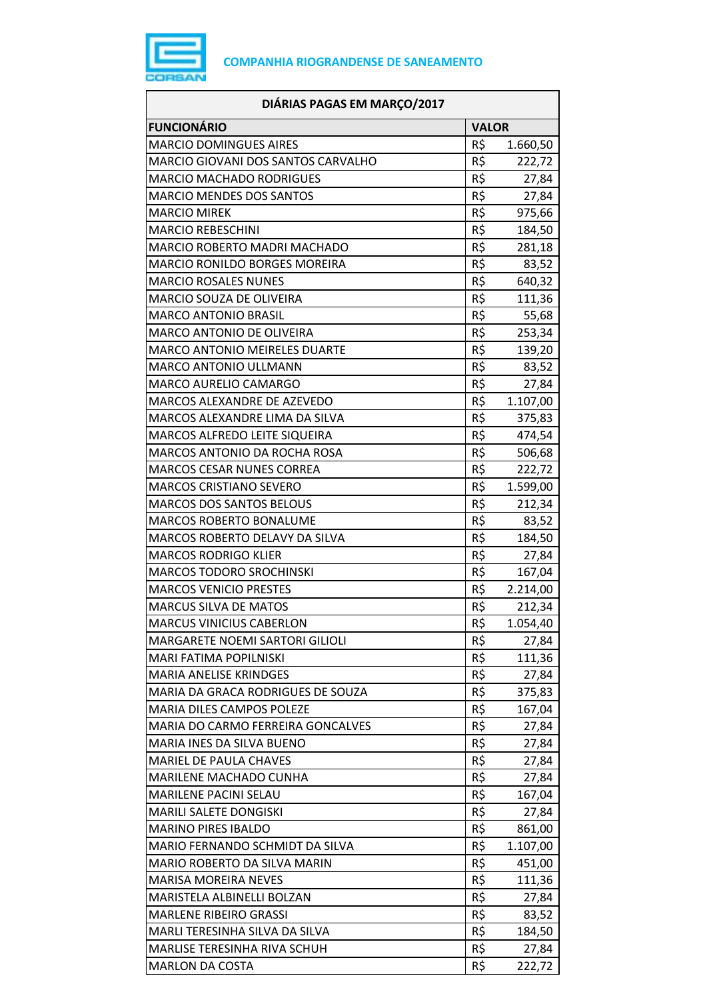

| <b>FUNCIONÁRIO</b><br><b>VALOR</b><br><b>MARCIO DOMINGUES AIRES</b><br>R\$<br>1.660,50<br>R\$<br>MARCIO GIOVANI DOS SANTOS CARVALHO<br>222,72<br>R\$<br><b>MARCIO MACHADO RODRIGUES</b><br>27,84<br>R\$<br><b>MARCIO MENDES DOS SANTOS</b><br>27,84<br>R\$<br><b>MARCIO MIREK</b><br>975,66<br>R\$<br><b>MARCIO REBESCHINI</b><br>184,50<br>R\$<br><b>MARCIO ROBERTO MADRI MACHADO</b><br>281,18<br>R\$<br><b>MARCIO RONILDO BORGES MOREIRA</b><br>83,52<br>R\$<br><b>MARCIO ROSALES NUNES</b><br>640,32<br>R\$<br>MARCIO SOUZA DE OLIVEIRA<br>111,36<br>R\$<br><b>MARCO ANTONIO BRASIL</b><br>55,68<br>R\$<br>MARCO ANTONIO DE OLIVEIRA<br>253,34<br>R\$<br><b>MARCO ANTONIO MEIRELES DUARTE</b><br>139,20<br>R\$<br>MARCO ANTONIO ULLMANN<br>83,52<br>R\$<br>MARCO AURELIO CAMARGO<br>27,84<br>R\$<br>MARCOS ALEXANDRE DE AZEVEDO<br>1.107,00<br>R\$<br>MARCOS ALEXANDRE LIMA DA SILVA<br>375,83<br>R\$<br>MARCOS ALFREDO LEITE SIQUEIRA<br>474,54<br>$R\overline{S}$<br>MARCOS ANTONIO DA ROCHA ROSA<br>506,68<br>R\$<br><b>MARCOS CESAR NUNES CORREA</b><br>222,72<br>R\$<br><b>MARCOS CRISTIANO SEVERO</b><br>1.599,00<br>R\$<br><b>MARCOS DOS SANTOS BELOUS</b><br>212,34<br>R\$<br><b>MARCOS ROBERTO BONALUME</b><br>83,52<br>R\$<br>MARCOS ROBERTO DELAVY DA SILVA<br>184,50<br>R\$<br><b>MARCOS RODRIGO KLIER</b><br>27,84<br>R\$<br><b>MARCOS TODORO SROCHINSKI</b><br>167,04<br>R\$<br>2.214,00<br><b>MARCOS VENICIO PRESTES</b><br>R\$<br><b>MARCUS SILVA DE MATOS</b><br>212,34<br>R\$<br>1.054,40<br><b>MARCUS VINICIUS CABERLON</b><br>R\$<br>MARGARETE NOEMI SARTORI GILIOLI<br>27,84<br>R\$<br>MARI FATIMA POPILNISKI<br>111,36<br>R\$<br><b>MARIA ANELISE KRINDGES</b><br>27,84<br>R\$<br>MARIA DA GRACA RODRIGUES DE SOUZA<br>375,83<br>R\$<br>MARIA DILES CAMPOS POLEZE<br>167,04<br>R\$<br>MARIA DO CARMO FERREIRA GONCALVES<br>27,84<br>R\$<br>MARIA INES DA SILVA BUENO<br>27,84<br>R\$<br>MARIEL DE PAULA CHAVES<br>27,84<br>R\$<br>MARILENE MACHADO CUNHA<br>27,84<br>R\$<br>MARILENE PACINI SELAU<br>167,04<br>R\$<br>MARILI SALETE DONGISKI<br>27,84<br>R\$<br><b>MARINO PIRES IBALDO</b><br>861,00<br>R\$<br>1.107,00<br>MARIO FERNANDO SCHMIDT DA SILVA<br>R\$<br>MARIO ROBERTO DA SILVA MARIN<br>451,00<br>R\$<br><b>MARISA MOREIRA NEVES</b><br>111,36<br>R\$<br>MARISTELA ALBINELLI BOLZAN<br>27,84<br>R\$<br><b>MARLENE RIBEIRO GRASSI</b><br>83,52<br>R\$<br>MARLI TERESINHA SILVA DA SILVA<br>184,50<br>R\$<br>MARLISE TERESINHA RIVA SCHUH<br>27,84<br>R\$<br>222,72<br><b>MARLON DA COSTA</b> | DIÁRIAS PAGAS EM MARÇO/2017 |  |  |
|------------------------------------------------------------------------------------------------------------------------------------------------------------------------------------------------------------------------------------------------------------------------------------------------------------------------------------------------------------------------------------------------------------------------------------------------------------------------------------------------------------------------------------------------------------------------------------------------------------------------------------------------------------------------------------------------------------------------------------------------------------------------------------------------------------------------------------------------------------------------------------------------------------------------------------------------------------------------------------------------------------------------------------------------------------------------------------------------------------------------------------------------------------------------------------------------------------------------------------------------------------------------------------------------------------------------------------------------------------------------------------------------------------------------------------------------------------------------------------------------------------------------------------------------------------------------------------------------------------------------------------------------------------------------------------------------------------------------------------------------------------------------------------------------------------------------------------------------------------------------------------------------------------------------------------------------------------------------------------------------------------------------------------------------------------------------------------------------------------------------------------------------------------------------------------------------------------------------------------------------------------------------------------------------------------------------------------------------------------------------------------------------------------------------------------------------------------------------------------------------------------------------------------|-----------------------------|--|--|
|                                                                                                                                                                                                                                                                                                                                                                                                                                                                                                                                                                                                                                                                                                                                                                                                                                                                                                                                                                                                                                                                                                                                                                                                                                                                                                                                                                                                                                                                                                                                                                                                                                                                                                                                                                                                                                                                                                                                                                                                                                                                                                                                                                                                                                                                                                                                                                                                                                                                                                                                    |                             |  |  |
|                                                                                                                                                                                                                                                                                                                                                                                                                                                                                                                                                                                                                                                                                                                                                                                                                                                                                                                                                                                                                                                                                                                                                                                                                                                                                                                                                                                                                                                                                                                                                                                                                                                                                                                                                                                                                                                                                                                                                                                                                                                                                                                                                                                                                                                                                                                                                                                                                                                                                                                                    |                             |  |  |
|                                                                                                                                                                                                                                                                                                                                                                                                                                                                                                                                                                                                                                                                                                                                                                                                                                                                                                                                                                                                                                                                                                                                                                                                                                                                                                                                                                                                                                                                                                                                                                                                                                                                                                                                                                                                                                                                                                                                                                                                                                                                                                                                                                                                                                                                                                                                                                                                                                                                                                                                    |                             |  |  |
|                                                                                                                                                                                                                                                                                                                                                                                                                                                                                                                                                                                                                                                                                                                                                                                                                                                                                                                                                                                                                                                                                                                                                                                                                                                                                                                                                                                                                                                                                                                                                                                                                                                                                                                                                                                                                                                                                                                                                                                                                                                                                                                                                                                                                                                                                                                                                                                                                                                                                                                                    |                             |  |  |
|                                                                                                                                                                                                                                                                                                                                                                                                                                                                                                                                                                                                                                                                                                                                                                                                                                                                                                                                                                                                                                                                                                                                                                                                                                                                                                                                                                                                                                                                                                                                                                                                                                                                                                                                                                                                                                                                                                                                                                                                                                                                                                                                                                                                                                                                                                                                                                                                                                                                                                                                    |                             |  |  |
|                                                                                                                                                                                                                                                                                                                                                                                                                                                                                                                                                                                                                                                                                                                                                                                                                                                                                                                                                                                                                                                                                                                                                                                                                                                                                                                                                                                                                                                                                                                                                                                                                                                                                                                                                                                                                                                                                                                                                                                                                                                                                                                                                                                                                                                                                                                                                                                                                                                                                                                                    |                             |  |  |
|                                                                                                                                                                                                                                                                                                                                                                                                                                                                                                                                                                                                                                                                                                                                                                                                                                                                                                                                                                                                                                                                                                                                                                                                                                                                                                                                                                                                                                                                                                                                                                                                                                                                                                                                                                                                                                                                                                                                                                                                                                                                                                                                                                                                                                                                                                                                                                                                                                                                                                                                    |                             |  |  |
|                                                                                                                                                                                                                                                                                                                                                                                                                                                                                                                                                                                                                                                                                                                                                                                                                                                                                                                                                                                                                                                                                                                                                                                                                                                                                                                                                                                                                                                                                                                                                                                                                                                                                                                                                                                                                                                                                                                                                                                                                                                                                                                                                                                                                                                                                                                                                                                                                                                                                                                                    |                             |  |  |
|                                                                                                                                                                                                                                                                                                                                                                                                                                                                                                                                                                                                                                                                                                                                                                                                                                                                                                                                                                                                                                                                                                                                                                                                                                                                                                                                                                                                                                                                                                                                                                                                                                                                                                                                                                                                                                                                                                                                                                                                                                                                                                                                                                                                                                                                                                                                                                                                                                                                                                                                    |                             |  |  |
|                                                                                                                                                                                                                                                                                                                                                                                                                                                                                                                                                                                                                                                                                                                                                                                                                                                                                                                                                                                                                                                                                                                                                                                                                                                                                                                                                                                                                                                                                                                                                                                                                                                                                                                                                                                                                                                                                                                                                                                                                                                                                                                                                                                                                                                                                                                                                                                                                                                                                                                                    |                             |  |  |
|                                                                                                                                                                                                                                                                                                                                                                                                                                                                                                                                                                                                                                                                                                                                                                                                                                                                                                                                                                                                                                                                                                                                                                                                                                                                                                                                                                                                                                                                                                                                                                                                                                                                                                                                                                                                                                                                                                                                                                                                                                                                                                                                                                                                                                                                                                                                                                                                                                                                                                                                    |                             |  |  |
|                                                                                                                                                                                                                                                                                                                                                                                                                                                                                                                                                                                                                                                                                                                                                                                                                                                                                                                                                                                                                                                                                                                                                                                                                                                                                                                                                                                                                                                                                                                                                                                                                                                                                                                                                                                                                                                                                                                                                                                                                                                                                                                                                                                                                                                                                                                                                                                                                                                                                                                                    |                             |  |  |
|                                                                                                                                                                                                                                                                                                                                                                                                                                                                                                                                                                                                                                                                                                                                                                                                                                                                                                                                                                                                                                                                                                                                                                                                                                                                                                                                                                                                                                                                                                                                                                                                                                                                                                                                                                                                                                                                                                                                                                                                                                                                                                                                                                                                                                                                                                                                                                                                                                                                                                                                    |                             |  |  |
|                                                                                                                                                                                                                                                                                                                                                                                                                                                                                                                                                                                                                                                                                                                                                                                                                                                                                                                                                                                                                                                                                                                                                                                                                                                                                                                                                                                                                                                                                                                                                                                                                                                                                                                                                                                                                                                                                                                                                                                                                                                                                                                                                                                                                                                                                                                                                                                                                                                                                                                                    |                             |  |  |
|                                                                                                                                                                                                                                                                                                                                                                                                                                                                                                                                                                                                                                                                                                                                                                                                                                                                                                                                                                                                                                                                                                                                                                                                                                                                                                                                                                                                                                                                                                                                                                                                                                                                                                                                                                                                                                                                                                                                                                                                                                                                                                                                                                                                                                                                                                                                                                                                                                                                                                                                    |                             |  |  |
|                                                                                                                                                                                                                                                                                                                                                                                                                                                                                                                                                                                                                                                                                                                                                                                                                                                                                                                                                                                                                                                                                                                                                                                                                                                                                                                                                                                                                                                                                                                                                                                                                                                                                                                                                                                                                                                                                                                                                                                                                                                                                                                                                                                                                                                                                                                                                                                                                                                                                                                                    |                             |  |  |
|                                                                                                                                                                                                                                                                                                                                                                                                                                                                                                                                                                                                                                                                                                                                                                                                                                                                                                                                                                                                                                                                                                                                                                                                                                                                                                                                                                                                                                                                                                                                                                                                                                                                                                                                                                                                                                                                                                                                                                                                                                                                                                                                                                                                                                                                                                                                                                                                                                                                                                                                    |                             |  |  |
|                                                                                                                                                                                                                                                                                                                                                                                                                                                                                                                                                                                                                                                                                                                                                                                                                                                                                                                                                                                                                                                                                                                                                                                                                                                                                                                                                                                                                                                                                                                                                                                                                                                                                                                                                                                                                                                                                                                                                                                                                                                                                                                                                                                                                                                                                                                                                                                                                                                                                                                                    |                             |  |  |
|                                                                                                                                                                                                                                                                                                                                                                                                                                                                                                                                                                                                                                                                                                                                                                                                                                                                                                                                                                                                                                                                                                                                                                                                                                                                                                                                                                                                                                                                                                                                                                                                                                                                                                                                                                                                                                                                                                                                                                                                                                                                                                                                                                                                                                                                                                                                                                                                                                                                                                                                    |                             |  |  |
|                                                                                                                                                                                                                                                                                                                                                                                                                                                                                                                                                                                                                                                                                                                                                                                                                                                                                                                                                                                                                                                                                                                                                                                                                                                                                                                                                                                                                                                                                                                                                                                                                                                                                                                                                                                                                                                                                                                                                                                                                                                                                                                                                                                                                                                                                                                                                                                                                                                                                                                                    |                             |  |  |
|                                                                                                                                                                                                                                                                                                                                                                                                                                                                                                                                                                                                                                                                                                                                                                                                                                                                                                                                                                                                                                                                                                                                                                                                                                                                                                                                                                                                                                                                                                                                                                                                                                                                                                                                                                                                                                                                                                                                                                                                                                                                                                                                                                                                                                                                                                                                                                                                                                                                                                                                    |                             |  |  |
|                                                                                                                                                                                                                                                                                                                                                                                                                                                                                                                                                                                                                                                                                                                                                                                                                                                                                                                                                                                                                                                                                                                                                                                                                                                                                                                                                                                                                                                                                                                                                                                                                                                                                                                                                                                                                                                                                                                                                                                                                                                                                                                                                                                                                                                                                                                                                                                                                                                                                                                                    |                             |  |  |
|                                                                                                                                                                                                                                                                                                                                                                                                                                                                                                                                                                                                                                                                                                                                                                                                                                                                                                                                                                                                                                                                                                                                                                                                                                                                                                                                                                                                                                                                                                                                                                                                                                                                                                                                                                                                                                                                                                                                                                                                                                                                                                                                                                                                                                                                                                                                                                                                                                                                                                                                    |                             |  |  |
|                                                                                                                                                                                                                                                                                                                                                                                                                                                                                                                                                                                                                                                                                                                                                                                                                                                                                                                                                                                                                                                                                                                                                                                                                                                                                                                                                                                                                                                                                                                                                                                                                                                                                                                                                                                                                                                                                                                                                                                                                                                                                                                                                                                                                                                                                                                                                                                                                                                                                                                                    |                             |  |  |
|                                                                                                                                                                                                                                                                                                                                                                                                                                                                                                                                                                                                                                                                                                                                                                                                                                                                                                                                                                                                                                                                                                                                                                                                                                                                                                                                                                                                                                                                                                                                                                                                                                                                                                                                                                                                                                                                                                                                                                                                                                                                                                                                                                                                                                                                                                                                                                                                                                                                                                                                    |                             |  |  |
|                                                                                                                                                                                                                                                                                                                                                                                                                                                                                                                                                                                                                                                                                                                                                                                                                                                                                                                                                                                                                                                                                                                                                                                                                                                                                                                                                                                                                                                                                                                                                                                                                                                                                                                                                                                                                                                                                                                                                                                                                                                                                                                                                                                                                                                                                                                                                                                                                                                                                                                                    |                             |  |  |
|                                                                                                                                                                                                                                                                                                                                                                                                                                                                                                                                                                                                                                                                                                                                                                                                                                                                                                                                                                                                                                                                                                                                                                                                                                                                                                                                                                                                                                                                                                                                                                                                                                                                                                                                                                                                                                                                                                                                                                                                                                                                                                                                                                                                                                                                                                                                                                                                                                                                                                                                    |                             |  |  |
|                                                                                                                                                                                                                                                                                                                                                                                                                                                                                                                                                                                                                                                                                                                                                                                                                                                                                                                                                                                                                                                                                                                                                                                                                                                                                                                                                                                                                                                                                                                                                                                                                                                                                                                                                                                                                                                                                                                                                                                                                                                                                                                                                                                                                                                                                                                                                                                                                                                                                                                                    |                             |  |  |
|                                                                                                                                                                                                                                                                                                                                                                                                                                                                                                                                                                                                                                                                                                                                                                                                                                                                                                                                                                                                                                                                                                                                                                                                                                                                                                                                                                                                                                                                                                                                                                                                                                                                                                                                                                                                                                                                                                                                                                                                                                                                                                                                                                                                                                                                                                                                                                                                                                                                                                                                    |                             |  |  |
|                                                                                                                                                                                                                                                                                                                                                                                                                                                                                                                                                                                                                                                                                                                                                                                                                                                                                                                                                                                                                                                                                                                                                                                                                                                                                                                                                                                                                                                                                                                                                                                                                                                                                                                                                                                                                                                                                                                                                                                                                                                                                                                                                                                                                                                                                                                                                                                                                                                                                                                                    |                             |  |  |
|                                                                                                                                                                                                                                                                                                                                                                                                                                                                                                                                                                                                                                                                                                                                                                                                                                                                                                                                                                                                                                                                                                                                                                                                                                                                                                                                                                                                                                                                                                                                                                                                                                                                                                                                                                                                                                                                                                                                                                                                                                                                                                                                                                                                                                                                                                                                                                                                                                                                                                                                    |                             |  |  |
|                                                                                                                                                                                                                                                                                                                                                                                                                                                                                                                                                                                                                                                                                                                                                                                                                                                                                                                                                                                                                                                                                                                                                                                                                                                                                                                                                                                                                                                                                                                                                                                                                                                                                                                                                                                                                                                                                                                                                                                                                                                                                                                                                                                                                                                                                                                                                                                                                                                                                                                                    |                             |  |  |
|                                                                                                                                                                                                                                                                                                                                                                                                                                                                                                                                                                                                                                                                                                                                                                                                                                                                                                                                                                                                                                                                                                                                                                                                                                                                                                                                                                                                                                                                                                                                                                                                                                                                                                                                                                                                                                                                                                                                                                                                                                                                                                                                                                                                                                                                                                                                                                                                                                                                                                                                    |                             |  |  |
|                                                                                                                                                                                                                                                                                                                                                                                                                                                                                                                                                                                                                                                                                                                                                                                                                                                                                                                                                                                                                                                                                                                                                                                                                                                                                                                                                                                                                                                                                                                                                                                                                                                                                                                                                                                                                                                                                                                                                                                                                                                                                                                                                                                                                                                                                                                                                                                                                                                                                                                                    |                             |  |  |
|                                                                                                                                                                                                                                                                                                                                                                                                                                                                                                                                                                                                                                                                                                                                                                                                                                                                                                                                                                                                                                                                                                                                                                                                                                                                                                                                                                                                                                                                                                                                                                                                                                                                                                                                                                                                                                                                                                                                                                                                                                                                                                                                                                                                                                                                                                                                                                                                                                                                                                                                    |                             |  |  |
|                                                                                                                                                                                                                                                                                                                                                                                                                                                                                                                                                                                                                                                                                                                                                                                                                                                                                                                                                                                                                                                                                                                                                                                                                                                                                                                                                                                                                                                                                                                                                                                                                                                                                                                                                                                                                                                                                                                                                                                                                                                                                                                                                                                                                                                                                                                                                                                                                                                                                                                                    |                             |  |  |
|                                                                                                                                                                                                                                                                                                                                                                                                                                                                                                                                                                                                                                                                                                                                                                                                                                                                                                                                                                                                                                                                                                                                                                                                                                                                                                                                                                                                                                                                                                                                                                                                                                                                                                                                                                                                                                                                                                                                                                                                                                                                                                                                                                                                                                                                                                                                                                                                                                                                                                                                    |                             |  |  |
|                                                                                                                                                                                                                                                                                                                                                                                                                                                                                                                                                                                                                                                                                                                                                                                                                                                                                                                                                                                                                                                                                                                                                                                                                                                                                                                                                                                                                                                                                                                                                                                                                                                                                                                                                                                                                                                                                                                                                                                                                                                                                                                                                                                                                                                                                                                                                                                                                                                                                                                                    |                             |  |  |
|                                                                                                                                                                                                                                                                                                                                                                                                                                                                                                                                                                                                                                                                                                                                                                                                                                                                                                                                                                                                                                                                                                                                                                                                                                                                                                                                                                                                                                                                                                                                                                                                                                                                                                                                                                                                                                                                                                                                                                                                                                                                                                                                                                                                                                                                                                                                                                                                                                                                                                                                    |                             |  |  |
|                                                                                                                                                                                                                                                                                                                                                                                                                                                                                                                                                                                                                                                                                                                                                                                                                                                                                                                                                                                                                                                                                                                                                                                                                                                                                                                                                                                                                                                                                                                                                                                                                                                                                                                                                                                                                                                                                                                                                                                                                                                                                                                                                                                                                                                                                                                                                                                                                                                                                                                                    |                             |  |  |
|                                                                                                                                                                                                                                                                                                                                                                                                                                                                                                                                                                                                                                                                                                                                                                                                                                                                                                                                                                                                                                                                                                                                                                                                                                                                                                                                                                                                                                                                                                                                                                                                                                                                                                                                                                                                                                                                                                                                                                                                                                                                                                                                                                                                                                                                                                                                                                                                                                                                                                                                    |                             |  |  |
|                                                                                                                                                                                                                                                                                                                                                                                                                                                                                                                                                                                                                                                                                                                                                                                                                                                                                                                                                                                                                                                                                                                                                                                                                                                                                                                                                                                                                                                                                                                                                                                                                                                                                                                                                                                                                                                                                                                                                                                                                                                                                                                                                                                                                                                                                                                                                                                                                                                                                                                                    |                             |  |  |
|                                                                                                                                                                                                                                                                                                                                                                                                                                                                                                                                                                                                                                                                                                                                                                                                                                                                                                                                                                                                                                                                                                                                                                                                                                                                                                                                                                                                                                                                                                                                                                                                                                                                                                                                                                                                                                                                                                                                                                                                                                                                                                                                                                                                                                                                                                                                                                                                                                                                                                                                    |                             |  |  |
|                                                                                                                                                                                                                                                                                                                                                                                                                                                                                                                                                                                                                                                                                                                                                                                                                                                                                                                                                                                                                                                                                                                                                                                                                                                                                                                                                                                                                                                                                                                                                                                                                                                                                                                                                                                                                                                                                                                                                                                                                                                                                                                                                                                                                                                                                                                                                                                                                                                                                                                                    |                             |  |  |
|                                                                                                                                                                                                                                                                                                                                                                                                                                                                                                                                                                                                                                                                                                                                                                                                                                                                                                                                                                                                                                                                                                                                                                                                                                                                                                                                                                                                                                                                                                                                                                                                                                                                                                                                                                                                                                                                                                                                                                                                                                                                                                                                                                                                                                                                                                                                                                                                                                                                                                                                    |                             |  |  |
|                                                                                                                                                                                                                                                                                                                                                                                                                                                                                                                                                                                                                                                                                                                                                                                                                                                                                                                                                                                                                                                                                                                                                                                                                                                                                                                                                                                                                                                                                                                                                                                                                                                                                                                                                                                                                                                                                                                                                                                                                                                                                                                                                                                                                                                                                                                                                                                                                                                                                                                                    |                             |  |  |
|                                                                                                                                                                                                                                                                                                                                                                                                                                                                                                                                                                                                                                                                                                                                                                                                                                                                                                                                                                                                                                                                                                                                                                                                                                                                                                                                                                                                                                                                                                                                                                                                                                                                                                                                                                                                                                                                                                                                                                                                                                                                                                                                                                                                                                                                                                                                                                                                                                                                                                                                    |                             |  |  |
|                                                                                                                                                                                                                                                                                                                                                                                                                                                                                                                                                                                                                                                                                                                                                                                                                                                                                                                                                                                                                                                                                                                                                                                                                                                                                                                                                                                                                                                                                                                                                                                                                                                                                                                                                                                                                                                                                                                                                                                                                                                                                                                                                                                                                                                                                                                                                                                                                                                                                                                                    |                             |  |  |
|                                                                                                                                                                                                                                                                                                                                                                                                                                                                                                                                                                                                                                                                                                                                                                                                                                                                                                                                                                                                                                                                                                                                                                                                                                                                                                                                                                                                                                                                                                                                                                                                                                                                                                                                                                                                                                                                                                                                                                                                                                                                                                                                                                                                                                                                                                                                                                                                                                                                                                                                    |                             |  |  |
|                                                                                                                                                                                                                                                                                                                                                                                                                                                                                                                                                                                                                                                                                                                                                                                                                                                                                                                                                                                                                                                                                                                                                                                                                                                                                                                                                                                                                                                                                                                                                                                                                                                                                                                                                                                                                                                                                                                                                                                                                                                                                                                                                                                                                                                                                                                                                                                                                                                                                                                                    |                             |  |  |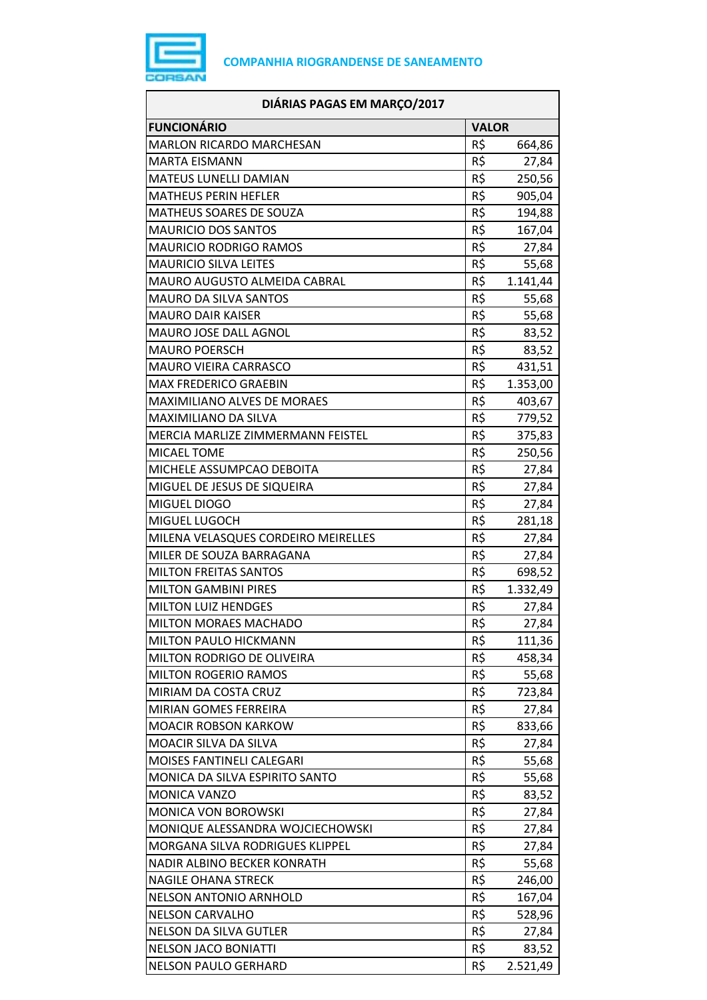

| DIÁRIAS PAGAS EM MARÇO/2017         |                 |          |
|-------------------------------------|-----------------|----------|
| <b>FUNCIONÁRIO</b>                  | <b>VALOR</b>    |          |
| <b>MARLON RICARDO MARCHESAN</b>     | R\$             | 664,86   |
| <b>MARTA EISMANN</b>                | R\$             | 27,84    |
| <b>MATEUS LUNELLI DAMIAN</b>        | R\$             | 250,56   |
| <b>MATHEUS PERIN HEFLER</b>         | R\$             | 905,04   |
| <b>MATHEUS SOARES DE SOUZA</b>      | R\$             | 194,88   |
| <b>MAURICIO DOS SANTOS</b>          | R\$             | 167,04   |
| <b>MAURICIO RODRIGO RAMOS</b>       | R\$             | 27,84    |
| <b>MAURICIO SILVA LEITES</b>        | R\$             | 55,68    |
| MAURO AUGUSTO ALMEIDA CABRAL        | R\$             | 1.141,44 |
| <b>MAURO DA SILVA SANTOS</b>        | R\$             | 55,68    |
| <b>MAURO DAIR KAISER</b>            | R\$             | 55,68    |
| MAURO JOSE DALL AGNOL               | R\$             | 83,52    |
| <b>MAURO POERSCH</b>                | R\$             | 83,52    |
| MAURO VIEIRA CARRASCO               | R\$             | 431,51   |
| <b>MAX FREDERICO GRAEBIN</b>        | R\$             | 1.353,00 |
| MAXIMILIANO ALVES DE MORAES         | R\$             | 403,67   |
| MAXIMILIANO DA SILVA                | R\$             | 779,52   |
| MERCIA MARLIZE ZIMMERMANN FEISTEL   | R\$             | 375,83   |
| <b>MICAEL TOME</b>                  | R\$             | 250,56   |
| MICHELE ASSUMPCAO DEBOITA           | R\$             | 27,84    |
| MIGUEL DE JESUS DE SIQUEIRA         | R\$             | 27,84    |
| MIGUEL DIOGO                        | R\$             | 27,84    |
| MIGUEL LUGOCH                       | R\$             | 281,18   |
| MILENA VELASQUES CORDEIRO MEIRELLES | R\$             | 27,84    |
| MILER DE SOUZA BARRAGANA            | R\$             | 27,84    |
| <b>MILTON FREITAS SANTOS</b>        | R\$             | 698,52   |
| <b>MILTON GAMBINI PIRES</b>         | R\$             | 1.332,49 |
| <b>MILTON LUIZ HENDGES</b>          | R\$             | 27,84    |
| MILTON MORAES MACHADO               | R\$             | 27,84    |
| <b>MILTON PAULO HICKMANN</b>        | R\$             | 111,36   |
| MILTON RODRIGO DE OLIVEIRA          | R\$             | 458,34   |
| <b>MILTON ROGERIO RAMOS</b>         | R\$             | 55,68    |
| MIRIAM DA COSTA CRUZ                | R\$             | 723,84   |
| MIRIAN GOMES FERREIRA               | $R\overline{S}$ | 27,84    |
| <b>MOACIR ROBSON KARKOW</b>         | R\$             | 833,66   |
| MOACIR SILVA DA SILVA               | R\$             | 27,84    |
| MOISES FANTINELI CALEGARI           | R\$             | 55,68    |
| MONICA DA SILVA ESPIRITO SANTO      | R\$             | 55,68    |
| MONICA VANZO                        | R\$             | 83,52    |
| MONICA VON BOROWSKI                 | R\$             | 27,84    |
| MONIQUE ALESSANDRA WOJCIECHOWSKI    | R\$             | 27,84    |
| MORGANA SILVA RODRIGUES KLIPPEL     | R\$             | 27,84    |
| NADIR ALBINO BECKER KONRATH         | R\$             | 55,68    |
| <b>NAGILE OHANA STRECK</b>          | R\$             | 246,00   |
| <b>NELSON ANTONIO ARNHOLD</b>       | R\$             | 167,04   |
| <b>NELSON CARVALHO</b>              | R\$             | 528,96   |
| <b>NELSON DA SILVA GUTLER</b>       | R\$             | 27,84    |
| <b>NELSON JACO BONIATTI</b>         | R\$             | 83,52    |
| <b>NELSON PAULO GERHARD</b>         | R\$             | 2.521,49 |
|                                     |                 |          |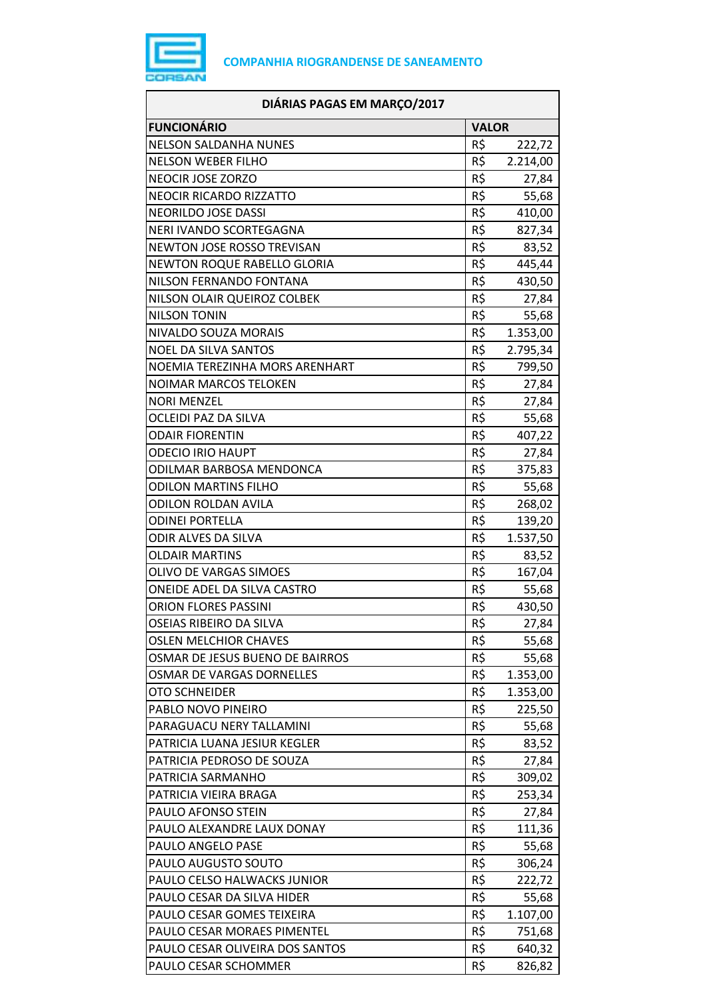

| DIÁRIAS PAGAS EM MARÇO/2017        |                 |          |
|------------------------------------|-----------------|----------|
| <b>FUNCIONÁRIO</b>                 | <b>VALOR</b>    |          |
| <b>NELSON SALDANHA NUNES</b>       | R\$             | 222,72   |
| <b>NELSON WEBER FILHO</b>          | R\$             | 2.214,00 |
| <b>NEOCIR JOSE ZORZO</b>           | R\$             | 27,84    |
| <b>NEOCIR RICARDO RIZZATTO</b>     | R\$             | 55,68    |
| <b>NEORILDO JOSE DASSI</b>         | R\$             | 410,00   |
| NERI IVANDO SCORTEGAGNA            | R\$             | 827,34   |
| NEWTON JOSE ROSSO TREVISAN         | R\$             | 83,52    |
| <b>NEWTON ROQUE RABELLO GLORIA</b> | R\$             | 445,44   |
| NILSON FERNANDO FONTANA            | R\$             | 430,50   |
| NILSON OLAIR QUEIROZ COLBEK        | R\$             | 27,84    |
| <b>NILSON TONIN</b>                | R\$             | 55,68    |
| NIVALDO SOUZA MORAIS               | R\$             | 1.353,00 |
| <b>NOEL DA SILVA SANTOS</b>        | R\$             | 2.795,34 |
| NOEMIA TEREZINHA MORS ARENHART     | R\$             | 799,50   |
| <b>NOIMAR MARCOS TELOKEN</b>       | R\$             | 27,84    |
| <b>NORI MENZEL</b>                 | R\$             | 27,84    |
| <b>OCLEIDI PAZ DA SILVA</b>        | $R\overline{S}$ | 55,68    |
| ODAIR FIORENTIN                    | R\$             | 407,22   |
| <b>ODECIO IRIO HAUPT</b>           | R\$             | 27,84    |
| ODILMAR BARBOSA MENDONCA           | R\$             | 375,83   |
| <b>ODILON MARTINS FILHO</b>        | R\$             | 55,68    |
| <b>ODILON ROLDAN AVILA</b>         | R\$             | 268,02   |
| <b>ODINEI PORTELLA</b>             | R\$             | 139,20   |
| ODIR ALVES DA SILVA                | R\$             | 1.537,50 |
| <b>OLDAIR MARTINS</b>              | R\$             | 83,52    |
| OLIVO DE VARGAS SIMOES             | R\$             | 167,04   |
| ONEIDE ADEL DA SILVA CASTRO        | R\$             | 55,68    |
| <b>ORION FLORES PASSINI</b>        | R\$             | 430,50   |
| OSEIAS RIBEIRO DA SILVA            | R\$             | 27,84    |
| <b>OSLEN MELCHIOR CHAVES</b>       | R\$             | 55,68    |
| OSMAR DE JESUS BUENO DE BAIRROS    | R\$             | 55,68    |
| OSMAR DE VARGAS DORNELLES          | R\$             | 1.353,00 |
| <b>OTO SCHNEIDER</b>               | R\$             | 1.353,00 |
| PABLO NOVO PINEIRO                 | R\$             | 225,50   |
| PARAGUACU NERY TALLAMINI           | R\$             | 55,68    |
| PATRICIA LUANA JESIUR KEGLER       | R\$             | 83,52    |
| PATRICIA PEDROSO DE SOUZA          | R\$             | 27,84    |
| PATRICIA SARMANHO                  | R\$             | 309,02   |
| PATRICIA VIEIRA BRAGA              | R\$             | 253,34   |
| PAULO AFONSO STEIN                 | R\$             | 27,84    |
| PAULO ALEXANDRE LAUX DONAY         | R\$             | 111,36   |
| PAULO ANGELO PASE                  | R\$             | 55,68    |
| PAULO AUGUSTO SOUTO                | R\$             | 306,24   |
| PAULO CELSO HALWACKS JUNIOR        | R\$             | 222,72   |
| PAULO CESAR DA SILVA HIDER         | R\$             | 55,68    |
| PAULO CESAR GOMES TEIXEIRA         | R\$             | 1.107,00 |
| PAULO CESAR MORAES PIMENTEL        | R\$             | 751,68   |
| PAULO CESAR OLIVEIRA DOS SANTOS    | R\$             | 640,32   |
| PAULO CESAR SCHOMMER               | R\$             | 826,82   |
|                                    |                 |          |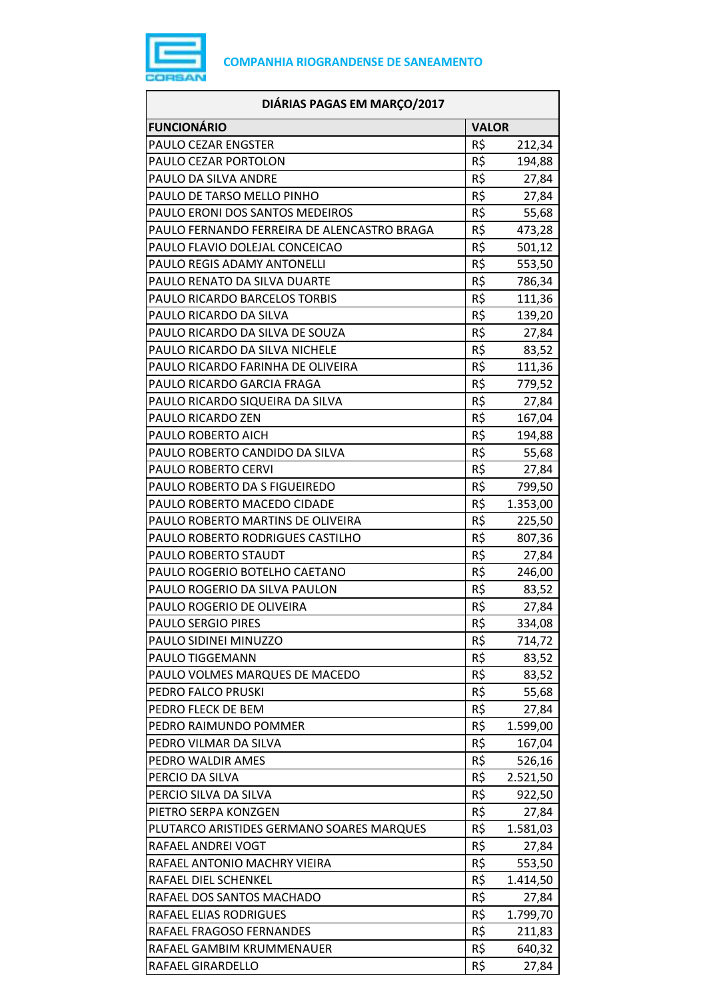

| <b>FUNCIONÁRIO</b><br><b>VALOR</b><br>PAULO CEZAR ENGSTER<br>R\$<br>212,34<br>R\$<br>PAULO CEZAR PORTOLON<br>194,88<br>R\$<br>PAULO DA SILVA ANDRE<br>27,84<br>R\$<br>PAULO DE TARSO MELLO PINHO<br>27,84<br>R\$<br>PAULO ERONI DOS SANTOS MEDEIROS<br>55,68<br>R\$<br>PAULO FERNANDO FERREIRA DE ALENCASTRO BRAGA<br>473,28<br>R\$<br>PAULO FLAVIO DOLEJAL CONCEICAO<br>501,12<br>R\$<br>PAULO REGIS ADAMY ANTONELLI<br>553,50<br>R\$<br>PAULO RENATO DA SILVA DUARTE<br>786,34<br>R\$<br>PAULO RICARDO BARCELOS TORBIS<br>111,36<br>R\$<br>PAULO RICARDO DA SILVA<br>139,20<br>R\$<br>PAULO RICARDO DA SILVA DE SOUZA<br>27,84<br>R\$<br>PAULO RICARDO DA SILVA NICHELE<br>83,52<br>R\$<br>PAULO RICARDO FARINHA DE OLIVEIRA<br>111,36<br>R\$<br>PAULO RICARDO GARCIA FRAGA<br>779,52<br>R\$<br>PAULO RICARDO SIQUEIRA DA SILVA<br>27,84<br>R\$<br>PAULO RICARDO ZEN<br>167,04<br>R\$<br>PAULO ROBERTO AICH<br>194,88<br>R\$<br>PAULO ROBERTO CANDIDO DA SILVA<br>55,68<br>R\$<br>PAULO ROBERTO CERVI<br>27,84<br>R\$<br>PAULO ROBERTO DA S FIGUEIREDO<br>799,50<br>R\$<br>PAULO ROBERTO MACEDO CIDADE<br>1.353,00<br>R\$<br>PAULO ROBERTO MARTINS DE OLIVEIRA<br>225,50<br>R\$<br>PAULO ROBERTO RODRIGUES CASTILHO<br>807,36<br>R\$<br>PAULO ROBERTO STAUDT<br>27,84<br>R\$<br>PAULO ROGERIO BOTELHO CAETANO<br>246,00<br>R\$<br>PAULO ROGERIO DA SILVA PAULON<br>83,52<br>R\$<br>27,84<br>PAULO ROGERIO DE OLIVEIRA<br>R\$<br>PAULO SERGIO PIRES<br>334,08<br>R\$<br>PAULO SIDINEI MINUZZO<br>714,72<br>PAULO TIGGEMANN<br>R\$<br>83,52<br>R\$<br>PAULO VOLMES MARQUES DE MACEDO<br>83,52<br>R\$<br>PEDRO FALCO PRUSKI<br>55,68<br>R\$<br>PEDRO FLECK DE BEM<br>27,84<br>R\$<br>PEDRO RAIMUNDO POMMER<br>1.599,00<br>R\$<br>PEDRO VILMAR DA SILVA<br>167,04<br>R\$<br>PEDRO WALDIR AMES<br>526,16<br>R\$<br>PERCIO DA SILVA<br>2.521,50<br>R\$<br>PERCIO SILVA DA SILVA<br>922,50<br>R\$<br>PIETRO SERPA KONZGEN<br>27,84<br>R\$<br>PLUTARCO ARISTIDES GERMANO SOARES MARQUES<br>1.581,03<br>R\$<br>RAFAEL ANDREI VOGT<br>27,84<br>R\$<br>553,50<br>RAFAEL ANTONIO MACHRY VIEIRA<br>R\$<br>RAFAEL DIEL SCHENKEL<br>1.414,50<br>R\$<br>RAFAEL DOS SANTOS MACHADO<br>27,84<br>R\$<br>RAFAEL ELIAS RODRIGUES<br>1.799,70<br>R\$<br>RAFAEL FRAGOSO FERNANDES<br>211,83<br>R\$<br>RAFAEL GAMBIM KRUMMENAUER<br>640,32<br>R\$<br>RAFAEL GIRARDELLO<br>27,84 | DIÁRIAS PAGAS EM MARÇO/2017 |  |
|-----------------------------------------------------------------------------------------------------------------------------------------------------------------------------------------------------------------------------------------------------------------------------------------------------------------------------------------------------------------------------------------------------------------------------------------------------------------------------------------------------------------------------------------------------------------------------------------------------------------------------------------------------------------------------------------------------------------------------------------------------------------------------------------------------------------------------------------------------------------------------------------------------------------------------------------------------------------------------------------------------------------------------------------------------------------------------------------------------------------------------------------------------------------------------------------------------------------------------------------------------------------------------------------------------------------------------------------------------------------------------------------------------------------------------------------------------------------------------------------------------------------------------------------------------------------------------------------------------------------------------------------------------------------------------------------------------------------------------------------------------------------------------------------------------------------------------------------------------------------------------------------------------------------------------------------------------------------------------------------------------------------------------------------------------------------------------------------------------------------------------------------------------------------------------------------------------------------------------------------------------------------------------------------------------------------------------------------------------------|-----------------------------|--|
|                                                                                                                                                                                                                                                                                                                                                                                                                                                                                                                                                                                                                                                                                                                                                                                                                                                                                                                                                                                                                                                                                                                                                                                                                                                                                                                                                                                                                                                                                                                                                                                                                                                                                                                                                                                                                                                                                                                                                                                                                                                                                                                                                                                                                                                                                                                                                           |                             |  |
|                                                                                                                                                                                                                                                                                                                                                                                                                                                                                                                                                                                                                                                                                                                                                                                                                                                                                                                                                                                                                                                                                                                                                                                                                                                                                                                                                                                                                                                                                                                                                                                                                                                                                                                                                                                                                                                                                                                                                                                                                                                                                                                                                                                                                                                                                                                                                           |                             |  |
|                                                                                                                                                                                                                                                                                                                                                                                                                                                                                                                                                                                                                                                                                                                                                                                                                                                                                                                                                                                                                                                                                                                                                                                                                                                                                                                                                                                                                                                                                                                                                                                                                                                                                                                                                                                                                                                                                                                                                                                                                                                                                                                                                                                                                                                                                                                                                           |                             |  |
|                                                                                                                                                                                                                                                                                                                                                                                                                                                                                                                                                                                                                                                                                                                                                                                                                                                                                                                                                                                                                                                                                                                                                                                                                                                                                                                                                                                                                                                                                                                                                                                                                                                                                                                                                                                                                                                                                                                                                                                                                                                                                                                                                                                                                                                                                                                                                           |                             |  |
|                                                                                                                                                                                                                                                                                                                                                                                                                                                                                                                                                                                                                                                                                                                                                                                                                                                                                                                                                                                                                                                                                                                                                                                                                                                                                                                                                                                                                                                                                                                                                                                                                                                                                                                                                                                                                                                                                                                                                                                                                                                                                                                                                                                                                                                                                                                                                           |                             |  |
|                                                                                                                                                                                                                                                                                                                                                                                                                                                                                                                                                                                                                                                                                                                                                                                                                                                                                                                                                                                                                                                                                                                                                                                                                                                                                                                                                                                                                                                                                                                                                                                                                                                                                                                                                                                                                                                                                                                                                                                                                                                                                                                                                                                                                                                                                                                                                           |                             |  |
|                                                                                                                                                                                                                                                                                                                                                                                                                                                                                                                                                                                                                                                                                                                                                                                                                                                                                                                                                                                                                                                                                                                                                                                                                                                                                                                                                                                                                                                                                                                                                                                                                                                                                                                                                                                                                                                                                                                                                                                                                                                                                                                                                                                                                                                                                                                                                           |                             |  |
|                                                                                                                                                                                                                                                                                                                                                                                                                                                                                                                                                                                                                                                                                                                                                                                                                                                                                                                                                                                                                                                                                                                                                                                                                                                                                                                                                                                                                                                                                                                                                                                                                                                                                                                                                                                                                                                                                                                                                                                                                                                                                                                                                                                                                                                                                                                                                           |                             |  |
|                                                                                                                                                                                                                                                                                                                                                                                                                                                                                                                                                                                                                                                                                                                                                                                                                                                                                                                                                                                                                                                                                                                                                                                                                                                                                                                                                                                                                                                                                                                                                                                                                                                                                                                                                                                                                                                                                                                                                                                                                                                                                                                                                                                                                                                                                                                                                           |                             |  |
|                                                                                                                                                                                                                                                                                                                                                                                                                                                                                                                                                                                                                                                                                                                                                                                                                                                                                                                                                                                                                                                                                                                                                                                                                                                                                                                                                                                                                                                                                                                                                                                                                                                                                                                                                                                                                                                                                                                                                                                                                                                                                                                                                                                                                                                                                                                                                           |                             |  |
|                                                                                                                                                                                                                                                                                                                                                                                                                                                                                                                                                                                                                                                                                                                                                                                                                                                                                                                                                                                                                                                                                                                                                                                                                                                                                                                                                                                                                                                                                                                                                                                                                                                                                                                                                                                                                                                                                                                                                                                                                                                                                                                                                                                                                                                                                                                                                           |                             |  |
|                                                                                                                                                                                                                                                                                                                                                                                                                                                                                                                                                                                                                                                                                                                                                                                                                                                                                                                                                                                                                                                                                                                                                                                                                                                                                                                                                                                                                                                                                                                                                                                                                                                                                                                                                                                                                                                                                                                                                                                                                                                                                                                                                                                                                                                                                                                                                           |                             |  |
|                                                                                                                                                                                                                                                                                                                                                                                                                                                                                                                                                                                                                                                                                                                                                                                                                                                                                                                                                                                                                                                                                                                                                                                                                                                                                                                                                                                                                                                                                                                                                                                                                                                                                                                                                                                                                                                                                                                                                                                                                                                                                                                                                                                                                                                                                                                                                           |                             |  |
|                                                                                                                                                                                                                                                                                                                                                                                                                                                                                                                                                                                                                                                                                                                                                                                                                                                                                                                                                                                                                                                                                                                                                                                                                                                                                                                                                                                                                                                                                                                                                                                                                                                                                                                                                                                                                                                                                                                                                                                                                                                                                                                                                                                                                                                                                                                                                           |                             |  |
|                                                                                                                                                                                                                                                                                                                                                                                                                                                                                                                                                                                                                                                                                                                                                                                                                                                                                                                                                                                                                                                                                                                                                                                                                                                                                                                                                                                                                                                                                                                                                                                                                                                                                                                                                                                                                                                                                                                                                                                                                                                                                                                                                                                                                                                                                                                                                           |                             |  |
|                                                                                                                                                                                                                                                                                                                                                                                                                                                                                                                                                                                                                                                                                                                                                                                                                                                                                                                                                                                                                                                                                                                                                                                                                                                                                                                                                                                                                                                                                                                                                                                                                                                                                                                                                                                                                                                                                                                                                                                                                                                                                                                                                                                                                                                                                                                                                           |                             |  |
|                                                                                                                                                                                                                                                                                                                                                                                                                                                                                                                                                                                                                                                                                                                                                                                                                                                                                                                                                                                                                                                                                                                                                                                                                                                                                                                                                                                                                                                                                                                                                                                                                                                                                                                                                                                                                                                                                                                                                                                                                                                                                                                                                                                                                                                                                                                                                           |                             |  |
|                                                                                                                                                                                                                                                                                                                                                                                                                                                                                                                                                                                                                                                                                                                                                                                                                                                                                                                                                                                                                                                                                                                                                                                                                                                                                                                                                                                                                                                                                                                                                                                                                                                                                                                                                                                                                                                                                                                                                                                                                                                                                                                                                                                                                                                                                                                                                           |                             |  |
|                                                                                                                                                                                                                                                                                                                                                                                                                                                                                                                                                                                                                                                                                                                                                                                                                                                                                                                                                                                                                                                                                                                                                                                                                                                                                                                                                                                                                                                                                                                                                                                                                                                                                                                                                                                                                                                                                                                                                                                                                                                                                                                                                                                                                                                                                                                                                           |                             |  |
|                                                                                                                                                                                                                                                                                                                                                                                                                                                                                                                                                                                                                                                                                                                                                                                                                                                                                                                                                                                                                                                                                                                                                                                                                                                                                                                                                                                                                                                                                                                                                                                                                                                                                                                                                                                                                                                                                                                                                                                                                                                                                                                                                                                                                                                                                                                                                           |                             |  |
|                                                                                                                                                                                                                                                                                                                                                                                                                                                                                                                                                                                                                                                                                                                                                                                                                                                                                                                                                                                                                                                                                                                                                                                                                                                                                                                                                                                                                                                                                                                                                                                                                                                                                                                                                                                                                                                                                                                                                                                                                                                                                                                                                                                                                                                                                                                                                           |                             |  |
|                                                                                                                                                                                                                                                                                                                                                                                                                                                                                                                                                                                                                                                                                                                                                                                                                                                                                                                                                                                                                                                                                                                                                                                                                                                                                                                                                                                                                                                                                                                                                                                                                                                                                                                                                                                                                                                                                                                                                                                                                                                                                                                                                                                                                                                                                                                                                           |                             |  |
|                                                                                                                                                                                                                                                                                                                                                                                                                                                                                                                                                                                                                                                                                                                                                                                                                                                                                                                                                                                                                                                                                                                                                                                                                                                                                                                                                                                                                                                                                                                                                                                                                                                                                                                                                                                                                                                                                                                                                                                                                                                                                                                                                                                                                                                                                                                                                           |                             |  |
|                                                                                                                                                                                                                                                                                                                                                                                                                                                                                                                                                                                                                                                                                                                                                                                                                                                                                                                                                                                                                                                                                                                                                                                                                                                                                                                                                                                                                                                                                                                                                                                                                                                                                                                                                                                                                                                                                                                                                                                                                                                                                                                                                                                                                                                                                                                                                           |                             |  |
|                                                                                                                                                                                                                                                                                                                                                                                                                                                                                                                                                                                                                                                                                                                                                                                                                                                                                                                                                                                                                                                                                                                                                                                                                                                                                                                                                                                                                                                                                                                                                                                                                                                                                                                                                                                                                                                                                                                                                                                                                                                                                                                                                                                                                                                                                                                                                           |                             |  |
|                                                                                                                                                                                                                                                                                                                                                                                                                                                                                                                                                                                                                                                                                                                                                                                                                                                                                                                                                                                                                                                                                                                                                                                                                                                                                                                                                                                                                                                                                                                                                                                                                                                                                                                                                                                                                                                                                                                                                                                                                                                                                                                                                                                                                                                                                                                                                           |                             |  |
|                                                                                                                                                                                                                                                                                                                                                                                                                                                                                                                                                                                                                                                                                                                                                                                                                                                                                                                                                                                                                                                                                                                                                                                                                                                                                                                                                                                                                                                                                                                                                                                                                                                                                                                                                                                                                                                                                                                                                                                                                                                                                                                                                                                                                                                                                                                                                           |                             |  |
|                                                                                                                                                                                                                                                                                                                                                                                                                                                                                                                                                                                                                                                                                                                                                                                                                                                                                                                                                                                                                                                                                                                                                                                                                                                                                                                                                                                                                                                                                                                                                                                                                                                                                                                                                                                                                                                                                                                                                                                                                                                                                                                                                                                                                                                                                                                                                           |                             |  |
|                                                                                                                                                                                                                                                                                                                                                                                                                                                                                                                                                                                                                                                                                                                                                                                                                                                                                                                                                                                                                                                                                                                                                                                                                                                                                                                                                                                                                                                                                                                                                                                                                                                                                                                                                                                                                                                                                                                                                                                                                                                                                                                                                                                                                                                                                                                                                           |                             |  |
|                                                                                                                                                                                                                                                                                                                                                                                                                                                                                                                                                                                                                                                                                                                                                                                                                                                                                                                                                                                                                                                                                                                                                                                                                                                                                                                                                                                                                                                                                                                                                                                                                                                                                                                                                                                                                                                                                                                                                                                                                                                                                                                                                                                                                                                                                                                                                           |                             |  |
|                                                                                                                                                                                                                                                                                                                                                                                                                                                                                                                                                                                                                                                                                                                                                                                                                                                                                                                                                                                                                                                                                                                                                                                                                                                                                                                                                                                                                                                                                                                                                                                                                                                                                                                                                                                                                                                                                                                                                                                                                                                                                                                                                                                                                                                                                                                                                           |                             |  |
|                                                                                                                                                                                                                                                                                                                                                                                                                                                                                                                                                                                                                                                                                                                                                                                                                                                                                                                                                                                                                                                                                                                                                                                                                                                                                                                                                                                                                                                                                                                                                                                                                                                                                                                                                                                                                                                                                                                                                                                                                                                                                                                                                                                                                                                                                                                                                           |                             |  |
|                                                                                                                                                                                                                                                                                                                                                                                                                                                                                                                                                                                                                                                                                                                                                                                                                                                                                                                                                                                                                                                                                                                                                                                                                                                                                                                                                                                                                                                                                                                                                                                                                                                                                                                                                                                                                                                                                                                                                                                                                                                                                                                                                                                                                                                                                                                                                           |                             |  |
|                                                                                                                                                                                                                                                                                                                                                                                                                                                                                                                                                                                                                                                                                                                                                                                                                                                                                                                                                                                                                                                                                                                                                                                                                                                                                                                                                                                                                                                                                                                                                                                                                                                                                                                                                                                                                                                                                                                                                                                                                                                                                                                                                                                                                                                                                                                                                           |                             |  |
|                                                                                                                                                                                                                                                                                                                                                                                                                                                                                                                                                                                                                                                                                                                                                                                                                                                                                                                                                                                                                                                                                                                                                                                                                                                                                                                                                                                                                                                                                                                                                                                                                                                                                                                                                                                                                                                                                                                                                                                                                                                                                                                                                                                                                                                                                                                                                           |                             |  |
|                                                                                                                                                                                                                                                                                                                                                                                                                                                                                                                                                                                                                                                                                                                                                                                                                                                                                                                                                                                                                                                                                                                                                                                                                                                                                                                                                                                                                                                                                                                                                                                                                                                                                                                                                                                                                                                                                                                                                                                                                                                                                                                                                                                                                                                                                                                                                           |                             |  |
|                                                                                                                                                                                                                                                                                                                                                                                                                                                                                                                                                                                                                                                                                                                                                                                                                                                                                                                                                                                                                                                                                                                                                                                                                                                                                                                                                                                                                                                                                                                                                                                                                                                                                                                                                                                                                                                                                                                                                                                                                                                                                                                                                                                                                                                                                                                                                           |                             |  |
|                                                                                                                                                                                                                                                                                                                                                                                                                                                                                                                                                                                                                                                                                                                                                                                                                                                                                                                                                                                                                                                                                                                                                                                                                                                                                                                                                                                                                                                                                                                                                                                                                                                                                                                                                                                                                                                                                                                                                                                                                                                                                                                                                                                                                                                                                                                                                           |                             |  |
|                                                                                                                                                                                                                                                                                                                                                                                                                                                                                                                                                                                                                                                                                                                                                                                                                                                                                                                                                                                                                                                                                                                                                                                                                                                                                                                                                                                                                                                                                                                                                                                                                                                                                                                                                                                                                                                                                                                                                                                                                                                                                                                                                                                                                                                                                                                                                           |                             |  |
|                                                                                                                                                                                                                                                                                                                                                                                                                                                                                                                                                                                                                                                                                                                                                                                                                                                                                                                                                                                                                                                                                                                                                                                                                                                                                                                                                                                                                                                                                                                                                                                                                                                                                                                                                                                                                                                                                                                                                                                                                                                                                                                                                                                                                                                                                                                                                           |                             |  |
|                                                                                                                                                                                                                                                                                                                                                                                                                                                                                                                                                                                                                                                                                                                                                                                                                                                                                                                                                                                                                                                                                                                                                                                                                                                                                                                                                                                                                                                                                                                                                                                                                                                                                                                                                                                                                                                                                                                                                                                                                                                                                                                                                                                                                                                                                                                                                           |                             |  |
|                                                                                                                                                                                                                                                                                                                                                                                                                                                                                                                                                                                                                                                                                                                                                                                                                                                                                                                                                                                                                                                                                                                                                                                                                                                                                                                                                                                                                                                                                                                                                                                                                                                                                                                                                                                                                                                                                                                                                                                                                                                                                                                                                                                                                                                                                                                                                           |                             |  |
|                                                                                                                                                                                                                                                                                                                                                                                                                                                                                                                                                                                                                                                                                                                                                                                                                                                                                                                                                                                                                                                                                                                                                                                                                                                                                                                                                                                                                                                                                                                                                                                                                                                                                                                                                                                                                                                                                                                                                                                                                                                                                                                                                                                                                                                                                                                                                           |                             |  |
|                                                                                                                                                                                                                                                                                                                                                                                                                                                                                                                                                                                                                                                                                                                                                                                                                                                                                                                                                                                                                                                                                                                                                                                                                                                                                                                                                                                                                                                                                                                                                                                                                                                                                                                                                                                                                                                                                                                                                                                                                                                                                                                                                                                                                                                                                                                                                           |                             |  |
|                                                                                                                                                                                                                                                                                                                                                                                                                                                                                                                                                                                                                                                                                                                                                                                                                                                                                                                                                                                                                                                                                                                                                                                                                                                                                                                                                                                                                                                                                                                                                                                                                                                                                                                                                                                                                                                                                                                                                                                                                                                                                                                                                                                                                                                                                                                                                           |                             |  |
|                                                                                                                                                                                                                                                                                                                                                                                                                                                                                                                                                                                                                                                                                                                                                                                                                                                                                                                                                                                                                                                                                                                                                                                                                                                                                                                                                                                                                                                                                                                                                                                                                                                                                                                                                                                                                                                                                                                                                                                                                                                                                                                                                                                                                                                                                                                                                           |                             |  |
|                                                                                                                                                                                                                                                                                                                                                                                                                                                                                                                                                                                                                                                                                                                                                                                                                                                                                                                                                                                                                                                                                                                                                                                                                                                                                                                                                                                                                                                                                                                                                                                                                                                                                                                                                                                                                                                                                                                                                                                                                                                                                                                                                                                                                                                                                                                                                           |                             |  |
|                                                                                                                                                                                                                                                                                                                                                                                                                                                                                                                                                                                                                                                                                                                                                                                                                                                                                                                                                                                                                                                                                                                                                                                                                                                                                                                                                                                                                                                                                                                                                                                                                                                                                                                                                                                                                                                                                                                                                                                                                                                                                                                                                                                                                                                                                                                                                           |                             |  |
|                                                                                                                                                                                                                                                                                                                                                                                                                                                                                                                                                                                                                                                                                                                                                                                                                                                                                                                                                                                                                                                                                                                                                                                                                                                                                                                                                                                                                                                                                                                                                                                                                                                                                                                                                                                                                                                                                                                                                                                                                                                                                                                                                                                                                                                                                                                                                           |                             |  |
|                                                                                                                                                                                                                                                                                                                                                                                                                                                                                                                                                                                                                                                                                                                                                                                                                                                                                                                                                                                                                                                                                                                                                                                                                                                                                                                                                                                                                                                                                                                                                                                                                                                                                                                                                                                                                                                                                                                                                                                                                                                                                                                                                                                                                                                                                                                                                           |                             |  |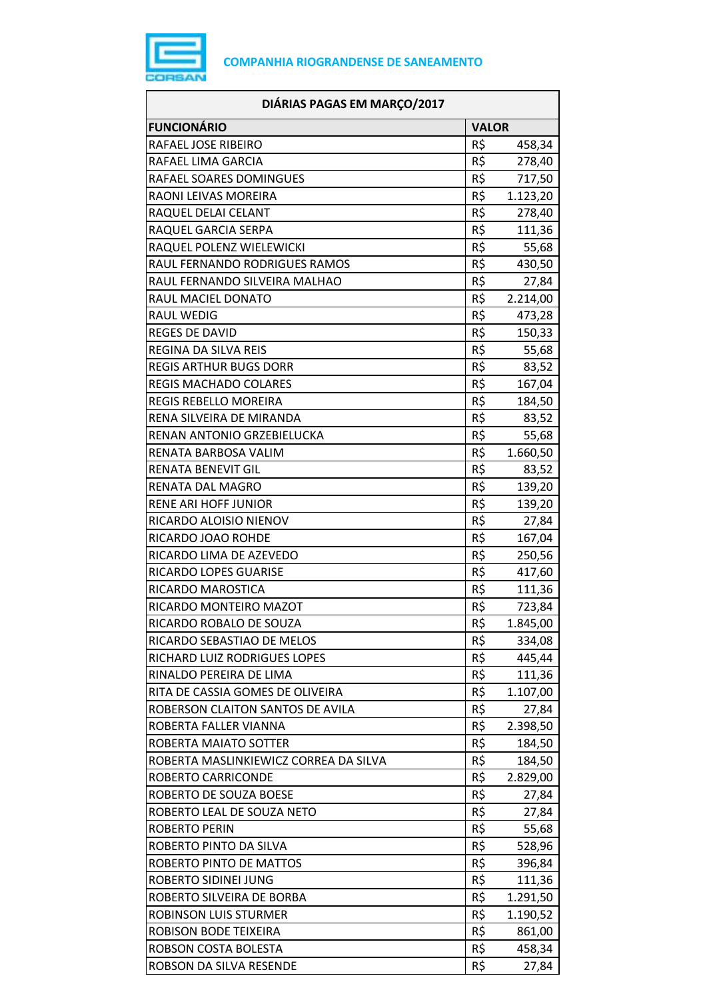

| DIÁRIAS PAGAS EM MARÇO/2017           |              |          |
|---------------------------------------|--------------|----------|
| <b>FUNCIONÁRIO</b>                    | <b>VALOR</b> |          |
| RAFAEL JOSE RIBEIRO                   | R\$          | 458,34   |
| RAFAEL LIMA GARCIA                    | R\$          | 278,40   |
| RAFAEL SOARES DOMINGUES               | R\$          | 717,50   |
| RAONI LEIVAS MOREIRA                  | R\$          | 1.123,20 |
| RAQUEL DELAI CELANT                   | R\$          | 278,40   |
| RAQUEL GARCIA SERPA                   | R\$          | 111,36   |
| RAQUEL POLENZ WIELEWICKI              | R\$          | 55,68    |
| RAUL FERNANDO RODRIGUES RAMOS         | R\$          | 430,50   |
| RAUL FERNANDO SILVEIRA MALHAO         | R\$          | 27,84    |
| RAUL MACIEL DONATO                    | R\$          | 2.214,00 |
| <b>RAUL WEDIG</b>                     | R\$          | 473,28   |
| <b>REGES DE DAVID</b>                 | R\$          | 150,33   |
| REGINA DA SILVA REIS                  | R\$          | 55,68    |
| <b>REGIS ARTHUR BUGS DORR</b>         | R\$          | 83,52    |
| <b>REGIS MACHADO COLARES</b>          | R\$          | 167,04   |
| REGIS REBELLO MOREIRA                 | R\$          | 184,50   |
| RENA SILVEIRA DE MIRANDA              | R\$          | 83,52    |
| RENAN ANTONIO GRZEBIELUCKA            | R\$          | 55,68    |
| RENATA BARBOSA VALIM                  | R\$          | 1.660,50 |
| RENATA BENEVIT GIL                    | R\$          | 83,52    |
| RENATA DAL MAGRO                      | R\$          | 139,20   |
| <b>RENE ARI HOFF JUNIOR</b>           | R\$          | 139,20   |
| RICARDO ALOISIO NIENOV                | R\$          | 27,84    |
| RICARDO JOAO ROHDE                    | R\$          | 167,04   |
| RICARDO LIMA DE AZEVEDO               | R\$          | 250,56   |
| RICARDO LOPES GUARISE                 | R\$          | 417,60   |
| RICARDO MAROSTICA                     | R\$          | 111,36   |
| RICARDO MONTEIRO MAZOT                | R\$          | 723,84   |
| RICARDO ROBALO DE SOUZA               | R\$          | 1.845,00 |
| RICARDO SEBASTIAO DE MELOS            | R\$          | 334,08   |
| RICHARD LUIZ RODRIGUES LOPES          | R\$          | 445,44   |
| RINALDO PEREIRA DE LIMA               | R\$          | 111,36   |
| RITA DE CASSIA GOMES DE OLIVEIRA      | R\$          | 1.107,00 |
| ROBERSON CLAITON SANTOS DE AVILA      | R\$          | 27,84    |
| ROBERTA FALLER VIANNA                 | R\$          | 2.398,50 |
| ROBERTA MAIATO SOTTER                 | R\$          | 184,50   |
| ROBERTA MASLINKIEWICZ CORREA DA SILVA | R\$          | 184,50   |
| ROBERTO CARRICONDE                    | R\$          | 2.829,00 |
| ROBERTO DE SOUZA BOESE                | R\$          | 27,84    |
| ROBERTO LEAL DE SOUZA NETO            | R\$          | 27,84    |
| ROBERTO PERIN                         | R\$          | 55,68    |
| ROBERTO PINTO DA SILVA                | R\$          | 528,96   |
| ROBERTO PINTO DE MATTOS               | R\$          | 396,84   |
| ROBERTO SIDINEI JUNG                  | R\$          | 111,36   |
| ROBERTO SILVEIRA DE BORBA             | R\$          | 1.291,50 |
| ROBINSON LUIS STURMER                 | R\$          | 1.190,52 |
| ROBISON BODE TEIXEIRA                 | R\$          | 861,00   |
| ROBSON COSTA BOLESTA                  | R\$          | 458,34   |
| ROBSON DA SILVA RESENDE               | R\$          | 27,84    |
|                                       |              |          |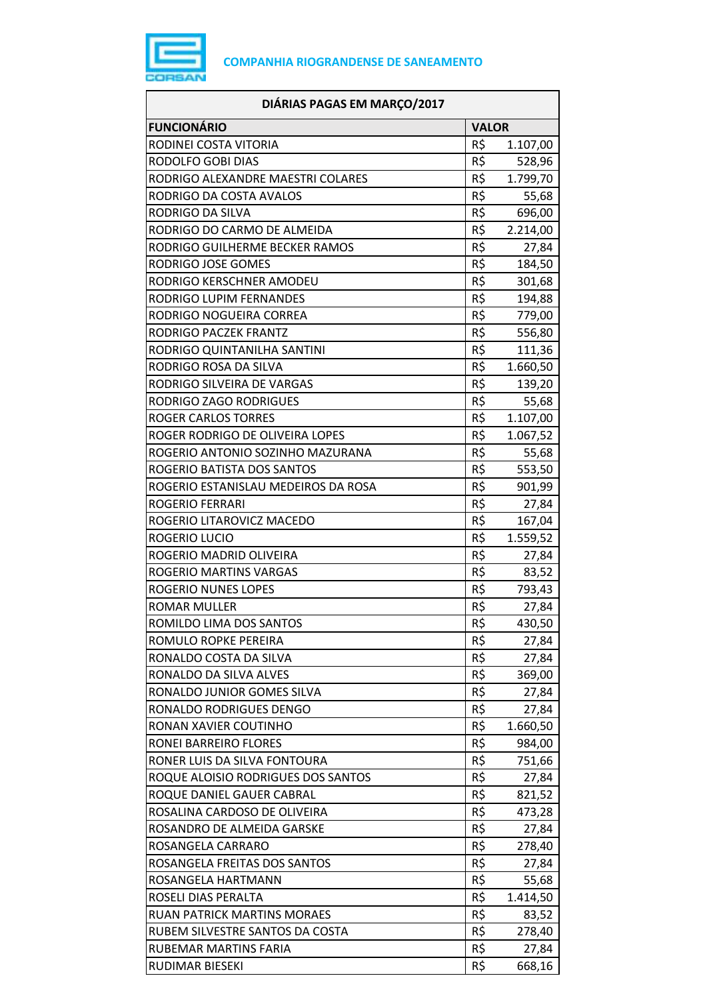

| DIÁRIAS PAGAS EM MARÇO/2017         |              |          |
|-------------------------------------|--------------|----------|
| <b>FUNCIONÁRIO</b>                  | <b>VALOR</b> |          |
| RODINEI COSTA VITORIA               | R\$          | 1.107,00 |
| RODOLFO GOBI DIAS                   | R\$          | 528,96   |
| RODRIGO ALEXANDRE MAESTRI COLARES   | R\$          | 1.799,70 |
| RODRIGO DA COSTA AVALOS             | R\$          | 55,68    |
| RODRIGO DA SILVA                    | R\$          | 696,00   |
| RODRIGO DO CARMO DE ALMEIDA         | R\$          | 2.214,00 |
| RODRIGO GUILHERME BECKER RAMOS      | R\$          | 27,84    |
| RODRIGO JOSE GOMES                  | R\$          | 184,50   |
| RODRIGO KERSCHNER AMODEU            | R\$          | 301,68   |
| RODRIGO LUPIM FERNANDES             | R\$          | 194,88   |
| RODRIGO NOGUEIRA CORREA             | R\$          | 779,00   |
| RODRIGO PACZEK FRANTZ               | R\$          | 556,80   |
| RODRIGO QUINTANILHA SANTINI         | R\$          | 111,36   |
| RODRIGO ROSA DA SILVA               | R\$          | 1.660,50 |
| RODRIGO SILVEIRA DE VARGAS          | R\$          | 139,20   |
| RODRIGO ZAGO RODRIGUES              | R\$          | 55,68    |
| <b>ROGER CARLOS TORRES</b>          | R\$          | 1.107,00 |
| ROGER RODRIGO DE OLIVEIRA LOPES     | R\$          | 1.067,52 |
| ROGERIO ANTONIO SOZINHO MAZURANA    | R\$          | 55,68    |
| ROGERIO BATISTA DOS SANTOS          | R\$          | 553,50   |
| ROGERIO ESTANISLAU MEDEIROS DA ROSA | R\$          | 901,99   |
| <b>ROGERIO FERRARI</b>              | R\$          | 27,84    |
| ROGERIO LITAROVICZ MACEDO           | R\$          | 167,04   |
| ROGERIO LUCIO                       | R\$          | 1.559,52 |
| ROGERIO MADRID OLIVEIRA             | R\$          | 27,84    |
| ROGERIO MARTINS VARGAS              | R\$          | 83,52    |
| <b>ROGERIO NUNES LOPES</b>          | R\$          | 793,43   |
| <b>ROMAR MULLER</b>                 | R\$          | 27,84    |
| ROMILDO LIMA DOS SANTOS             | R\$          | 430,50   |
| ROMULO ROPKE PEREIRA                | R\$          | 27,84    |
| RONALDO COSTA DA SILVA              | R\$          | 27,84    |
| RONALDO DA SILVA ALVES              | R\$          | 369,00   |
| RONALDO JUNIOR GOMES SILVA          | R\$          | 27,84    |
| RONALDO RODRIGUES DENGO             | R\$          | 27,84    |
| RONAN XAVIER COUTINHO               | R\$          | 1.660,50 |
| RONEI BARREIRO FLORES               | R\$          | 984,00   |
| RONER LUIS DA SILVA FONTOURA        | R\$          | 751,66   |
| ROQUE ALOISIO RODRIGUES DOS SANTOS  | R\$          | 27,84    |
| ROQUE DANIEL GAUER CABRAL           | R\$          | 821,52   |
| ROSALINA CARDOSO DE OLIVEIRA        | R\$          | 473,28   |
| ROSANDRO DE ALMEIDA GARSKE          | R\$          | 27,84    |
| ROSANGELA CARRARO                   | R\$          | 278,40   |
| ROSANGELA FREITAS DOS SANTOS        | R\$          | 27,84    |
| ROSANGELA HARTMANN                  | R\$          | 55,68    |
| ROSELI DIAS PERALTA                 | R\$          | 1.414,50 |
| <b>RUAN PATRICK MARTINS MORAES</b>  | R\$          | 83,52    |
| RUBEM SILVESTRE SANTOS DA COSTA     | R\$          | 278,40   |
| RUBEMAR MARTINS FARIA               | R\$          | 27,84    |
| RUDIMAR BIESEKI                     | R\$          | 668,16   |
|                                     |              |          |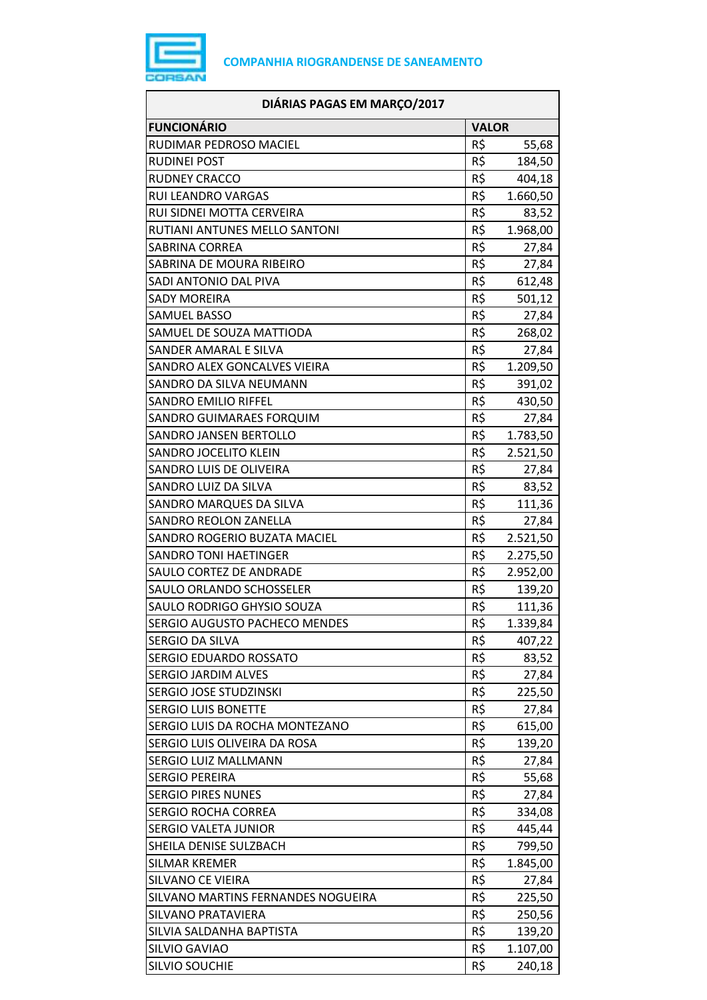

| DIÁRIAS PAGAS EM MARÇO/2017        |              |          |
|------------------------------------|--------------|----------|
| <b>FUNCIONÁRIO</b>                 | <b>VALOR</b> |          |
| RUDIMAR PEDROSO MACIEL             | R\$          | 55,68    |
| <b>RUDINEI POST</b>                | R\$          | 184,50   |
| <b>RUDNEY CRACCO</b>               | R\$          | 404,18   |
| <b>RUI LEANDRO VARGAS</b>          | R\$          | 1.660,50 |
| RUI SIDNEI MOTTA CERVEIRA          | R\$          | 83,52    |
| RUTIANI ANTUNES MELLO SANTONI      | R\$          | 1.968,00 |
| <b>SABRINA CORREA</b>              | R\$          | 27,84    |
| SABRINA DE MOURA RIBEIRO           | R\$          | 27,84    |
| SADI ANTONIO DAL PIVA              | R\$          | 612,48   |
| <b>SADY MOREIRA</b>                | R\$          | 501,12   |
| <b>SAMUEL BASSO</b>                | R\$          | 27,84    |
| SAMUEL DE SOUZA MATTIODA           | R\$          | 268,02   |
| SANDER AMARAL E SILVA              | R\$          | 27,84    |
| SANDRO ALEX GONCALVES VIEIRA       | R\$          | 1.209,50 |
| SANDRO DA SILVA NEUMANN            | R\$          | 391,02   |
| <b>SANDRO EMILIO RIFFEL</b>        | R\$          | 430,50   |
| SANDRO GUIMARAES FORQUIM           | R\$          | 27,84    |
| <b>SANDRO JANSEN BERTOLLO</b>      | R\$          | 1.783,50 |
| SANDRO JOCELITO KLEIN              | R\$          | 2.521,50 |
| SANDRO LUIS DE OLIVEIRA            | R\$          | 27,84    |
| SANDRO LUIZ DA SILVA               | R\$          | 83,52    |
| SANDRO MARQUES DA SILVA            | R\$          | 111,36   |
| <b>SANDRO REOLON ZANELLA</b>       | R\$          | 27,84    |
| SANDRO ROGERIO BUZATA MACIEL       | R\$          | 2.521,50 |
| <b>SANDRO TONI HAETINGER</b>       | R\$          | 2.275,50 |
| SAULO CORTEZ DE ANDRADE            | R\$          | 2.952,00 |
| SAULO ORLANDO SCHOSSELER           | R\$          | 139,20   |
| SAULO RODRIGO GHYSIO SOUZA         | R\$          | 111,36   |
| SERGIO AUGUSTO PACHECO MENDES      | R\$          | 1.339,84 |
| SERGIO DA SILVA                    | R\$          | 407,22   |
| SERGIO EDUARDO ROSSATO             | R\$          | 83,52    |
| <b>SERGIO JARDIM ALVES</b>         | R\$          | 27,84    |
| SERGIO JOSE STUDZINSKI             | R\$          | 225,50   |
| <b>SERGIO LUIS BONETTE</b>         | R\$          | 27,84    |
| SERGIO LUIS DA ROCHA MONTEZANO     | R\$          | 615,00   |
| SERGIO LUIS OLIVEIRA DA ROSA       | R\$          | 139,20   |
| <b>SERGIO LUIZ MALLMANN</b>        | R\$          | 27,84    |
| <b>SERGIO PEREIRA</b>              | R\$          | 55,68    |
| <b>SERGIO PIRES NUNES</b>          | R\$          | 27,84    |
| <b>SERGIO ROCHA CORREA</b>         | R\$          | 334,08   |
| <b>SERGIO VALETA JUNIOR</b>        | R\$          | 445,44   |
| SHEILA DENISE SULZBACH             | R\$          | 799,50   |
| SILMAR KREMER                      | R\$          | 1.845,00 |
| SILVANO CE VIEIRA                  | R\$          | 27,84    |
| SILVANO MARTINS FERNANDES NOGUEIRA | R\$          | 225,50   |
| SILVANO PRATAVIERA                 | R\$          | 250,56   |
| SILVIA SALDANHA BAPTISTA           | R\$          | 139,20   |
| SILVIO GAVIAO                      | R\$          | 1.107,00 |
| SILVIO SOUCHIE                     | R\$          | 240,18   |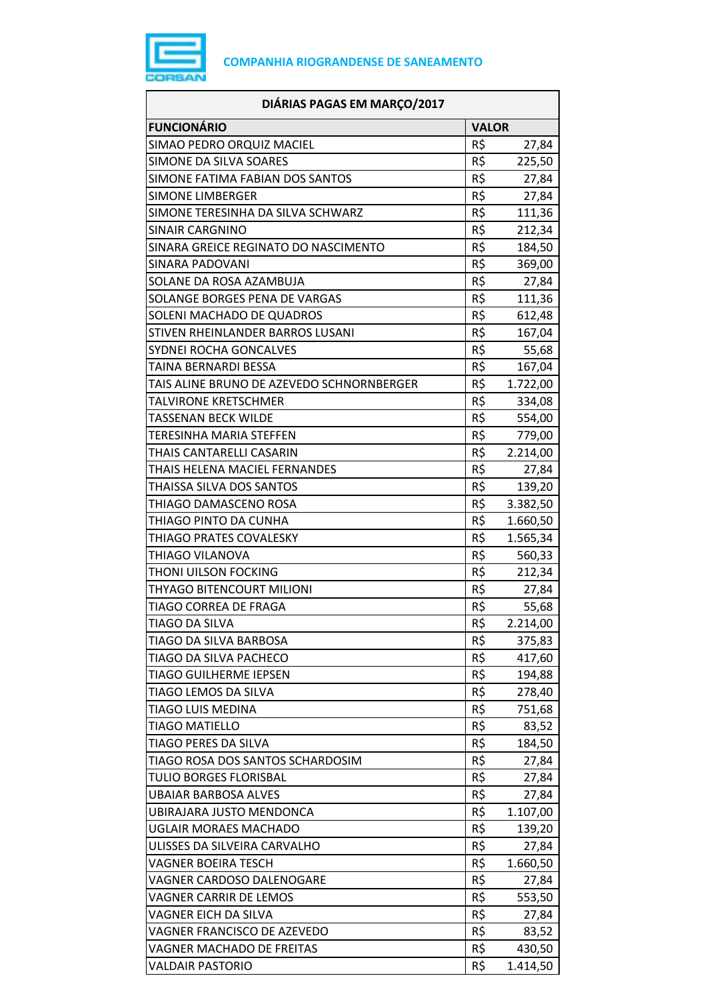

| DIÁRIAS PAGAS EM MARÇO/2017               |              |                   |
|-------------------------------------------|--------------|-------------------|
| <b>FUNCIONÁRIO</b>                        | <b>VALOR</b> |                   |
| SIMAO PEDRO ORQUIZ MACIEL                 | R\$          | 27,84             |
| SIMONE DA SILVA SOARES                    | R\$          | 225,50            |
| SIMONE FATIMA FABIAN DOS SANTOS           | R\$          | 27,84             |
| <b>SIMONE LIMBERGER</b>                   | R\$          | 27,84             |
| SIMONE TERESINHA DA SILVA SCHWARZ         | R\$          | 111,36            |
| SINAIR CARGNINO                           | R\$          | 212,34            |
| SINARA GREICE REGINATO DO NASCIMENTO      | R\$          | 184,50            |
| SINARA PADOVANI                           | R\$          | 369,00            |
| SOLANE DA ROSA AZAMBUJA                   | R\$          | 27,84             |
| SOLANGE BORGES PENA DE VARGAS             | R\$          | 111,36            |
| SOLENI MACHADO DE QUADROS                 | R\$          | 612,48            |
| STIVEN RHEINLANDER BARROS LUSANI          | R\$          | 167,04            |
| SYDNEI ROCHA GONCALVES                    | R\$          | 55,68             |
| TAINA BERNARDI BESSA                      | R\$          | 167,04            |
| TAIS ALINE BRUNO DE AZEVEDO SCHNORNBERGER | R\$          | 1.722,00          |
| TALVIRONE KRETSCHMER                      | R\$          | 334,08            |
| TASSENAN BECK WILDE                       | R\$          | 554,00            |
| TERESINHA MARIA STEFFEN                   | R\$          | 779,00            |
| THAIS CANTARELLI CASARIN                  | R\$          | 2.214,00          |
| THAIS HELENA MACIEL FERNANDES             | R\$          | 27,84             |
| THAISSA SILVA DOS SANTOS                  | R\$          | 139,20            |
| THIAGO DAMASCENO ROSA                     | R\$          | 3.382,50          |
| THIAGO PINTO DA CUNHA                     | R\$          | 1.660,50          |
| THIAGO PRATES COVALESKY                   | R\$          | 1.565,34          |
| THIAGO VILANOVA                           | R\$          | 560,33            |
| THONI UILSON FOCKING                      | R\$          | 212,34            |
| THYAGO BITENCOURT MILIONI                 | R\$          | 27,84             |
| TIAGO CORREA DE FRAGA                     | R\$          | 55,68             |
| TIAGO DA SILVA                            | R\$          | 2.214,00          |
| TIAGO DA SILVA BARBOSA                    | R\$          | 375,83            |
| TIAGO DA SILVA PACHECO                    | R\$          | 417,60            |
| <b>TIAGO GUILHERME IEPSEN</b>             | R\$          | 194,88            |
| TIAGO LEMOS DA SILVA                      | R\$          | 278,40            |
| TIAGO LUIS MEDINA                         | R\$          | 751,68            |
| <b>TIAGO MATIELLO</b>                     | R\$          | 83,52             |
| TIAGO PERES DA SILVA                      | R\$          | 184,50            |
| TIAGO ROSA DOS SANTOS SCHARDOSIM          | R\$          | 27,84             |
| <b>TULIO BORGES FLORISBAL</b>             | R\$          | 27,84             |
| <b>UBAIAR BARBOSA ALVES</b>               | R\$          | 27,84             |
| UBIRAJARA JUSTO MENDONCA                  | R\$          | 1.107,00          |
| <b>UGLAIR MORAES MACHADO</b>              | R\$          | 139,20            |
| ULISSES DA SILVEIRA CARVALHO              | R\$          |                   |
| VAGNER BOEIRA TESCH                       | R\$          | 27,84<br>1.660,50 |
| VAGNER CARDOSO DALENOGARE                 | R\$          | 27,84             |
| VAGNER CARRIR DE LEMOS                    | R\$          |                   |
| VAGNER EICH DA SILVA                      | R\$          | 553,50            |
| VAGNER FRANCISCO DE AZEVEDO               | R\$          | 27,84             |
|                                           | R\$          | 83,52             |
| VAGNER MACHADO DE FREITAS                 |              | 430,50            |
| VALDAIR PASTORIO                          | R\$          | 1.414,50          |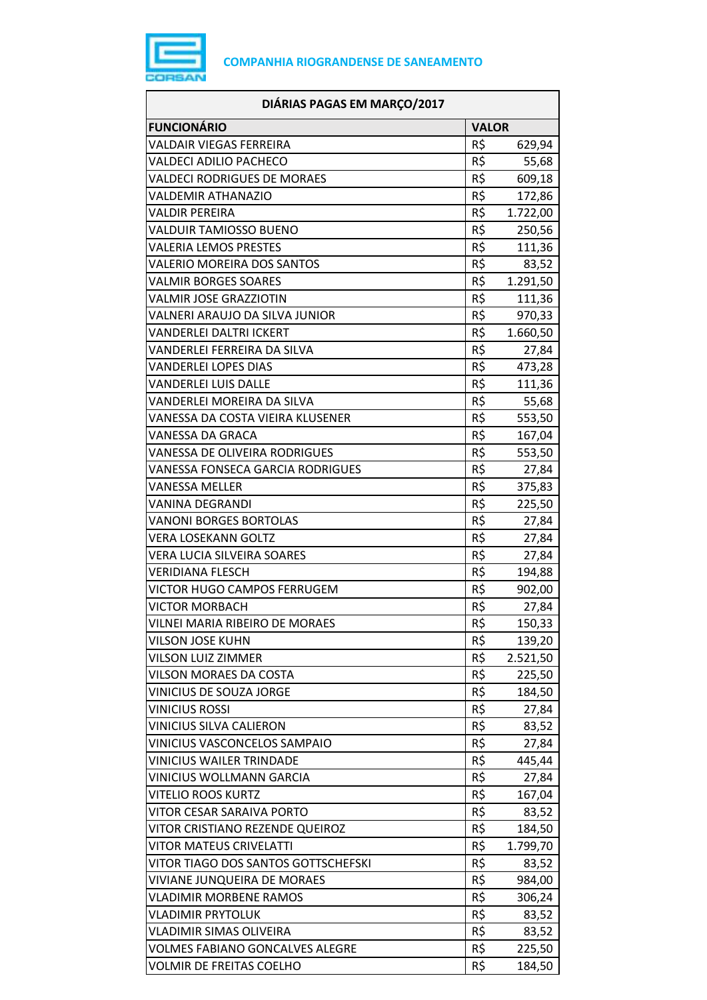

| DIÁRIAS PAGAS EM MARÇO/2017            |                 |          |
|----------------------------------------|-----------------|----------|
| <b>FUNCIONÁRIO</b>                     | <b>VALOR</b>    |          |
| VALDAIR VIEGAS FERREIRA                | R\$             | 629,94   |
| <b>VALDECI ADILIO PACHECO</b>          | R\$             | 55,68    |
| <b>VALDECI RODRIGUES DE MORAES</b>     | R\$             | 609,18   |
| <b>VALDEMIR ATHANAZIO</b>              | R\$             | 172,86   |
| <b>VALDIR PEREIRA</b>                  | R\$             | 1.722,00 |
| <b>VALDUIR TAMIOSSO BUENO</b>          | R\$             | 250,56   |
| <b>VALERIA LEMOS PRESTES</b>           | R\$             | 111,36   |
| VALERIO MOREIRA DOS SANTOS             | R\$             | 83,52    |
| <b>VALMIR BORGES SOARES</b>            | R\$             | 1.291,50 |
| VALMIR JOSE GRAZZIOTIN                 | R\$             | 111,36   |
| VALNERI ARAUJO DA SILVA JUNIOR         | R\$             | 970,33   |
| VANDERLEI DALTRI ICKERT                | R\$             | 1.660,50 |
| VANDERLEI FERREIRA DA SILVA            | R\$             | 27,84    |
| <b>VANDERLEI LOPES DIAS</b>            | R\$             | 473,28   |
| VANDERLEI LUIS DALLE                   | R\$             | 111,36   |
| VANDERLEI MOREIRA DA SILVA             | R\$             | 55,68    |
| VANESSA DA COSTA VIEIRA KLUSENER       | R\$             | 553,50   |
| VANESSA DA GRACA                       | R\$             | 167,04   |
| VANESSA DE OLIVEIRA RODRIGUES          | $R\overline{S}$ | 553,50   |
| VANESSA FONSECA GARCIA RODRIGUES       | R\$             | 27,84    |
| <b>VANESSA MELLER</b>                  | R\$             | 375,83   |
| VANINA DEGRANDI                        | R\$             | 225,50   |
| <b>VANONI BORGES BORTOLAS</b>          | R\$             | 27,84    |
| <b>VERA LOSEKANN GOLTZ</b>             | R\$             | 27,84    |
| VERA LUCIA SILVEIRA SOARES             | R\$             | 27,84    |
| <b>VERIDIANA FLESCH</b>                | R\$             | 194,88   |
| VICTOR HUGO CAMPOS FERRUGEM            | R\$             | 902,00   |
| <b>VICTOR MORBACH</b>                  | R\$             | 27,84    |
| VILNEI MARIA RIBEIRO DE MORAES         | R\$             | 150,33   |
| VILSON JOSE KUHN                       | R\$             | 139,20   |
| <b>VILSON LUIZ ZIMMER</b>              | R\$             | 2.521,50 |
| VILSON MORAES DA COSTA                 | R\$             | 225,50   |
| VINICIUS DE SOUZA JORGE                | R\$             | 184,50   |
| <b>VINICIUS ROSSI</b>                  | R\$             | 27,84    |
| VINICIUS SILVA CALIERON                | R\$             | 83,52    |
| VINICIUS VASCONCELOS SAMPAIO           | R\$             | 27,84    |
| <b>VINICIUS WAILER TRINDADE</b>        | R\$             | 445,44   |
| VINICIUS WOLLMANN GARCIA               | R\$             | 27,84    |
| <b>VITELIO ROOS KURTZ</b>              | R\$             | 167,04   |
| VITOR CESAR SARAIVA PORTO              | R\$             | 83,52    |
| VITOR CRISTIANO REZENDE QUEIROZ        | R\$             | 184,50   |
| <b>VITOR MATEUS CRIVELATTI</b>         | R\$             | 1.799,70 |
| VITOR TIAGO DOS SANTOS GOTTSCHEFSKI    | R\$             | 83,52    |
| VIVIANE JUNQUEIRA DE MORAES            | R\$             | 984,00   |
| <b>VLADIMIR MORBENE RAMOS</b>          | R\$             | 306,24   |
| VLADIMIR PRYTOLUK                      | R\$             | 83,52    |
| VLADIMIR SIMAS OLIVEIRA                | R\$             | 83,52    |
| <b>VOLMES FABIANO GONCALVES ALEGRE</b> | R\$             | 225,50   |
| <b>VOLMIR DE FREITAS COELHO</b>        | R\$             | 184,50   |
|                                        |                 |          |